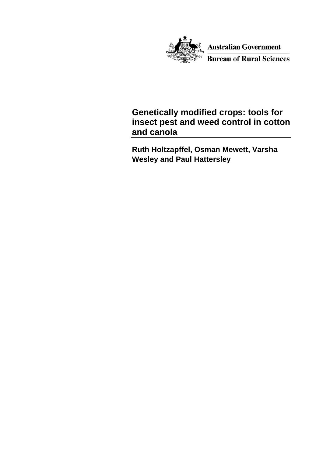

Australian Government **Bureau of Rural Sciences** 

# **Genetically modified crops: tools for insect pest and weed control in cotton and canola**

**Ruth Holtzapffel, Osman Mewett, Varsha Wesley and Paul Hattersley**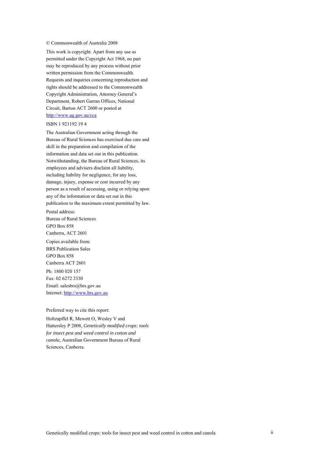#### © Commonwealth of Australia 2008

This work is copyright. Apart from any use as permitted under the Copyright Act 1968, no part may be reproduced by any process without prior written permission from the Commonwealth. Requests and inquiries concerning reproduction and rights should be addressed to the Commonwealth Copyright Administration, Attorney General's Department, Robert Garran Offices, National Circuit, Barton ACT 2600 or posted at <http://www.ag.gov.au/cca>

#### ISBN 1 921192 19 4

The Australian Government acting through the Bureau of Rural Sciences has exercised due care and skill in the preparation and compilation of the information and data set out in this publication. Notwithstanding, the Bureau of Rural Sciences, its employees and advisers disclaim all liability, including liability for negligence, for any loss, damage, injury, expense or cost incurred by any person as a result of accessing, using or relying upon any of the information or data set out in this publication to the maximum extent permitted by law.

Postal address: Bureau of Rural Sciences GPO Box 858 Canberra, ACT 2601

Copies available from: BRS Publication Sales GPO Box 858 Canberra ACT 2601 Ph: 1800 020 157 Fax: 02 6272 2330 Email: salesbrs@brs.gov.au Internet: [http://www.brs.gov.au](http://www.brs.gov.au/)

#### Preferred way to cite this report:

Holtzapffel R, Mewett O, Wesley V and Hattersley P 2008, *Genetically modified crops: tools for insect pest and weed control in cotton and canola*, Australian Government Bureau of Rural Sciences, Canberra.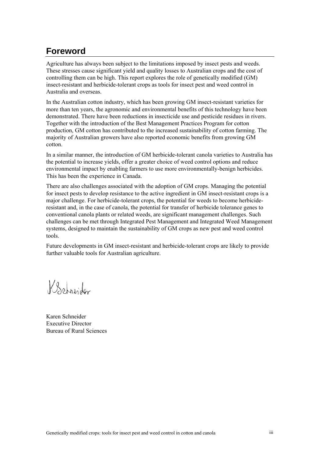# <span id="page-2-0"></span>**Foreword**

Agriculture has always been subject to the limitations imposed by insect pests and weeds. These stresses cause significant yield and quality losses to Australian crops and the cost of controlling them can be high. This report explores the role of genetically modified (GM) insect-resistant and herbicide-tolerant crops as tools for insect pest and weed control in Australia and overseas.

In the Australian cotton industry, which has been growing GM insect-resistant varieties for more than ten years, the agronomic and environmental benefits of this technology have been demonstrated. There have been reductions in insecticide use and pesticide residues in rivers. Together with the introduction of the Best Management Practices Program for cotton production, GM cotton has contributed to the increased sustainability of cotton farming. The majority of Australian growers have also reported economic benefits from growing GM cotton.

In a similar manner, the introduction of GM herbicide-tolerant canola varieties to Australia has the potential to increase yields, offer a greater choice of weed control options and reduce environmental impact by enabling farmers to use more environmentally-benign herbicides. This has been the experience in Canada.

There are also challenges associated with the adoption of GM crops. Managing the potential for insect pests to develop resistance to the active ingredient in GM insect-resistant crops is a major challenge. For herbicide-tolerant crops, the potential for weeds to become herbicideresistant and, in the case of canola, the potential for transfer of herbicide tolerance genes to conventional canola plants or related weeds, are significant management challenges. Such challenges can be met through Integrated Pest Management and Integrated Weed Management systems, designed to maintain the sustainability of GM crops as new pest and weed control tools.

Future developments in GM insect-resistant and herbicide-tolerant crops are likely to provide further valuable tools for Australian agriculture.

Behreider

Karen Schneider **Executive Director** Bureau of Rural Sciences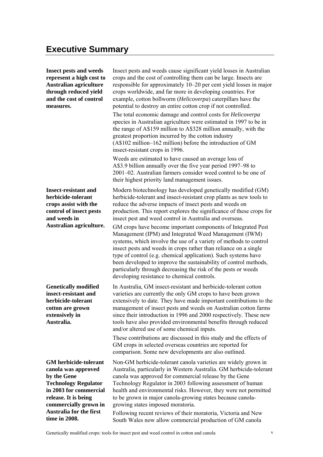<span id="page-4-0"></span>**Insect pests and weeds represent a high cost to Australian agriculture through reduced yield and the cost of control measures.**  Insect pests and weeds cause significant yield losses in Australian crops and the cost of controlling them can be large. Insects are responsible for approximately 10–20 per cent yield losses in major crops worldwide, and far more in developing countries. For example, cotton bollworm (*Helicoverpa*) caterpillars have the potential to destroy an entire cotton crop if not controlled. The total economic damage and control costs for *Helicoverpa* species in Australian agriculture were estimated in 1997 to be in the range of A\$159 million to A\$328 million annually, with the greatest proportion incurred by the cotton industry (A\$102 million–162 million) before the introduction of GM insect-resistant crops in 1996 Weeds are estimated to have caused an average loss of A\$3.9 billion annually over the five year period 1997–98 to 2001–02. Australian farmers consider weed control to be one of their highest priority land management issues. **Insect-resistant and herbicide-tolerant crops assist with the control of insect pests and weeds in Australian agriculture.**  Modern biotechnology has developed genetically modified (GM) herbicide-tolerant and insect-resistant crop plants as new tools to reduce the adverse impacts of insect pests and weeds on production. This report explores the significance of these crops for insect pest and weed control in Australia and overseas. GM crops have become important components of Integrated Pest Management (IPM) and Integrated Weed Management (IWM) systems, which involve the use of a variety of methods to control insect pests and weeds in crops rather than reliance on a single type of control (e.g. chemical application). Such systems have been developed to improve the sustainability of control methods, particularly through decreasing the risk of the pests or weeds developing resistance to chemical controls. **Genetically modified insect-resistant and herbicide-tolerant cotton are grown extensively in Australia.**  In Australia, GM insect-resistant and herbicide-tolerant cotton varieties are currently the only GM crops to have been grown extensively to date. They have made important contributions to the management of insect pests and weeds on Australian cotton farms since their introduction in 1996 and 2000 respectively. These new tools have also provided environmental benefits through reduced and/or altered use of some chemical inputs. These contributions are discussed in this study and the effects of GM crops in selected overseas countries are reported for

**GM herbicide-tolerant canola was approved by the Gene Technology Regulator in 2003 for commercial release. It is being commercially grown in Australia for the first time in 2008.** 

Non-GM herbicide-tolerant canola varieties are widely grown in Australia, particularly in Western Australia. GM herbicide-tolerant canola was approved for commercial release by the Gene Technology Regulator in 2003 following assessment of human health and environmental risks. However, they were not permitted to be grown in major canola-growing states because canolagrowing states imposed moratoria.

comparison. Some new developments are also outlined.

Following recent reviews of their moratoria, Victoria and New South Wales now allow commercial production of GM canola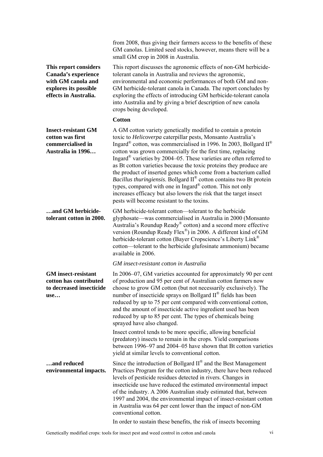**This report considers Canada's experience with GM canola and explores its possible effects in Australia.** 

**Insect-resistant GM cotton was first commercialised in Australia in 1996…** 

**…and GM herbicide-**

**GM insect-resistant cotton has contributed to decreased insecticide** 

**use…** 

from 2008, thus giving their farmers access to the benefits of these GM canolas. Limited seed stocks, however, means there will be a small GM crop in 2008 in Australia.

This report discusses the agronomic effects of non-GM herbicidetolerant canola in Australia and reviews the agronomic, environmental and economic performances of both GM and non-GM herbicide-tolerant canola in Canada. The report concludes by exploring the effects of introducing GM herbicide-tolerant canola into Australia and by giving a brief description of new canola crops being developed.

#### **Cotton**

A GM cotton variety genetically modified to contain a protein toxic to *Helicoverpa* caterpillar pests, Monsanto Australia's Ingard<sup>®</sup> cotton, was commercialised in 1996. In 2003, Bollgard II<sup>®</sup> cotton was grown commercially for the first time, replacing Ingard® varieties by 2004–05. These varieties are often referred to as Bt cotton varieties because the toxic proteins they produce are the product of inserted genes which come from a bacterium called *Bacillus thuringiensis*. Bollgard II® cotton contains two Bt protein types, compared with one in Ingard<sup>®</sup> cotton. This not only increases efficacy but also lowers the risk that the target insect pests will become resistant to the toxins.

**tolerant cotton in 2000.**  GM herbicide-tolerant cotton—tolerant to the herbicide glyphosate—was commercialised in Australia in 2000 (Monsanto Australia's Roundup Ready® cotton) and a second more effective version (Roundup Ready Flex®) in 2006. A different kind of GM herbicide-tolerant cotton (Bayer Cropscience's Liberty Link<sup>®</sup> cotton—tolerant to the herbicide glufosinate ammonium) became available in 2006.

### *GM insect-resistant cotton in Australia*

In 2006–07, GM varieties accounted for approximately 90 per cent of production and 95 per cent of Australian cotton farmers now choose to grow GM cotton (but not necessarily exclusively). The number of insecticide sprays on Bollgard II® fields has been reduced by up to 75 per cent compared with conventional cotton, and the amount of insecticide active ingredient used has been reduced by up to 85 per cent. The types of chemicals being sprayed have also changed.

Insect control tends to be more specific, allowing beneficial (predatory) insects to remain in the crops. Yield comparisons between 1996–97 and 2004–05 have shown that Bt cotton varieties yield at similar levels to conventional cotton.

**…and reduced environmental impacts.**  Since the introduction of Bollgard  $II^{\circledast}$  and the Best Management Practices Program for the cotton industry, there have been reduced levels of pesticide residues detected in rivers. Changes in insecticide use have reduced the estimated environmental impact of the industry. A 2006 Australian study estimated that, between 1997 and 2004, the environmental impact of insect-resistant cotton in Australia was 64 per cent lower than the impact of non-GM conventional cotton.

In order to sustain these benefits, the risk of insects becoming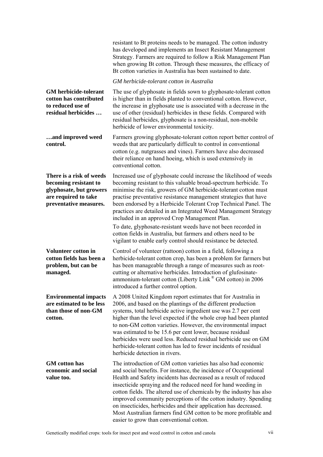|                                                                                                                                | resistant to Bt proteins needs to be managed. The cotton industry<br>has developed and implements an Insect Resistant Management<br>Strategy. Farmers are required to follow a Risk Management Plan<br>when growing Bt cotton. Through these measures, the efficacy of<br>Bt cotton varieties in Australia has been sustained to date.                                                                                                                                                                                                                                                                |
|--------------------------------------------------------------------------------------------------------------------------------|-------------------------------------------------------------------------------------------------------------------------------------------------------------------------------------------------------------------------------------------------------------------------------------------------------------------------------------------------------------------------------------------------------------------------------------------------------------------------------------------------------------------------------------------------------------------------------------------------------|
|                                                                                                                                | GM herbicide-tolerant cotton in Australia                                                                                                                                                                                                                                                                                                                                                                                                                                                                                                                                                             |
| <b>GM</b> herbicide-tolerant<br>cotton has contributed<br>to reduced use of<br>residual herbicides                             | The use of glyphosate in fields sown to glyphosate-tolerant cotton<br>is higher than in fields planted to conventional cotton. However,<br>the increase in glyphosate use is associated with a decrease in the<br>use of other (residual) herbicides in these fields. Compared with<br>residual herbicides, glyphosate is a non-residual, non-mobile<br>herbicide of lower environmental toxicity.                                                                                                                                                                                                    |
| and improved weed<br>control.                                                                                                  | Farmers growing glyphosate-tolerant cotton report better control of<br>weeds that are particularly difficult to control in conventional<br>cotton (e.g. nutgrasses and vines). Farmers have also decreased<br>their reliance on hand hoeing, which is used extensively in<br>conventional cotton.                                                                                                                                                                                                                                                                                                     |
| There is a risk of weeds<br>becoming resistant to<br>glyphosate, but growers<br>are required to take<br>preventative measures. | Increased use of glyphosate could increase the likelihood of weeds<br>becoming resistant to this valuable broad-spectrum herbicide. To<br>minimise the risk, growers of GM herbicide-tolerant cotton must<br>practise preventative resistance management strategies that have<br>been endorsed by a Herbicide Tolerant Crop Technical Panel. The<br>practices are detailed in an Integrated Weed Management Strategy<br>included in an approved Crop Management Plan.                                                                                                                                 |
|                                                                                                                                | To date, glyphosate-resistant weeds have not been recorded in<br>cotton fields in Australia, but farmers and others need to be<br>vigilant to enable early control should resistance be detected.                                                                                                                                                                                                                                                                                                                                                                                                     |
| <b>Volunteer cotton in</b><br>cotton fields has been a<br>problem, but can be<br>managed.                                      | Control of volunteer (rattoon) cotton in a field, following a<br>herbicide-tolerant cotton crop, has been a problem for farmers but<br>has been manageable through a range of measures such as root-<br>cutting or alternative herbicides. Introduction of glufosinate-<br>ammonium-tolerant cotton (Liberty Link® GM cotton) in 2006<br>introduced a further control option.                                                                                                                                                                                                                         |
| <b>Environmental impacts</b><br>are estimated to be less<br>than those of non-GM<br>cotton.                                    | A 2008 United Kingdom report estimates that for Australia in<br>2006, and based on the plantings of the different production<br>systems, total herbicide active ingredient use was 2.7 per cent<br>higher than the level expected if the whole crop had been planted<br>to non-GM cotton varieties. However, the environmental impact<br>was estimated to be 15.6 per cent lower, because residual<br>herbicides were used less. Reduced residual herbicide use on GM<br>herbicide-tolerant cotton has led to fewer incidents of residual<br>herbicide detection in rivers.                           |
| <b>GM</b> cotton has<br>economic and social<br>value too.                                                                      | The introduction of GM cotton varieties has also had economic<br>and social benefits. For instance, the incidence of Occupational<br>Health and Safety incidents has decreased as a result of reduced<br>insecticide spraying and the reduced need for hand weeding in<br>cotton fields. The altered use of chemicals by the industry has also<br>improved community perceptions of the cotton industry. Spending<br>on insecticides, herbicides and their application has decreased.<br>Most Australian farmers find GM cotton to be more profitable and<br>easier to grow than conventional cotton. |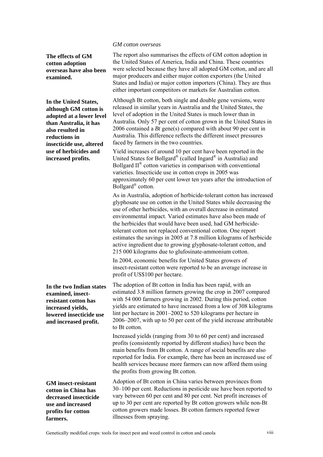#### *GM cotton overseas*

**The effects of GM cotton adoption overseas have also been examined.** 

**In the United States, although GM cotton is adopted at a lower level than Australia, it has also resulted in reductions in insecticide use, altered use of herbicides and increased profits.** 

**In the two Indian states examined, insectresistant cotton has increased yields, lowered insecticide use and increased profit.** 

**GM insect-resistant cotton in China has decreased insecticide use and increased profits for cotton farmers.** 

The report also summarises the effects of GM cotton adoption in the United States of America, India and China. These countries were selected because they have all adopted GM cotton, and are all major producers and either major cotton exporters (the United States and India) or major cotton importers (China). They are thus either important competitors or markets for Australian cotton.

Although Bt cotton, both single and double gene versions, were released in similar years in Australia and the United States, the level of adoption in the United States is much lower than in Australia. Only 57 per cent of cotton grown in the United States in 2006 contained a *Bt* gene(s) compared with about 90 per cent in Australia. This difference reflects the different insect pressures faced by farmers in the two countries.

Yield increases of around 10 per cent have been reported in the United States for Bollgard® (called Ingard® in Australia) and Bollgard  $II^{\circledast}$  cotton varieties in comparison with conventional varieties. Insecticide use in cotton crops in 2005 was approximately 60 per cent lower ten years after the introduction of Bollgard® cotton.

As in Australia, adoption of herbicide-tolerant cotton has increased glyphosate use on cotton in the United States while decreasing the use of other herbicides, with an overall decrease in estimated environmental impact. Varied estimates have also been made of the herbicides that would have been used, had GM herbicidetolerant cotton not replaced conventional cotton. One report estimates the savings in 2005 at 7.8 million kilograms of herbicide active ingredient due to growing glyphosate-tolerant cotton, and 215 000 kilograms due to glufosinate-ammonium cotton.

In 2004, economic benefits for United States growers of insect-resistant cotton were reported to be an average increase in profit of US\$100 per hectare.

The adoption of Bt cotton in India has been rapid, with an estimated 3.8 million farmers growing the crop in 2007 compared with 54 000 farmers growing in 2002. During this period, cotton yields are estimated to have increased from a low of 308 kilograms lint per hectare in 2001–2002 to 520 kilograms per hectare in 2006–2007, with up to 50 per cent of the yield increase attributable to Bt cotton.

Increased yields (ranging from 30 to 60 per cent) and increased profits (consistently reported by different studies) have been the main benefits from Bt cotton. A range of social benefits are also reported for India. For example, there has been an increased use of health services because more farmers can now afford them using the profits from growing Bt cotton.

Adoption of Bt cotton in China varies between provinces from 30–100 per cent. Reductions in pesticide use have been reported to vary between 60 per cent and 80 per cent. Net profit increases of up to 30 per cent are reported by Bt cotton growers while non-Bt cotton growers made losses. Bt cotton farmers reported fewer illnesses from spraying.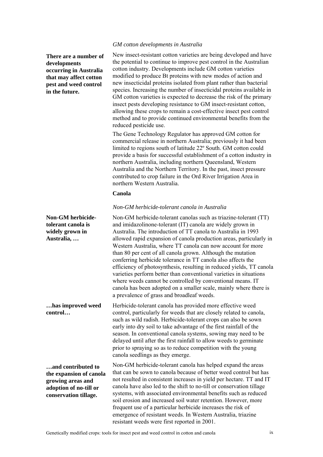### *GM cotton developments in Australia*

**There are a number of developments occurring in Australia that may affect cotton pest and weed control in the future.** 

new insecticidal proteins isolated from plant rather than bacterial species. Increasing the number of insecticidal proteins available in GM cotton varieties is expected to decrease the risk of the primary insect pests developing resistance to GM insect-resistant cotton, allowing these crops to remain a cost-effective insect pest control method and to provide continued environmental benefits from the reduced pesticide use. The Gene Technology Regulator has approved GM cotton for

New insect-resistant cotton varieties are being developed and have the potential to continue to improve pest control in the Australian cotton industry. Developments include GM cotton varieties modified to produce Bt proteins with new modes of action and

commercial release in northern Australia; previously it had been limited to regions south of latitude 22º South. GM cotton could provide a basis for successful establishment of a cotton industry in northern Australia, including northern Queensland, Western Australia and the Northern Territory. In the past, insect pressure contributed to crop failure in the Ord River Irrigation Area in northern Western Australia.

### **Canola**

### *Non-GM herbicide-tolerant canola in Australia*

Non-GM herbicide-tolerant canolas such as triazine-tolerant (TT) and imidazolinone-tolerant (IT) canola are widely grown in Australia. The introduction of TT canola to Australia in 1993 allowed rapid expansion of canola production areas, particularly in Western Australia, where TT canola can now account for more than 80 per cent of all canola grown. Although the mutation conferring herbicide tolerance in TT canola also affects the efficiency of photosynthesis, resulting in reduced yields, TT canola varieties perform better than conventional varieties in situations where weeds cannot be controlled by conventional means. IT canola has been adopted on a smaller scale, mainly where there is a prevalence of grass and broadleaf weeds.

Herbicide-tolerant canola has provided more effective weed control, particularly for weeds that are closely related to canola, such as wild radish. Herbicide-tolerant crops can also be sown early into dry soil to take advantage of the first rainfall of the season. In conventional canola systems, sowing may need to be delayed until after the first rainfall to allow weeds to germinate prior to spraying so as to reduce competition with the young canola seedlings as they emerge.

Non-GM herbicide-tolerant canola has helped expand the areas that can be sown to canola because of better weed control but has not resulted in consistent increases in yield per hectare. TT and IT canola have also led to the shift to no-till or conservation tillage systems, with associated environmental benefits such as reduced soil erosion and increased soil water retention. However, more frequent use of a particular herbicide increases the risk of emergence of resistant weeds. In Western Australia, triazine resistant weeds were first reported in 2001.

**Non-GM herbicidetolerant canola is widely grown in Australia, …** 

**…has improved weed control…** 

**…and contributed to the expansion of canola growing areas and adoption of no-till or conservation tillage.**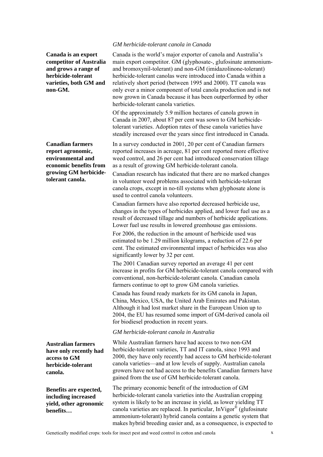### **Canada is an export competitor of Australia and grows a range of herbicide-tolerant varieties, both GM and non-GM.**

**Canadian farmers report agronomic, environmental and economic benefits from growing GM herbicidetolerant canola.** 

**Australian farmers have only recently had access to GM herbicide-tolerant canola.** 

**Benefits are expected, including increased yield, other agronomic benefits…** 

### *GM herbicide-tolerant canola in Canada*

Canada is the world's major exporter of canola and Australia's main export competitor. GM (glyphosate-, glufosinate ammoniumand bromoxynil-tolerant) and non-GM (imidazolinone-tolerant) herbicide-tolerant canolas were introduced into Canada within a relatively short period (between 1995 and 2000). TT canola was only ever a minor component of total canola production and is not now grown in Canada because it has been outperformed by other herbicide-tolerant canola varieties.

Of the approximately 5.9 million hectares of canola grown in Canada in 2007, about 87 per cent was sown to GM herbicidetolerant varieties. Adoption rates of these canola varieties have steadily increased over the years since first introduced in Canada.

In a survey conducted in 2001, 20 per cent of Canadian farmers reported increases in acreage, 81 per cent reported more effective weed control, and 26 per cent had introduced conservation tillage as a result of growing GM herbicide-tolerant canola.

Canadian research has indicated that there are no marked changes in volunteer weed problems associated with herbicide-tolerant canola crops, except in no-till systems when glyphosate alone is used to control canola volunteers.

Canadian farmers have also reported decreased herbicide use, changes in the types of herbicides applied, and lower fuel use as a result of decreased tillage and numbers of herbicide applications. Lower fuel use results in lowered greenhouse gas emissions.

For 2006, the reduction in the amount of herbicide used was estimated to be 1.29 million kilograms, a reduction of 22.6 per cent. The estimated environmental impact of herbicides was also significantly lower by 32 per cent.

The 2001 Canadian survey reported an average 41 per cent increase in profits for GM herbicide-tolerant canola compared with conventional, non-herbicide-tolerant canola. Canadian canola farmers continue to opt to grow GM canola varieties.

Canada has found ready markets for its GM canola in Japan, China, Mexico, USA, the United Arab Emirates and Pakistan. Although it had lost market share in the European Union up to 2004, the EU has resumed some import of GM-derived canola oil for biodiesel production in recent years.

#### *GM herbicide-tolerant canola in Australia*

While Australian farmers have had access to two non-GM herbicide-tolerant varieties, TT and IT canola, since 1993 and 2000, they have only recently had access to GM herbicide-tolerant canola varieties—and at low levels of supply. Australian canola growers have not had access to the benefits Canadian farmers have gained from the use of GM herbicide-tolerant canola.

The primary economic benefit of the introduction of GM herbicide-tolerant canola varieties into the Australian cropping system is likely to be an increase in yield, as lower yielding TT canola varieties are replaced. In particular, InVigor® (glufosinate ammonium-tolerant) hybrid canola contains a genetic system that makes hybrid breeding easier and, as a consequence, is expected to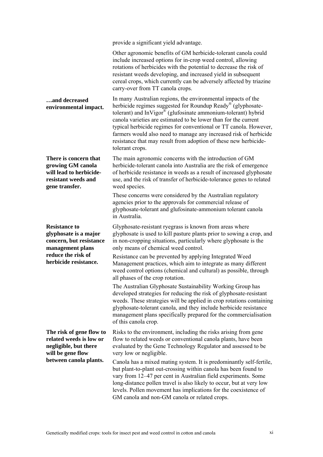|                                                                                                                | provide a significant yield advantage.                                                                                                                                                                                                                                                                                                                                                                                                                                                         |
|----------------------------------------------------------------------------------------------------------------|------------------------------------------------------------------------------------------------------------------------------------------------------------------------------------------------------------------------------------------------------------------------------------------------------------------------------------------------------------------------------------------------------------------------------------------------------------------------------------------------|
|                                                                                                                | Other agronomic benefits of GM herbicide-tolerant canola could<br>include increased options for in-crop weed control, allowing<br>rotations of herbicides with the potential to decrease the risk of<br>resistant weeds developing, and increased yield in subsequent<br>cereal crops, which currently can be adversely affected by triazine<br>carry-over from TT canola crops.                                                                                                               |
| and decreased<br>environmental impact.                                                                         | In many Australian regions, the environmental impacts of the<br>herbicide regimes suggested for Roundup Ready® (glyphosate-<br>tolerant) and $Inv®$ (glufosinate ammonium-tolerant) hybrid<br>canola varieties are estimated to be lower than for the current<br>typical herbicide regimes for conventional or TT canola. However,<br>farmers would also need to manage any increased risk of herbicide<br>resistance that may result from adoption of these new herbicide-<br>tolerant crops. |
| There is concern that<br>growing GM canola<br>will lead to herbicide-<br>resistant weeds and<br>gene transfer. | The main agronomic concerns with the introduction of GM<br>herbicide-tolerant canola into Australia are the risk of emergence<br>of herbicide resistance in weeds as a result of increased glyphosate<br>use, and the risk of transfer of herbicide-tolerance genes to related<br>weed species.                                                                                                                                                                                                |
|                                                                                                                | These concerns were considered by the Australian regulatory<br>agencies prior to the approvals for commercial release of<br>glyphosate-tolerant and glufosinate-ammonium tolerant canola<br>in Australia.                                                                                                                                                                                                                                                                                      |
| <b>Resistance to</b><br>glyphosate is a major<br>concern, but resistance<br>management plans                   | Glyphosate-resistant ryegrass is known from areas where<br>glyphosate is used to kill pasture plants prior to sowing a crop, and<br>in non-cropping situations, particularly where glyphosate is the<br>only means of chemical weed control.                                                                                                                                                                                                                                                   |
| reduce the risk of<br>herbicide resistance.                                                                    | Resistance can be prevented by applying Integrated Weed<br>Management practices, which aim to integrate as many different<br>weed control options (chemical and cultural) as possible, through<br>all phases of the crop rotation.                                                                                                                                                                                                                                                             |
|                                                                                                                | The Australian Glyphosate Sustainability Working Group has<br>developed strategies for reducing the risk of glyphosate-resistant<br>weeds. These strategies will be applied in crop rotations containing<br>glyphosate-tolerant canola, and they include herbicide resistance<br>management plans specifically prepared for the commercialisation<br>of this canola crop.                                                                                                                      |
| The risk of gene flow to<br>related weeds is low or<br>negligible, but there<br>will be gene flow              | Risks to the environment, including the risks arising from gene<br>flow to related weeds or conventional canola plants, have been<br>evaluated by the Gene Technology Regulator and assessed to be<br>very low or negligible.                                                                                                                                                                                                                                                                  |
| between canola plants.                                                                                         | Canola has a mixed mating system. It is predominantly self-fertile,<br>but plant-to-plant out-crossing within canola has been found to<br>vary from 12–47 per cent in Australian field experiments. Some<br>long-distance pollen travel is also likely to occur, but at very low<br>levels. Pollen movement has implications for the coexistence of<br>GM canola and non-GM canola or related crops.                                                                                           |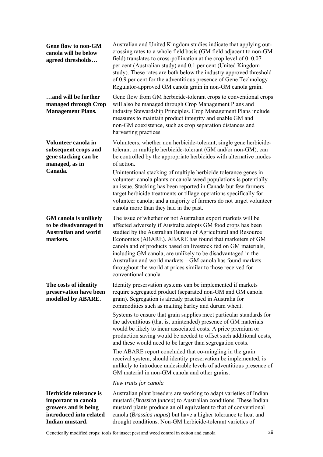**Gene flow to non-GM canola will be below agreed thresholds…** 

**…and will be further managed through Crop Management Plans.** 

**Volunteer canola in subsequent crops and gene stacking can be managed, as in Canada.** 

**GM canola is unlikely to be disadvantaged in Australian and world markets.** 

**The costs of identity preservation have been modelled by ABARE.** 

**Herbicide tolerance is important to canola growers and is being introduced into related Indian mustard.** 

Australian and United Kingdom studies indicate that applying outcrossing rates to a whole field basis (GM field adjacent to non-GM field) translates to cross-pollination at the crop level of 0–0.07 per cent (Australian study) and 0.1 per cent (United Kingdom study). These rates are both below the industry approved threshold of 0.9 per cent for the adventitious presence of Gene Technology Regulator-approved GM canola grain in non-GM canola grain.

Gene flow from GM herbicide-tolerant crops to conventional crops will also be managed through Crop Management Plans and industry Stewardship Principles. Crop Management Plans include measures to maintain product integrity and enable GM and non-GM coexistence, such as crop separation distances and harvesting practices.

Volunteers, whether non herbicide-tolerant, single gene herbicidetolerant or multiple herbicide-tolerant (GM and/or non-GM), can be controlled by the appropriate herbicides with alternative modes of action.

Unintentional stacking of multiple herbicide tolerance genes in volunteer canola plants or canola weed populations is potentially an issue. Stacking has been reported in Canada but few farmers target herbicide treatments or tillage operations specifically for volunteer canola; and a majority of farmers do not target volunteer canola more than they had in the past.

The issue of whether or not Australian export markets will be affected adversely if Australia adopts GM food crops has been studied by the Australian Bureau of Agricultural and Resource Economics (ABARE). ABARE has found that marketers of GM canola and of products based on livestock fed on GM materials, including GM canola, are unlikely to be disadvantaged in the Australian and world markets—GM canola has found markets throughout the world at prices similar to those received for conventional canola.

Identity preservation systems can be implemented if markets require segregated product (separated non-GM and GM canola grain). Segregation is already practised in Australia for commodities such as malting barley and durum wheat.

Systems to ensure that grain supplies meet particular standards for the adventitious (that is, unintended) presence of GM materials would be likely to incur associated costs. A price premium or production saving would be needed to offset such additional costs, and these would need to be larger than segregation costs.

The ABARE report concluded that co-mingling in the grain receival system, should identity preservation be implemented, is unlikely to introduce undesirable levels of adventitious presence of GM material in non-GM canola and other grains.

### *New traits for canola*

Australian plant breeders are working to adapt varieties of Indian mustard (*Brassica juncea*) to Australian conditions. These Indian mustard plants produce an oil equivalent to that of conventional canola (*Brassica napus*) but have a higher tolerance to heat and drought conditions. Non-GM herbicide-tolerant varieties of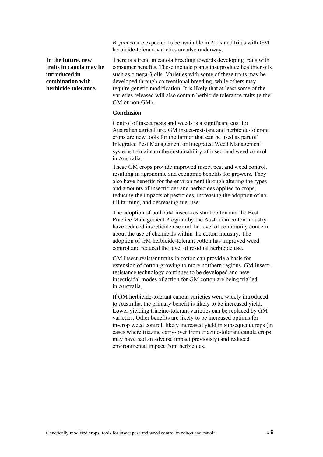*B. juncea* are expected to be available in 2009 and trials with GM herbicide-tolerant varieties are also underway.

**In the future, new traits in canola may be introduced in combination with herbicide tolerance.** 

There is a trend in canola breeding towards developing traits with consumer benefits. These include plants that produce healthier oils such as omega-3 oils. Varieties with some of these traits may be developed through conventional breeding, while others may require genetic modification. It is likely that at least some of the varieties released will also contain herbicide tolerance traits (either GM or non-GM).

### **Conclusion**

Control of insect pests and weeds is a significant cost for Australian agriculture. GM insect-resistant and herbicide-tolerant crops are new tools for the farmer that can be used as part of Integrated Pest Management or Integrated Weed Management systems to maintain the sustainability of insect and weed control in Australia.

These GM crops provide improved insect pest and weed control, resulting in agronomic and economic benefits for growers. They also have benefits for the environment through altering the types and amounts of insecticides and herbicides applied to crops, reducing the impacts of pesticides, increasing the adoption of notill farming, and decreasing fuel use.

The adoption of both GM insect-resistant cotton and the Best Practice Management Program by the Australian cotton industry have reduced insecticide use and the level of community concern about the use of chemicals within the cotton industry. The adoption of GM herbicide-tolerant cotton has improved weed control and reduced the level of residual herbicide use.

GM insect-resistant traits in cotton can provide a basis for extension of cotton-growing to more northern regions. GM insectresistance technology continues to be developed and new insecticidal modes of action for GM cotton are being trialled in Australia.

If GM herbicide-tolerant canola varieties were widely introduced to Australia, the primary benefit is likely to be increased yield. Lower yielding triazine-tolerant varieties can be replaced by GM varieties. Other benefits are likely to be increased options for in-crop weed control, likely increased yield in subsequent crops (in cases where triazine carry-over from triazine-tolerant canola crops may have had an adverse impact previously) and reduced environmental impact from herbicides.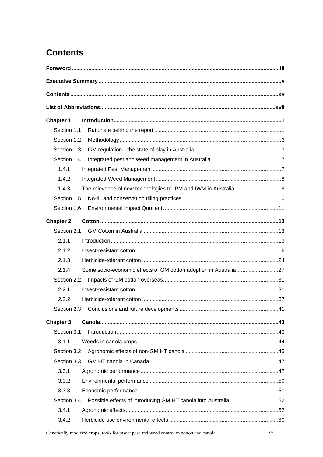# <span id="page-14-0"></span>**Contents**

| <b>Chapter 1</b> |                                                                |  |
|------------------|----------------------------------------------------------------|--|
| Section 1.1      |                                                                |  |
| Section 1.2      |                                                                |  |
| Section 1.3      |                                                                |  |
| Section 1.4      |                                                                |  |
| 1.4.1            |                                                                |  |
| 1.4.2            |                                                                |  |
| 1.4.3            |                                                                |  |
| Section 1.5      |                                                                |  |
| Section 1.6      |                                                                |  |
| <b>Chapter 2</b> |                                                                |  |
| Section 2.1      |                                                                |  |
| 2.1.1            |                                                                |  |
| 2.1.2            |                                                                |  |
| 2.1.3            |                                                                |  |
| 2.1.4            |                                                                |  |
| Section 2.2      |                                                                |  |
| 2.2.1            |                                                                |  |
| 2.2.2            |                                                                |  |
| Section 2.3      |                                                                |  |
| <b>Chapter 3</b> |                                                                |  |
| Section 3.1      |                                                                |  |
| 3.1.1            |                                                                |  |
| Section 3.2      |                                                                |  |
| Section 3.3      |                                                                |  |
| 3.3.1            |                                                                |  |
| 3.3.2            |                                                                |  |
| 3.3.3            |                                                                |  |
| Section 3.4      | Possible effects of introducing GM HT canola into Australia 52 |  |
| 3.4.1            |                                                                |  |
| 3.4.2            |                                                                |  |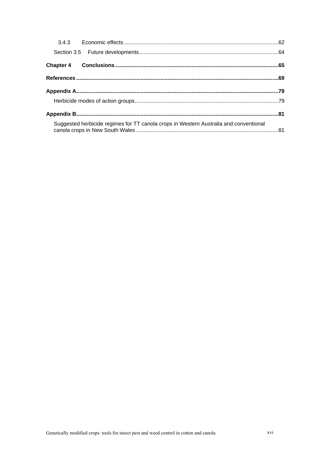| Suggested herbicide regimes for TT canola crops in Western Australia and conventional |  |
|---------------------------------------------------------------------------------------|--|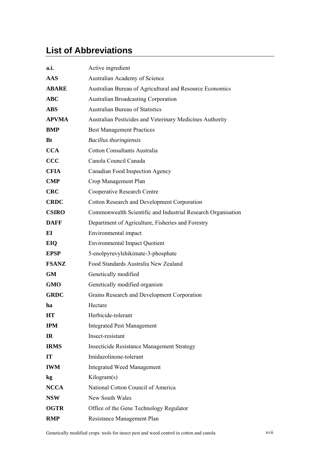# <span id="page-16-0"></span>**List of Abbreviations**

| a.i.           | Active ingredient                                            |
|----------------|--------------------------------------------------------------|
| <b>AAS</b>     | Australian Academy of Science                                |
| <b>ABARE</b>   | Australian Bureau of Agricultural and Resource Economics     |
| <b>ABC</b>     | <b>Australian Broadcasting Corporation</b>                   |
| <b>ABS</b>     | <b>Australian Bureau of Statistics</b>                       |
| <b>APVMA</b>   | Australian Pesticides and Veterinary Medicines Authority     |
| <b>BMP</b>     | <b>Best Management Practices</b>                             |
| <b>Bt</b>      | <b>Bacillus thuringiensis</b>                                |
| <b>CCA</b>     | Cotton Consultants Australia                                 |
| <b>CCC</b>     | Canola Council Canada                                        |
| <b>CFIA</b>    | Canadian Food Inspection Agency                              |
| $\mathbf{CMP}$ | Crop Management Plan                                         |
| <b>CRC</b>     | Cooperative Research Centre                                  |
| <b>CRDC</b>    | <b>Cotton Research and Development Corporation</b>           |
| <b>CSIRO</b>   | Commonwealth Scientific and Industrial Research Organisation |
| <b>DAFF</b>    | Department of Agriculture, Fisheries and Forestry            |
| EI             | Environmental impact                                         |
| EIQ            | <b>Environmental Impact Quotient</b>                         |
| <b>EPSP</b>    | 5-enolpyruvylshikimate-3-phosphate                           |
| <b>FSANZ</b>   | Food Standards Australia New Zealand                         |
| <b>GM</b>      | Genetically modified                                         |
| <b>GMO</b>     | Genetically modified organism                                |
| <b>GRDC</b>    | Grains Research and Development Corporation                  |
| ha             | Hectare                                                      |
| <b>HT</b>      | Herbicide-tolerant                                           |
| <b>IPM</b>     | <b>Integrated Pest Management</b>                            |
| <b>IR</b>      | Insect-resistant                                             |
| <b>IRMS</b>    | <b>Insecticide Resistance Management Strategy</b>            |
| <b>IT</b>      | Imidazolinone-tolerant                                       |
| <b>IWM</b>     | <b>Integrated Weed Management</b>                            |
| kg             | Kilogram(s)                                                  |
| <b>NCCA</b>    | National Cotton Council of America                           |
| <b>NSW</b>     | New South Wales                                              |
| <b>OGTR</b>    | Office of the Gene Technology Regulator                      |
| <b>RMP</b>     | Resistance Management Plan                                   |

Genetically modified crops: tools for insect pest and weed control in cotton and canola xvii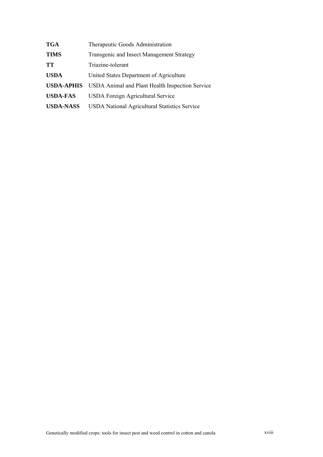| <b>TGA</b>        | Therapeutic Goods Administration                     |
|-------------------|------------------------------------------------------|
| <b>TIMS</b>       | Transgenic and Insect Management Strategy            |
| TT                | Triazine-tolerant                                    |
| <b>USDA</b>       | United States Department of Agriculture              |
| <b>USDA-APHIS</b> | USDA Animal and Plant Health Inspection Service      |
| <b>USDA-FAS</b>   | <b>USDA</b> Foreign Agricultural Service             |
| <b>USDA-NASS</b>  | <b>USDA National Agricultural Statistics Service</b> |
|                   |                                                      |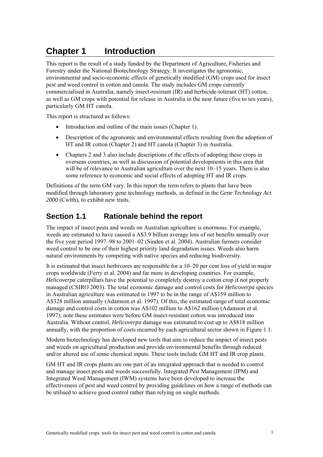# <span id="page-18-0"></span>**Chapter 1 Introduction**

This report is the result of a study funded by the Department of Agriculture, Fisheries and Forestry under the National Biotechnology Strategy. It investigates the agronomic, environmental and socio-economic effects of genetically modified (GM) crops used for insect pest and weed control in cotton and canola. The study includes GM crops currently commercialised in Australia, namely insect-resistant (IR) and herbicide-tolerant (HT) cotton, as well as GM crops with potential for release in Australia in the near future (five to ten years), particularly GM HT canola.

This report is structured as follows:

- Introduction and outline of the main issues (Chapter 1).
- Description of the agronomic and environmental effects resulting from the adoption of HT and IR cotton (Chapter 2) and HT canola (Chapter 3) in Australia.
- Chapters 2 and 3 also include descriptions of the effects of adopting these crops in overseas countries, as well as discussion of potential developments in this area that will be of relevance to Australian agriculture over the next  $10-15$  years. There is also some reference to economic and social effects of adopting HT and IR crops.

Definitions of the term GM vary. In this report the term refers to plants that have been modified through laboratory gene technology methods, as defined in the *Gene Technology Act 2000* (Cwlth), to exhibit new traits.

## **Section 1.1 Rationale behind the report**

The impact of insect pests and weeds on Australian agriculture is enormous. For example, weeds are estimated to have caused a A\$3.9 billion average loss of net benefits annually over the five year period 1997–98 to 2001–02 (Sinden et al. 2004). Australian farmers consider weed control to be one of their highest priority land degradation issues. Weeds also harm natural environments by competing with native species and reducing biodiversity.

It is estimated that insect herbivores are responsible for a 10–20 per cent loss of yield in major crops worldwide (Ferry et al. 2004) and far more in developing countries. For example, *Helicoverpa* caterpillars have the potential to completely destroy a cotton crop if not properly managed (CSIRO 2003). The total economic damage and control costs for *Helicoverpa* species in Australian agriculture was estimated in 1997 to be in the range of A\$159 million to A\$328 million annually (Adamson et al. 1997). Of this, the estimated range of total economic damage and control costs in cotton was A\$102 million to A\$162 million (Adamson et al. 1997); note these estimates were before GM insect-resistant cotton was introduced into Australia. Without control, *Helicoverpa* damage was estimated to cost up to A\$818 million annually, with the proportion of costs incurred by each agricultural sector shown in Figure 1.1.

Modern biotechnology has developed new tools that aim to reduce the impact of insect pests and weeds on agricultural production and provide environmental benefits through reduced and/or altered use of some chemical inputs. These tools include GM HT and IR crop plants.

GM HT and IR crops plants are one part of an integrated approach that is needed to control and manage insect pests and weeds successfully. Integrated Pest Management (IPM) and Integrated Weed Management (IWM) systems have been developed to increase the effectiveness of pest and weed control by providing guidelines on how a range of methods can be utilised to achieve good control rather than relying on single methods.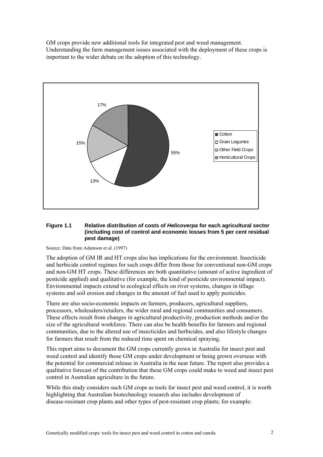GM crops provide new additional tools for integrated pest and weed management. Understanding the farm management issues associated with the deployment of these crops is important to the wider debate on the adoption of this technology.



### **Figure 1.1 Relative distribution of costs of** *Helicoverpa* **for each agricultural sector (including cost of control and economic losses from 5 per cent residual pest damage)**

Source: Data from Adamson et al. (1997)

The adoption of GM IR and HT crops also has implications for the environment. Insecticide and herbicide control regimes for such crops differ from those for conventional non-GM crops and non-GM HT crops. These differences are both quantitative (amount of active ingredient of pesticide applied) and qualitative (for example, the kind of pesticide environmental impact). Environmental impacts extend to ecological effects on river systems, changes in tillage systems and soil erosion and changes in the amount of fuel used to apply pesticides.

There are also socio-economic impacts on farmers, producers, agricultural suppliers, processors, wholesalers/retailers, the wider rural and regional communities and consumers. These effects result from changes in agricultural productivity, production methods and/or the size of the agricultural workforce. There can also be health benefits for farmers and regional communities, due to the altered use of insecticides and herbicides, and also lifestyle changes for farmers that result from the reduced time spent on chemical spraying.

This report aims to document the GM crops currently grown in Australia for insect pest and weed control and identify those GM crops under development or being grown overseas with the potential for commercial release in Australia in the near future. The report also provides a qualitative forecast of the contribution that these GM crops could make to weed and insect pest control in Australian agriculture in the future.

While this study considers such GM crops as tools for insect pest and weed control, it is worth highlighting that Australian biotechnology research also includes development of disease-resistant crop plants and other types of pest-resistant crop plants; for example: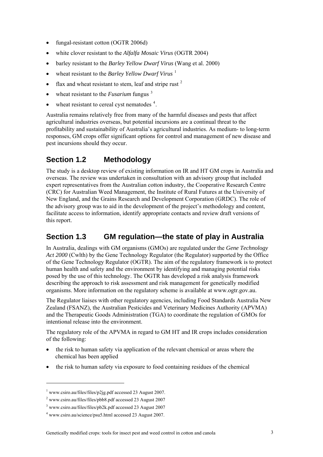- <span id="page-20-0"></span>• fungal-resistant cotton (OGTR 2006d)
- white clover resistant to the *Alfalfa Mosaic Virus* (OGTR 2004)
- barley resistant to the *Barley Yellow Dwarf Virus* (Wang et al. 2000)
- wheat resistant to the *Barley Yellow Dwarf Virus* <sup>[1](#page-20-0)</sup>
- flax and wheat resistant to stem, leaf and stripe rust  $2$
- wheat resistant to the *Fusarium* fungus<sup>[3](#page-20-0)</sup>
- $\bullet$  wheat resistant to cereal cyst nematodes  $4$ .

Australia remains relatively free from many of the harmful diseases and pests that affect agricultural industries overseas, but potential incursions are a continual threat to the profitability and sustainability of Australia's agricultural industries. As medium- to long-term responses, GM crops offer significant options for control and management of new disease and pest incursions should they occur.

## **Section 1.2 Methodology**

The study is a desktop review of existing information on IR and HT GM crops in Australia and overseas. The review was undertaken in consultation with an advisory group that included expert representatives from the Australian cotton industry, the Cooperative Research Centre (CRC) for Australian Weed Management, the Institute of Rural Futures at the University of New England, and the Grains Research and Development Corporation (GRDC). The role of the advisory group was to aid in the development of the project's methodology and content, facilitate access to information, identify appropriate contacts and review draft versions of this report.

## **Section 1.3 GM regulation—the state of play in Australia**

In Australia, dealings with GM organisms (GMOs) are regulated under the *Gene Technology Act 2000* (Cwlth) by the Gene Technology Regulator (the Regulator) supported by the Office of the Gene Technology Regulator (OGTR). The aim of the regulatory framework is to protect human health and safety and the environment by identifying and managing potential risks posed by the use of this technology. The OGTR has developed a risk analysis framework describing the approach to risk assessment and risk management for genetically modified organisms. More information on the regulatory scheme is available at www.ogtr.gov.au.

The Regulator liaises with other regulatory agencies, including Food Standards Australia New Zealand (FSANZ), the Australian Pesticides and Veterinary Medicines Authority (APVMA) and the Therapeutic Goods Administration (TGA) to coordinate the regulation of GMOs for intentional release into the environment.

The regulatory role of the APVMA in regard to GM HT and IR crops includes consideration of the following:

- the risk to human safety via application of the relevant chemical or areas where the chemical has been applied
- the risk to human safety via exposure to food containing residues of the chemical

-

<sup>&</sup>lt;sup>1</sup> www.csiro.au/files/files/p2jg.pdf accessed 23 August 2007.

<sup>&</sup>lt;sup>2</sup> www.csiro.au/files/files/pbb8.pdf accessed 23 August 2007

<sup>3</sup> www.csiro.au/files/files/pb2k.pdf accessed 23 August 2007

<sup>4</sup> www.csiro.au/science/psu5.html accessed 23 August 2007.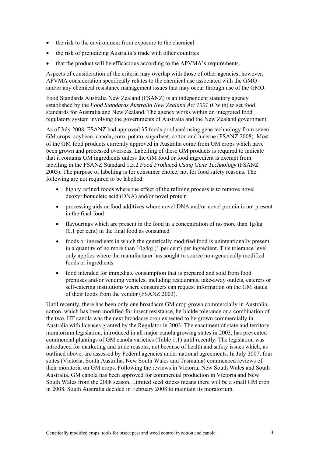- the risk to the environment from exposure to the chemical
- the risk of prejudicing Australia's trade with other countries
- that the product will be efficacious according to the APVMA's requirements.

Aspects of consideration of the criteria may overlap with those of other agencies; however, APVMA consideration specifically relates to the chemical use associated with the GMO and/or any chemical resistance management issues that may occur through use of the GMO.

Food Standards Australia New Zealand (FSANZ) is an independent statutory agency established by the *Food Standards Australia New Zealand Act 1991* (Cwlth) to set food standards for Australia and New Zealand. The agency works within an integrated food regulatory system involving the governments of Australia and the New Zealand government.

As of July 2008, FSANZ had approved 35 foods produced using gene technology from seven GM crops: soybean, canola, corn, potato, sugarbeet, cotton and lucerne (FSANZ 2008). Most of the GM food products currently approved in Australia come from GM crops which have been grown and processed overseas. Labelling of these GM products is required to indicate that it contains GM ingredients unless the GM food or food ingredient is exempt from labelling in the FSANZ Standard 1.5.2 *Food Produced Using Gene Technology* (FSANZ 2003). The purpose of labelling is for consumer choice; not for food safety reasons. The following are not required to be labelled:

- highly refined foods where the effect of the refining process is to remove novel deoxyribonucleic acid (DNA) and/or novel protein
- processing aids or food additives where novel DNA and/or novel protein is not present in the final food
- flavourings which are present in the food in a concentration of no more than  $1g/kg$ (0.1 per cent) in the final food as consumed
- foods or ingredients in which the genetically modified food is unintentionally present in a quantity of no more than 10g/kg (1 per cent) per ingredient. This tolerance level only applies where the manufacturer has sought to source non-genetically modified foods or ingredients
- food intended for immediate consumption that is prepared and sold from food premises and/or vending vehicles, including restaurants, take-away outlets, caterers or self-catering institutions where consumers can request information on the GM status of their foods from the vendor (FSANZ 2003).

Until recently, there has been only one broadacre GM crop grown commercially in Australia: cotton, which has been modified for insect resistance, herbicide tolerance or a combination of the two. HT canola was the next broadacre crop expected to be grown commercially in Australia with licences granted by the Regulator in 2003. The enactment of state and territory moratorium legislation, introduced in all major canola growing states in 2003, has prevented commercial plantings of GM canola varieties (Table 1.1) until recently. The legislation was introduced for marketing and trade reasons, not because of health and safety issues which, as outlined above, are assessed by Federal agencies under national agreements. In July 2007, four states (Victoria, South Australia, New South Wales and Tasmania) commenced reviews of their moratoria on GM crops. Following the reviews in Victoria, New South Wales and South Australia, GM canola has been approved for commercial production in Victoria and New South Wales from the 2008 season. Limited seed stocks means there will be a small GM crop in 2008. South Australia decided in February 2008 to maintain its moratorium.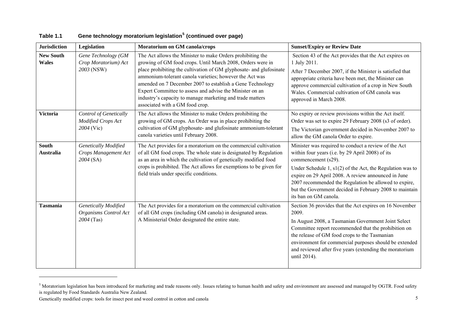| <b>Jurisdiction</b>              | Legislation                                                        | Moratorium on GM canola/crops                                                                                                                                                                                                                                                                                                                                                                                                                                                       | <b>Sunset/Expiry or Review Date</b>                                                                                                                                                                                                                                                                                                                                                                |
|----------------------------------|--------------------------------------------------------------------|-------------------------------------------------------------------------------------------------------------------------------------------------------------------------------------------------------------------------------------------------------------------------------------------------------------------------------------------------------------------------------------------------------------------------------------------------------------------------------------|----------------------------------------------------------------------------------------------------------------------------------------------------------------------------------------------------------------------------------------------------------------------------------------------------------------------------------------------------------------------------------------------------|
| <b>New South</b><br><b>Wales</b> | Gene Technology (GM<br>Crop Moratorium) Act<br>2003 (NSW)          | The Act allows the Minister to make Orders prohibiting the<br>growing of GM food crops. Until March 2008, Orders were in<br>place prohibiting the cultivation of GM glyphosate- and glufosinate<br>ammonium-tolerant canola varieties; however the Act was<br>amended on 7 December 2007 to establish a Gene Technology<br>Expert Committee to assess and advise the Minister on an<br>industry's capacity to manage marketing and trade matters<br>associated with a GM food crop. | Section 43 of the Act provides that the Act expires on<br>1 July 2011.<br>After 7 December 2007, if the Minister is satisfied that<br>appropriate criteria have been met, the Minister can<br>approve commercial cultivation of a crop in New South<br>Wales. Commercial cultivation of GM canola was<br>approved in March 2008.                                                                   |
| <b>Victoria</b>                  | <b>Control of Genetically</b><br>Modified Crops Act<br>2004 (Vic)  | The Act allows the Minister to make Orders prohibiting the<br>growing of GM crops. An Order was in place prohibiting the<br>cultivation of GM glyphosate- and glufosinate ammonium-tolerant<br>canola varieties until February 2008.                                                                                                                                                                                                                                                | No expiry or review provisions within the Act itself.<br>Order was set to expire 29 February 2008 (s3 of order).<br>The Victorian government decided in November 2007 to<br>allow the GM canola Order to expire.                                                                                                                                                                                   |
| <b>South</b><br><b>Australia</b> | Genetically Modified<br>Crops Management Act<br>2004 (SA)          | The Act provides for a moratorium on the commercial cultivation<br>of all GM food crops. The whole state is designated by Regulation<br>as an area in which the cultivation of genetically modified food<br>crops is prohibited. The Act allows for exemptions to be given for<br>field trials under specific conditions.                                                                                                                                                           | Minister was required to conduct a review of the Act<br>within four years (i.e. by 29 April 2008) of its<br>commencement (s29).<br>Under Schedule 1, $s1(2)$ of the Act, the Regulation was to<br>expire on 29 April 2008. A review announced in June<br>2007 recommended the Regulation be allowed to expire,<br>but the Government decided in February 2008 to maintain<br>its ban on GM canola. |
| <b>Tasmania</b>                  | <b>Genetically Modified</b><br>Organisms Control Act<br>2004 (Tas) | The Act provides for a moratorium on the commercial cultivation<br>of all GM crops (including GM canola) in designated areas.<br>A Ministerial Order designated the entire state.                                                                                                                                                                                                                                                                                                   | Section 36 provides that the Act expires on 16 November<br>2009.<br>In August 2008, a Tasmanian Government Joint Select<br>Committee report recommended that the prohibition on<br>the release of GM food crops to the Tasmanian<br>environment for commercial purposes should be extended<br>and reviewed after five years (extending the moratorium<br>until 2014).                              |

### **Table 1.1 Gene technology moratorium legislation[5](#page-22-0) (continued over page)**

<span id="page-22-0"></span><sup>&</sup>lt;sup>5</sup> Moratorium legislation has been introduced for marketing and trade reasons only. Issues relating to human health and safety and environment are assessed and managed by OGTR. Food safety is regulated by Food Standards Australia New Zealand.

Genetically modified crops: tools for insect pest and weed control in cotton and canola 5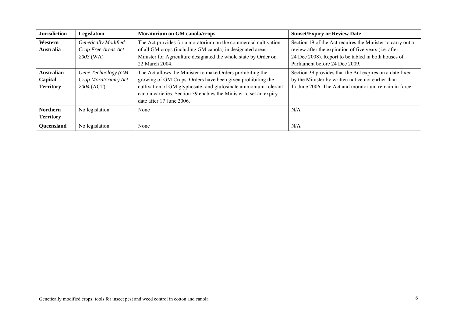| <b>Jurisdiction</b>                              | Legislation                                                     | Moratorium on GM canola/crops                                                                                                                                                                                                                                                                  | <b>Sunset/Expiry or Review Date</b>                                                                                                                                                                          |
|--------------------------------------------------|-----------------------------------------------------------------|------------------------------------------------------------------------------------------------------------------------------------------------------------------------------------------------------------------------------------------------------------------------------------------------|--------------------------------------------------------------------------------------------------------------------------------------------------------------------------------------------------------------|
| Western<br><b>Australia</b>                      | <b>Genetically Modified</b><br>Crop Free Areas Act<br>2003 (WA) | The Act provides for a moratorium on the commercial cultivation<br>of all GM crops (including GM canola) in designated areas.<br>Minister for Agriculture designated the whole state by Order on<br>22 March 2004.                                                                             | Section 19 of the Act requires the Minister to carry out a<br>review after the expiration of five years (i.e. after<br>24 Dec 2008). Report to be tabled in both houses of<br>Parliament before 24 Dec 2009. |
| <b>Australian</b><br>Capital<br><b>Territory</b> | Gene Technology (GM<br>Crop Moratorium) Act<br>2004 (ACT)       | The Act allows the Minister to make Orders prohibiting the<br>growing of GM Crops. Orders have been given prohibiting the<br>cultivation of GM glyphosate- and glufosinate ammonium-tolerant<br>canola varieties. Section 39 enables the Minister to set an expiry<br>date after 17 June 2006. | Section 39 provides that the Act expires on a date fixed<br>by the Minister by written notice not earlier than<br>17 June 2006. The Act and moratorium remain in force.                                      |
| <b>Northern</b><br><b>Territory</b>              | No legislation                                                  | None                                                                                                                                                                                                                                                                                           | N/A                                                                                                                                                                                                          |
| <b>Oueensland</b>                                | No legislation                                                  | None                                                                                                                                                                                                                                                                                           | N/A                                                                                                                                                                                                          |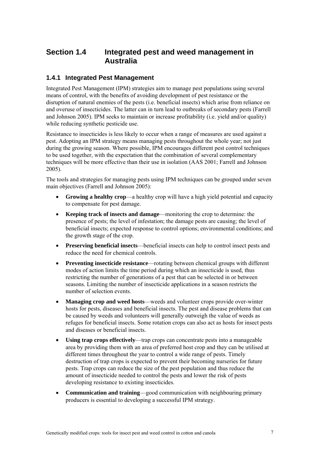## <span id="page-24-0"></span>**Section 1.4 Integrated pest and weed management in Australia**

### **1.4.1 Integrated Pest Management**

Integrated Pest Management (IPM) strategies aim to manage pest populations using several means of control, with the benefits of avoiding development of pest resistance or the disruption of natural enemies of the pests (i.e. beneficial insects) which arise from reliance on and overuse of insecticides. The latter can in turn lead to outbreaks of secondary pests (Farrell and Johnson 2005). IPM seeks to maintain or increase profitability (i.e. yield and/or quality) while reducing synthetic pesticide use.

Resistance to insecticides is less likely to occur when a range of measures are used against a pest. Adopting an IPM strategy means managing pests throughout the whole year; not just during the growing season. Where possible, IPM encourages different pest control techniques to be used together, with the expectation that the combination of several complementary techniques will be more effective than their use in isolation (AAS 2001; Farrell and Johnson 2005).

The tools and strategies for managing pests using IPM techniques can be grouped under seven main objectives (Farrell and Johnson 2005):

- **Growing a healthy crop**—a healthy crop will have a high yield potential and capacity to compensate for pest damage.
- **Keeping track of insects and damage**—monitoring the crop to determine: the presence of pests; the level of infestation; the damage pests are causing; the level of beneficial insects; expected response to control options; environmental conditions; and the growth stage of the crop.
- **Preserving beneficial insects**—beneficial insects can help to control insect pests and reduce the need for chemical controls.
- **Preventing insecticide resistance**—rotating between chemical groups with different modes of action limits the time period during which an insecticide is used, thus restricting the number of generations of a pest that can be selected in or between seasons. Limiting the number of insecticide applications in a season restricts the number of selection events.
- **Managing crop and weed hosts**—weeds and volunteer crops provide over-winter hosts for pests, diseases and beneficial insects. The pest and disease problems that can be caused by weeds and volunteers will generally outweigh the value of weeds as refuges for beneficial insects. Some rotation crops can also act as hosts for insect pests and diseases or beneficial insects.
- Using trap crops effectively—trap crops can concentrate pests into a manageable area by providing them with an area of preferred host crop and they can be utilised at different times throughout the year to control a wide range of pests. Timely destruction of trap crops is expected to prevent their becoming nurseries for future pests. Trap crops can reduce the size of the pest population and thus reduce the amount of insecticide needed to control the pests and lower the risk of pests developing resistance to existing insecticides.
- **Communication and training**—good communication with neighbouring primary producers is essential to developing a successful IPM strategy.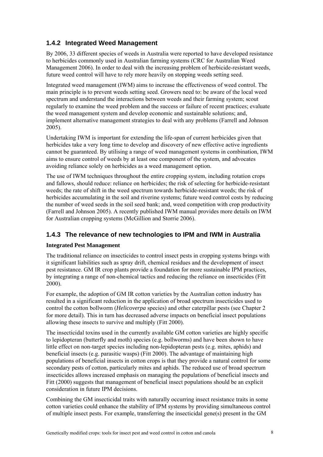### <span id="page-25-0"></span>**1.4.2 Integrated Weed Management**

By 2006, 33 different species of weeds in Australia were reported to have developed resistance to herbicides commonly used in Australian farming systems (CRC for Australian Weed Management 2006). In order to deal with the increasing problem of herbicide-resistant weeds, future weed control will have to rely more heavily on stopping weeds setting seed.

Integrated weed management (IWM) aims to increase the effectiveness of weed control. The main principle is to prevent weeds setting seed. Growers need to: be aware of the local weed spectrum and understand the interactions between weeds and their farming system; scout regularly to examine the weed problem and the success or failure of recent practices; evaluate the weed management system and develop economic and sustainable solutions; and, implement alternative management strategies to deal with any problems (Farrell and Johnson 2005).

Undertaking IWM is important for extending the life-span of current herbicides given that herbicides take a very long time to develop and discovery of new effective active ingredients cannot be guaranteed. By utilising a range of weed management systems in combination, IWM aims to ensure control of weeds by at least one component of the system, and advocates avoiding reliance solely on herbicides as a weed management option.

The use of IWM techniques throughout the entire cropping system, including rotation crops and fallows, should reduce: reliance on herbicides; the risk of selecting for herbicide-resistant weeds; the rate of shift in the weed spectrum towards herbicide-resistant weeds; the risk of herbicides accumulating in the soil and riverine systems; future weed control costs by reducing the number of weed seeds in the soil seed bank; and, weed competition with crop productivity (Farrell and Johnson 2005). A recently published IWM manual provides more details on IWM for Australian cropping systems (McGillion and Storrie 2006).

### **1.4.3 The relevance of new technologies to IPM and IWM in Australia**

### **Integrated Pest Management**

The traditional reliance on insecticides to control insect pests in cropping systems brings with it significant liabilities such as spray drift, chemical residues and the development of insect pest resistance. GM IR crop plants provide a foundation for more sustainable IPM practices, by integrating a range of non-chemical tactics and reducing the reliance on insecticides (Fitt 2000).

For example, the adoption of GM IR cotton varieties by the Australian cotton industry has resulted in a significant reduction in the application of broad spectrum insecticides used to control the cotton bollworm (*Helicoverpa* species) and other caterpillar pests (see Chapter 2 for more detail). This in turn has decreased adverse impacts on beneficial insect populations allowing these insects to survive and multiply (Fitt 2000).

The insecticidal toxins used in the currently available GM cotton varieties are highly specific to lepidopteran (butterfly and moth) species (e.g. bollworms) and have been shown to have little effect on non-target species including non-lepidopteran pests (e.g. mites, aphids) and beneficial insects (e.g. parasitic wasps) (Fitt 2000). The advantage of maintaining high populations of beneficial insects in cotton crops is that they provide a natural control for some secondary pests of cotton, particularly mites and aphids. The reduced use of broad spectrum insecticides allows increased emphasis on managing the populations of beneficial insects and Fitt (2000) suggests that management of beneficial insect populations should be an explicit consideration in future IPM decisions.

Combining the GM insecticidal traits with naturally occurring insect resistance traits in some cotton varieties could enhance the stability of IPM systems by providing simultaneous control of multiple insect pests. For example, transferring the insecticidal gene(s) present in the GM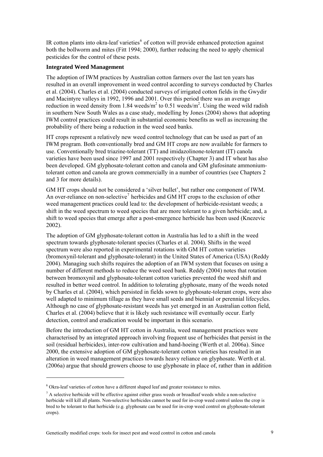<span id="page-26-0"></span>IR cotton plants into okra-leaf varieties $<sup>6</sup>$  $<sup>6</sup>$  $<sup>6</sup>$  of cotton will provide enhanced protection against</sup> both the bollworm and mites (Fitt 1994; 2000), further reducing the need to apply chemical pesticides for the control of these pests.

### **Integrated Weed Management**

The adoption of IWM practices by Australian cotton farmers over the last ten years has resulted in an overall improvement in weed control according to surveys conducted by Charles et al. (2004). Charles et al. (2004) conducted surveys of irrigated cotton fields in the Gwydir and Macintyre valleys in 1992, 1996 and 2001. Over this period there was an average reduction in weed density from 1.84 weeds/ $m^2$  to 0.51 weeds/ $m^2$ . Using the weed wild radish in southern New South Wales as a case study, modelling by Jones (2004) shows that adopting IWM control practices could result in substantial economic benefits as well as increasing the probability of there being a reduction in the weed seed banks.

HT crops represent a relatively new weed control technology that can be used as part of an IWM program. Both conventionally bred and GM HT crops are now available for farmers to use. Conventionally bred triazine-tolerant (TT) and imidazolinone-tolerant (IT) canola varieties have been used since 1997 and 2001 respectively (Chapter 3) and IT wheat has also been developed. GM glyphosate-tolerant cotton and canola and GM glufosinate ammoniumtolerant cotton and canola are grown commercially in a number of countries (see Chapters 2 and 3 for more details).

GM HT crops should not be considered a 'silver bullet', but rather one component of IWM. An over-reliance on non-selective<sup>[7](#page-26-0)</sup> herbicides and GM HT crops to the exclusion of other weed management practices could lead to: the development of herbicide-resistant weeds; a shift in the weed spectrum to weed species that are more tolerant to a given herbicide; and, a shift to weed species that emerge after a post-emergence herbicide has been used (Knezevic 2002).

The adoption of GM glyphosate-tolerant cotton in Australia has led to a shift in the weed spectrum towards glyphosate-tolerant species (Charles et al. 2004). Shifts in the weed spectrum were also reported in experimental rotations with GM HT cotton varieties (bromoxynil-tolerant and glyphosate-tolerant) in the United States of America (USA) (Reddy 2004). Managing such shifts requires the adoption of an IWM system that focuses on using a number of different methods to reduce the weed seed bank. Reddy (2004) notes that rotation between bromoxynil and glyphosate-tolerant cotton varieties prevented the weed shift and resulted in better weed control. In addition to tolerating glyphosate, many of the weeds noted by Charles et al. (2004), which persisted in fields sown to glyphosate-tolerant crops, were also well adapted to minimum tillage as they have small seeds and biennial or perennial lifecycles. Although no case of glyphosate-resistant weeds has yet emerged in an Australian cotton field, Charles et al. (2004) believe that it is likely such resistance will eventually occur. Early detection, control and eradication would be important in this scenario.

Before the introduction of GM HT cotton in Australia, weed management practices were characterised by an integrated approach involving frequent use of herbicides that persist in the soil (residual herbicides), inter-row cultivation and hand-hoeing (Werth et al. 2006a). Since 2000, the extensive adoption of GM glyphosate-tolerant cotton varieties has resulted in an alteration in weed management practices towards heavy reliance on glyphosate. Werth et al. (2006a) argue that should growers choose to use glyphosate in place of, rather than in addition

1

Genetically modified crops: tools for insect pest and weed control in cotton and canola 9

 $6$  Okra-leaf varieties of cotton have a different shaped leaf and greater resistance to mites.

 $<sup>7</sup>$  A selective herbicide will be effective against either grass weeds or broadleaf weeds while a non-selective</sup> herbicide will kill all plants. Non-selective herbicides cannot be used for in-crop weed control unless the crop is bred to be tolerant to that herbicide (e.g. glyphosate can be used for in-crop weed control on glyphosate-tolerant crops).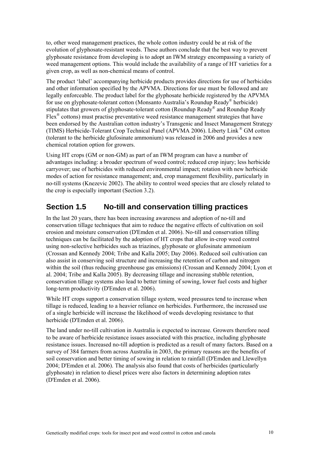<span id="page-27-0"></span>to, other weed management practices, the whole cotton industry could be at risk of the evolution of glyphosate-resistant weeds. These authors conclude that the best way to prevent glyphosate resistance from developing is to adopt an IWM strategy encompassing a variety of weed management options. This would include the availability of a range of HT varieties for a given crop, as well as non-chemical means of control.

The product 'label' accompanying herbicide products provides directions for use of herbicides and other information specified by the APVMA. Directions for use must be followed and are legally enforceable. The product label for the glyphosate herbicide registered by the APVMA for use on glyphosate-tolerant cotton (Monsanto Australia's Roundup Ready® herbicide) stipulates that growers of glyphosate-tolerant cotton (Roundup Ready<sup>®</sup> and Roundup Ready Flex<sup>®</sup> cottons) must practise preventative weed resistance management strategies that have been endorsed by the Australian cotton industry's Transgenic and Insect Management Strategy (TIMS) Herbicide-Tolerant Crop Technical Panel (APVMA 2006). Liberty Link ® GM cotton (tolerant to the herbicide glufosinate ammonium) was released in 2006 and provides a new chemical rotation option for growers.

Using HT crops (GM or non-GM) as part of an IWM program can have a number of advantages including: a broader spectrum of weed control; reduced crop injury; less herbicide carryover; use of herbicides with reduced environmental impact; rotation with new herbicide modes of action for resistance management; and, crop management flexibility, particularly in no-till systems (Knezevic 2002). The ability to control weed species that are closely related to the crop is especially important (Section 3.2).

## **Section 1.5 No-till and conservation tilling practices**

In the last 20 years, there has been increasing awareness and adoption of no-till and conservation tillage techniques that aim to reduce the negative effects of cultivation on soil erosion and moisture conservation (D'Emden et al. 2006). No-till and conservation tilling techniques can be facilitated by the adoption of HT crops that allow in-crop weed control using non-selective herbicides such as triazines, glyphosate or glufosinate ammonium (Crossan and Kennedy 2004; Tribe and Kalla 2005; Day 2006). Reduced soil cultivation can also assist in conserving soil structure and increasing the retention of carbon and nitrogen within the soil (thus reducing greenhouse gas emissions) (Crossan and Kennedy 2004; Lyon et al. 2004; Tribe and Kalla 2005). By decreasing tillage and increasing stubble retention, conservation tillage systems also lead to better timing of sowing, lower fuel costs and higher long-term productivity (D'Emden et al. 2006).

While HT crops support a conservation tillage system, weed pressures tend to increase when tillage is reduced, leading to a heavier reliance on herbicides. Furthermore, the increased use of a single herbicide will increase the likelihood of weeds developing resistance to that herbicide (D'Emden et al. 2006).

The land under no-till cultivation in Australia is expected to increase. Growers therefore need to be aware of herbicide resistance issues associated with this practice, including glyphosate resistance issues. Increased no-till adoption is predicted as a result of many factors. Based on a survey of 384 farmers from across Australia in 2003, the primary reasons are the benefits of soil conservation and better timing of sowing in relation to rainfall (D'Emden and Llewellyn 2004; D'Emden et al. 2006). The analysis also found that costs of herbicides (particularly glyphosate) in relation to diesel prices were also factors in determining adoption rates (D'Emden et al. 2006).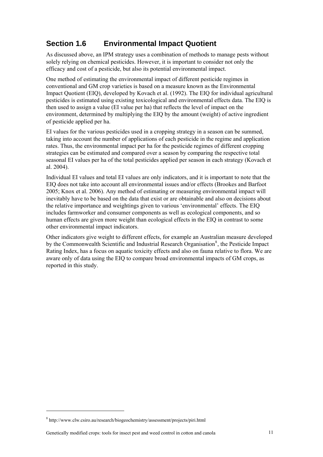# <span id="page-28-0"></span>**Section 1.6 Environmental Impact Quotient**

As discussed above, an IPM strategy uses a combination of methods to manage pests without solely relying on chemical pesticides. However, it is important to consider not only the efficacy and cost of a pesticide, but also its potential environmental impact.

One method of estimating the environmental impact of different pesticide regimes in conventional and GM crop varieties is based on a measure known as the Environmental Impact Quotient (EIQ), developed by Kovach et al. (1992). The EIQ for individual agricultural pesticides is estimated using existing toxicological and environmental effects data. The EIQ is then used to assign a value (EI value per ha) that reflects the level of impact on the environment, determined by multiplying the EIQ by the amount (weight) of active ingredient of pesticide applied per ha.

EI values for the various pesticides used in a cropping strategy in a season can be summed, taking into account the number of applications of each pesticide in the regime and application rates. Thus, the environmental impact per ha for the pesticide regimes of different cropping strategies can be estimated and compared over a season by comparing the respective total seasonal EI values per ha of the total pesticides applied per season in each strategy (Kovach et al. 2004).

Individual EI values and total EI values are only indicators, and it is important to note that the EIQ does not take into account all environmental issues and/or effects (Brookes and Barfoot 2005; Knox et al. 2006). Any method of estimating or measuring environmental impact will inevitably have to be based on the data that exist or are obtainable and also on decisions about the relative importance and weightings given to various 'environmental' effects. The EIQ includes farmworker and consumer components as well as ecological components, and so human effects are given more weight than ecological effects in the EIQ in contrast to some other environmental impact indicators.

Other indicators give weight to different effects, for example an Australian measure developed by the Commonwealth Scientific and Industrial Research Organisation<sup>[8](#page-28-0)</sup>, the Pesticide Impact Rating Index, has a focus on aquatic toxicity effects and also on fauna relative to flora. We are aware only of data using the EIQ to compare broad environmental impacts of GM crops, as reported in this study.

1

<sup>8</sup> http://www.clw.csiro.au/research/biogeochemistry/assessment/projects/piri.html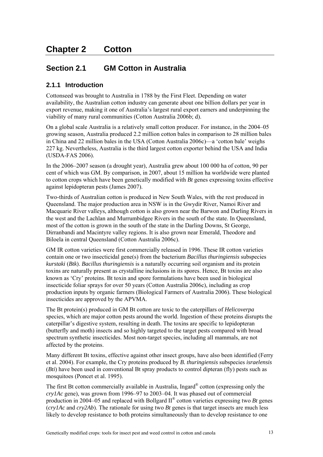# <span id="page-30-0"></span>**Section 2.1 GM Cotton in Australia**

### **2.1.1 Introduction**

Cottonseed was brought to Australia in 1788 by the First Fleet. Depending on water availability, the Australian cotton industry can generate about one billion dollars per year in export revenue, making it one of Australia's largest rural export earners and underpinning the viability of many rural communities (Cotton Australia 2006b; d).

On a global scale Australia is a relatively small cotton producer. For instance, in the 2004–05 growing season, Australia produced 2.2 million cotton bales in comparison to 28 million bales in China and 22 million bales in the USA (Cotton Australia 2006c)—a 'cotton bale' weighs 227 kg. Nevertheless, Australia is the third largest cotton exporter behind the USA and India (USDA-FAS 2006).

In the 2006–2007 season (a drought year), Australia grew about 100 000 ha of cotton, 90 per cent of which was GM. By comparison, in 2007, about 15 million ha worldwide were planted to cotton crops which have been genetically modified with *Bt* genes expressing toxins effective against lepidopteran pests (James 2007).

Two-thirds of Australian cotton is produced in New South Wales, with the rest produced in Queensland. The major production area in NSW is in the Gwydir River, Namoi River and Macquarie River valleys, although cotton is also grown near the Barwon and Darling Rivers in the west and the Lachlan and Murrumbidgee Rivers in the south of the state. In Queensland, most of the cotton is grown in the south of the state in the Darling Downs, St George, Dirranbandi and Macintyre valley regions. It is also grown near Emerald, Theodore and Biloela in central Queensland (Cotton Australia 2006c).

GM IR cotton varieties were first commercially released in 1996. These IR cotton varieties contain one or two insecticidal gene(s) from the bacterium *Bacillus thuringiensis* subspecies *kurstaki* (*Btk*). *Bacillus thuringiensis* is a naturally occurring soil organism and its protein toxins are naturally present as crystalline inclusions in its spores. Hence, Bt toxins are also known as 'Cry' proteins. Bt toxin and spore formulations have been used in biological insecticide foliar sprays for over 50 years (Cotton Australia 2006c), including as crop production inputs by organic farmers (Biological Farmers of Australia 2006). These biological insecticides are approved by the APVMA.

The Bt protein(s) produced in GM Bt cotton are toxic to the caterpillars of *Helicoverpa* species, which are major cotton pests around the world. Ingestion of these proteins disrupts the caterpillar's digestive system, resulting in death. The toxins are specific to lepidopteran (butterfly and moth) insects and so highly targeted to the target pests compared with broad spectrum synthetic insecticides. Most non-target species, including all mammals, are not affected by the proteins.

Many different Bt toxins, effective against other insect groups, have also been identified (Ferry et al. 2004). For example, the Cry proteins produced by *B. thuringiensis* subspecies *israelensis* (*Bti*) have been used in conventional Bt spray products to control dipteran (fly) pests such as mosquitoes (Poncet et al. 1995).

The first Bt cotton commercially available in Australia, Ingard® cotton (expressing only the *cry1Ac* gene), was grown from 1996–97 to 2003–04. It was phased out of commercial production in 2004–05 and replaced with Bollgard II® cotton varieties expressing two *Bt* genes (*cry1Ac* and *cry2Ab*). The rationale for using two *Bt* genes is that target insects are much less likely to develop resistance to both proteins simultaneously than to develop resistance to one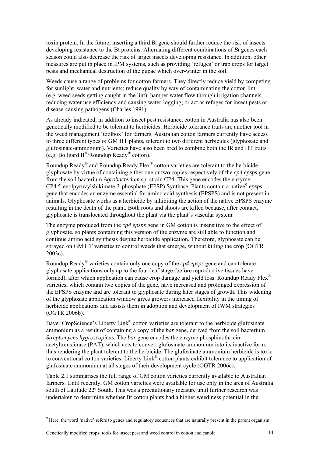<span id="page-31-0"></span>toxin protein. In the future, inserting a third *Bt* gene should further reduce the risk of insects developing resistance to the Bt proteins. Alternating different combinations of *Bt* genes each season could also decrease the risk of target insects developing resistance. In addition, other measures are put in place in IPM systems, such as providing 'refuges' or trap crops for target pests and mechanical destruction of the pupae which over-winter in the soil.

Weeds cause a range of problems for cotton farmers. They directly reduce yield by competing for sunlight, water and nutrients; reduce quality by way of contaminating the cotton lint (e.g. weed seeds getting caught in the lint); hamper water flow through irrigation channels, reducing water use efficiency and causing water-logging; or act as refuges for insect pests or disease-causing pathogens (Charles 1991).

As already indicated, in addition to insect pest resistance, cotton in Australia has also been genetically modified to be tolerant to herbicides. Herbicide tolerance traits are another tool in the weed management 'toolbox' for farmers. Australian cotton farmers currently have access to three different types of GM HT plants, tolerant to two different herbicides (glyphosate and glufosinate-ammonium). Varieties have also been bred to combine both the IR and HT traits (e.g. Bollgard  $II^{\circledR}/$ Roundup Ready $^{\circledR}$  cotton).

Roundup Ready<sup>®</sup> and Roundup Ready Flex<sup>®</sup> cotton varieties are tolerant to the herbicide glyphosate by virtue of containing either one or two copies respectively of the *cp4 epsps* gene from the soil bacterium *Agrobacterium* sp. strain CP4. This gene encodes the enzyme CP4 5-enolpyruvylshikimate-3-phosphate (EPSP) Synthase. Plants contain a native<sup>[9](#page-31-0)</sup> epsps gene that encodes an enzyme essential for amino acid synthesis (EPSPS) and is not present in animals. Glyphosate works as a herbicide by inhibiting the action of the native EPSPS enzyme resulting in the death of the plant. Both roots and shoots are killed because, after contact, glyphosate is translocated throughout the plant via the plant's vascular system.

The enzyme produced from the *cp4 epsps* gene in GM cotton is insensitive to the effect of glyphosate, so plants containing this version of the enzyme are still able to function and continue amino acid synthesis despite herbicide application. Therefore, glyphosate can be sprayed on GM HT varieties to control weeds that emerge, without killing the crop (OGTR 2003c).

Roundup Ready® varieties contain only one copy of the *cp4 epsps* gene and can tolerate glyphosate applications only up to the four-leaf stage (before reproductive tissues have formed), after which application can cause crop damage and yield loss. Roundup Ready Flex<sup>®</sup> varieties, which contain two copies of the gene, have increased and prolonged expression of the EPSPS enzyme and are tolerant to glyphosate during later stages of growth. This widening of the glyphosate application window gives growers increased flexibility in the timing of herbicide applications and assists them in adoption and development of IWM strategies (OGTR 2006b).

Bayer CropScience's Liberty Link<sup>®</sup> cotton varieties are tolerant to the herbicide glufosinate ammonium as a result of containing a copy of the *bar* gene, derived from the soil bacterium *Streptomyces hygroscopicus*. The *bar* gene encodes the enzyme phosphinothricin acetyltransferase (PAT), which acts to convert glufosinate ammonium into its inactive form, thus rendering the plant tolerant to the herbicide. The glufosinate ammonium herbicide is toxic to conventional cotton varieties. Liberty Link® cotton plants exhibit tolerance to application of glufosinate ammonium at all stages of their development cycle (OGTR 2006c).

Table 2.1 summarises the full range of GM cotton varieties currently available to Australian farmers. Until recently, GM cotton varieties were available for use only in the area of Australia south of Latitude 22º South. This was a precautionary measure until further research was undertaken to determine whether Bt cotton plants had a higher weediness potential in the

Genetically modified crops: tools for insect pest and weed control in cotton and canola 14

1

<sup>&</sup>lt;sup>9</sup> Here, the word 'native' refers to genes and regulatory sequences that are naturally present in the parent organism.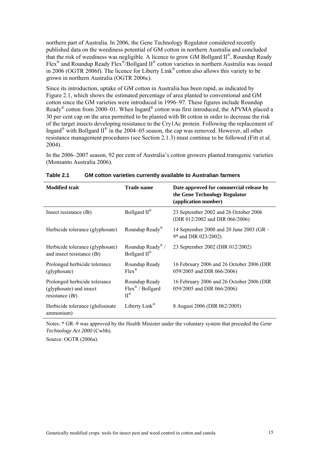northern part of Australia. In 2006, the Gene Technology Regulator considered recently published data on the weediness potential of GM cotton in northern Australia and concluded that the risk of weediness was negligible. A licence to grow GM Bollgard II®, Roundup Ready Flex<sup>®</sup> and Roundup Ready Flex<sup>®</sup>/Bollgard II<sup>®</sup> cotton varieties in northern Australia was issued in 2006 (OGTR 2006f). The licence for Liberty Link® cotton also allows this variety to be grown in northern Australia (OGTR 2006c).

Since its introduction, uptake of GM cotton in Australia has been rapid, as indicated by Figure 2.1, which shows the estimated percentage of area planted to conventional and GM cotton since the GM varieties were introduced in 1996–97. These figures include Roundup Ready® cotton from 2000–01. When Ingard® cotton was first introduced, the APVMA placed a 30 per cent cap on the area permitted to be planted with Bt cotton in order to decrease the risk of the target insects developing resistance to the Cry1Ac protein. Following the replacement of Ingard<sup>®</sup> with Bollgard  $II^®$  in the 2004–05 season, the cap was removed. However, all other resistance management procedures (see Section 2.1.3) must continue to be followed (Fitt et al. 2004).

In the 2006–2007 season, 92 per cent of Australia's cotton growers planted transgenic varieties (Monsanto Australia 2006).

| <b>Modified trait</b>                                                         | <b>Trade name</b>                                                    | Date approved for commercial release by<br>the Gene Technology Regulator<br>(application number) |
|-------------------------------------------------------------------------------|----------------------------------------------------------------------|--------------------------------------------------------------------------------------------------|
| Insect resistance $(Bt)$                                                      | Bollgard $II^{\otimes}$                                              | 23 September 2002 and 26 October 2006<br>(DIR 012/2002 and DIR 066/2006)                         |
| Herbicide tolerance (glyphosate)                                              | Roundup Ready <sup>®</sup>                                           | 14 September 2000 and 20 June 2003 (GR -<br>9* and DIR 023/2002)                                 |
| Herbicide tolerance (glyphosate)<br>and insect resistance $(Bt)$              | Roundup Ready <sup>®</sup> /<br>Bollgard $II^{\otimes}$              | 23 September 2002 (DIR 012/2002)                                                                 |
| Prolonged herbicide tolerance<br>(glyphosate)                                 | Roundup Ready<br>$Flex^{\otimes}$                                    | 16 February 2006 and 26 October 2006 (DIR)<br>059/2005 and DIR 066/2006)                         |
| Prolonged herbicide tolerance<br>(glyphosate) and insect<br>resistance $(Bt)$ | Roundup Ready<br>$Flex^{\mathcal{R}}$ / Bollgard<br>$II^{\circledR}$ | 16 February 2006 and 26 October 2006 (DIR)<br>059/2005 and DIR 066/2006)                         |
| Herbicide tolerance (glufosinate<br>ammonium)                                 | Liberty Link®                                                        | 8 August 2006 (DIR 062/2005)                                                                     |

| Table 2.1 | <b>GM cotton varieties currently available to Australian farmers</b> |
|-----------|----------------------------------------------------------------------|
|-----------|----------------------------------------------------------------------|

Notes: \* GR–9 was approved by the Health Minister under the voluntary system that preceded the *Gene Technology Act 2000* (Cwlth).

Source: OGTR (2006a).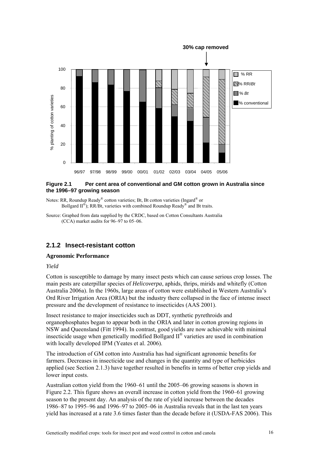<span id="page-33-0"></span>

### **Figure 2.1 Per cent area of conventional and GM cotton grown in Australia since the 1996–97 growing season**

Notes: RR, Roundup Ready® cotton varieties; Bt, Bt cotton varieties (Ingard® or Bollgard  $II^{\circledR}$ ); RR/Bt, varieties with combined Roundup Ready<sup>®</sup> and Bt traits.

Source: Graphed from data supplied by the CRDC, based on Cotton Consultants Australia (CCA) market audits for 96–97 to 05–06.

### **2.1.2 Insect-resistant cotton**

### **Agronomic Performance**

### *Yield*

Cotton is susceptible to damage by many insect pests which can cause serious crop losses. The main pests are caterpillar species of *Helicoverpa*, aphids, thrips, mirids and whitefly (Cotton Australia 2006a). In the 1960s, large areas of cotton were established in Western Australia's Ord River Irrigation Area (ORIA) but the industry there collapsed in the face of intense insect pressure and the development of resistance to insecticides (AAS 2001).

Insect resistance to major insecticides such as DDT, synthetic pyrethroids and organophosphates began to appear both in the ORIA and later in cotton growing regions in NSW and Queensland (Fitt 1994). In contrast, good yields are now achievable with minimal insecticide usage when genetically modified Bollgard II® varieties are used in combination with locally developed IPM (Yeates et al. 2006).

The introduction of GM cotton into Australia has had significant agronomic benefits for farmers. Decreases in insecticide use and changes in the quantity and type of herbicides applied (see Section 2.1.3) have together resulted in benefits in terms of better crop yields and lower input costs.

Australian cotton yield from the 1960–61 until the 2005–06 growing seasons is shown in Figure 2.2. This figure shows an overall increase in cotton yield from the 1960–61 growing season to the present day. An analysis of the rate of yield increase between the decades 1986–87 to 1995–96 and 1996–97 to 2005–06 in Australia reveals that in the last ten years yield has increased at a rate 3.6 times faster than the decade before it (USDA-FAS 2006). This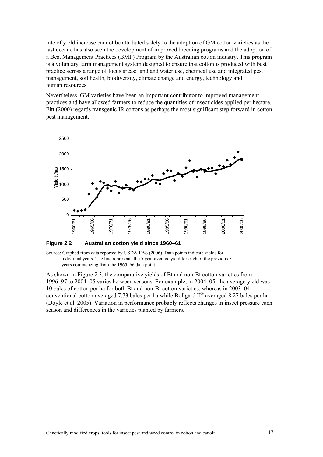rate of yield increase cannot be attributed solely to the adoption of GM cotton varieties as the last decade has also seen the development of improved breeding programs and the adoption of a Best Management Practices (BMP) Program by the Australian cotton industry. This program is a voluntary farm management system designed to ensure that cotton is produced with best practice across a range of focus areas: land and water use, chemical use and integrated pest management, soil health, biodiversity, climate change and energy, technology and human resources.

Nevertheless, GM varieties have been an important contributor to improved management practices and have allowed farmers to reduce the quantities of insecticides applied per hectare. Fitt (2000) regards transgenic IR cottons as perhaps the most significant step forward in cotton pest management.



**Figure 2.2 Australian cotton yield since 1960–61** 

Source: Graphed from data reported by USDA-FAS (2006). Data points indicate yields for individual years. The line represents the 5 year average yield for each of the previous 5 years commencing from the 1965–66 data point.

As shown in Figure 2.3, the comparative yields of Bt and non-Bt cotton varieties from 1996–97 to 2004–05 varies between seasons. For example, in 2004–05, the average yield was 10 bales of cotton per ha for both Bt and non-Bt cotton varieties, whereas in 2003–04 conventional cotton averaged 7.73 bales per ha while Bollgard  $II^{\circ}$  averaged 8.27 bales per ha (Doyle et al. 2005). Variation in performance probably reflects changes in insect pressure each season and differences in the varieties planted by farmers.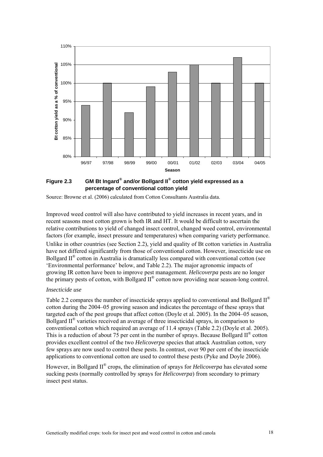

**Figure 2.3 GM Bt Ingard® and/or Bollgard II® cotton yield expressed as a percentage of conventional cotton yield** 

Source: Browne et al. (2006) calculated from Cotton Consultants Australia data.

Improved weed control will also have contributed to yield increases in recent years, and in recent seasons most cotton grown is both IR and HT. It would be difficult to ascertain the relative contributions to yield of changed insect control, changed weed control, environmental factors (for example, insect pressure and temperatures) when comparing variety performance.

Unlike in other countries (see Section 2.2), yield and quality of Bt cotton varieties in Australia have not differed significantly from those of conventional cotton. However, insecticide use on Bollgard  $II^{\circ}$  cotton in Australia is dramatically less compared with conventional cotton (see 'Environmental performance' below, and Table 2.2). The major agronomic impacts of growing IR cotton have been to improve pest management. *Helicoverpa* pests are no longer the primary pests of cotton, with Bollgard II® cotton now providing near season-long control.

### *Insecticide use*

Table 2.2 compares the number of insecticide sprays applied to conventional and Bollgard  $II^{\circledR}$ cotton during the 2004–05 growing season and indicates the percentage of these sprays that targeted each of the pest groups that affect cotton (Doyle et al. 2005). In the 2004–05 season, Bollgard  $II^{\circledast}$  varieties received an average of three insecticidal sprays, in comparison to conventional cotton which required an average of 11.4 sprays (Table 2.2) (Doyle et al. 2005). This is a reduction of about 75 per cent in the number of sprays. Because Bollgard  $II^{\circledast}$  cotton provides excellent control of the two *Helicoverpa* species that attack Australian cotton, very few sprays are now used to control these pests. In contrast, over 90 per cent of the insecticide applications to conventional cotton are used to control these pests (Pyke and Doyle 2006).

However, in Bollgard II® crops, the elimination of sprays for *Helicoverpa* has elevated some sucking pests (normally controlled by sprays for *Helicoverpa*) from secondary to primary insect pest status.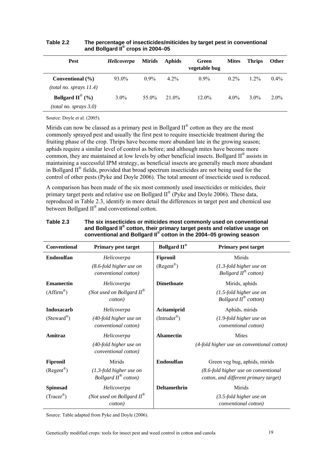| <b>Pest</b>                                                        | <b>Helicoverpa</b> | <b>Mirids</b> | <b>Aphids</b> | Green<br>vegetable bug | <b>Mites</b> | <b>Thrips</b> | <b>Other</b> |
|--------------------------------------------------------------------|--------------------|---------------|---------------|------------------------|--------------|---------------|--------------|
| Conventional (%)<br>(total no. sprays 11.4)                        | 93.0%              | $0.9\%$       | $4.2\%$       | $0.9\%$                | $0.2\%$      | $1.2\%$       | $0.4\%$      |
| Bollgard $\mathbf{II}^{\mathcal{B}}$ (%)<br>(total no. sprays 3.0) | $3.0\%$            | 55.0%         | 21 0\%        | $12.0\%$               | $4.0\%$      | $3.0\%$       | $2.0\%$      |

#### **Table 2.2 The percentage of insecticides/miticides by target pest in conventional and Bollgard II® crops in 2004–05**

Source: Doyle et al. (2005).

Mirids can now be classed as a primary pest in Bollgard  $II^{\circledast}$  cotton as they are the most commonly sprayed pest and usually the first pest to require insecticide treatment during the fruiting phase of the crop. Thrips have become more abundant late in the growing season; aphids require a similar level of control as before; and although mites have become more common, they are maintained at low levels by other beneficial insects. Bollgard II® assists in maintaining a successful IPM strategy, as beneficial insects are generally much more abundant in Bollgard II® fields, provided that broad spectrum insecticides are not being used for the control of other pests (Pyke and Doyle 2006). The total amount of insecticide used is reduced.

A comparison has been made of the six most commonly used insecticides or miticides, their primary target pests and relative use on Bollgard  $II^{\circledR}$  (Pyke and Doyle 2006). These data, reproduced in Table 2.3, identify in more detail the differences in target pest and chemical use between Bollgard II<sup>®</sup> and conventional cotton.

| <b>Conventional</b>      | <b>Primary pest target</b>                                    | <b>Bollgard II®</b>        | <b>Primary pest target</b>                                                    |
|--------------------------|---------------------------------------------------------------|----------------------------|-------------------------------------------------------------------------------|
| <b>Endosulfan</b>        | Helicoverpa                                                   | <b>Fipronil</b>            | Mirids                                                                        |
|                          | $(8.6$ -fold higher use on<br>conventional cotton)            | $(Regent^{\mathcal{B}})$   | $(1.3$ -fold higher use on<br>Bollgard $II^{\otimes}$ cotton)                 |
| <b>Emamectin</b>         | Helicoverpa                                                   | <b>Dimethoate</b>          | Mirids, aphids                                                                |
| $(Affirm^{\otimes})$     | (Not used on Bollgard $II^{\otimes}$<br><i>cotton</i> )       |                            | $(1.5$ -fold higher use on<br>Bollgard $II^{\circledR}$ cotton)               |
| <b>Indoxacarb</b>        | Helicoverpa                                                   | Acitamiprid                | Aphids, mirids                                                                |
| (Steward <sup>®</sup> )  | (40-fold higher use on<br>conventional cotton)                | $(Introder^{\mathcal{B}})$ | $(1.9-fold higher use on$<br>conventional cotton)                             |
| Amitraz                  | Helicoverpa                                                   | <b>Abamectin</b>           | Mites                                                                         |
|                          | (40-fold higher use on<br>conventional cotton)                |                            | (4-fold higher use on conventional cotton)                                    |
| <b>Fipronil</b>          | Mirids                                                        | <b>Endosulfan</b>          | Green veg bug, aphids, mirids                                                 |
| $(Regent^{\mathcal{B}})$ | $(1.3$ -fold higher use on<br>Bollgard $II^{\otimes}$ cotton) |                            | (8.6-fold higher use on conventional<br>cotton, and different primary target) |
| <b>Spinosad</b>          | Helicoverpa                                                   | <b>Deltamethrin</b>        | Mirids                                                                        |
| $(Tracer^{\mathcal{B}})$ | (Not used on Bollgard $II^{\otimes}$<br>cotton)               |                            | $(3.5$ -fold higher use on<br>conventional cotton)                            |

#### **Table 2.3 The six insecticides or miticides most commonly used on conventional and Bollgard II® cotton, their primary target pests and relative usage on**  conventional and Bollgard II® cotton in the 2004-05 growing season

Source: Table adapted from Pyke and Doyle (2006).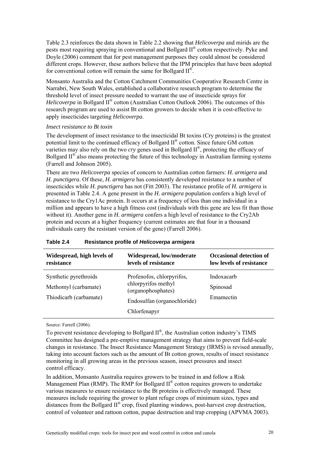Table 2.3 reinforces the data shown in Table 2.2 showing that *Helicoverpa* and mirids are the pests most requiring spraying in conventional and Bollgard II® cotton respectively. Pyke and Doyle (2006) comment that for pest management purposes they could almost be considered different crops. However, these authors believe that the IPM principles that have been adopted for conventional cotton will remain the same for Bollgard  $II^{\circledR}$ .

Monsanto Australia and the Cotton Catchment Communities Cooperative Research Centre in Narrabri, New South Wales, established a collaborative research program to determine the threshold level of insect pressure needed to warrant the use of insecticide sprays for *Helicoverpa* in Bollgard II<sup>®</sup> cotton (Australian Cotton Outlook 2006). The outcomes of this research program are used to assist Bt cotton growers to decide when it is cost-effective to apply insecticides targeting *Helicoverpa*.

#### *Insect resistance to Bt toxin*

The development of insect resistance to the insecticidal Bt toxins (Cry proteins) is the greatest potential limit to the continued efficacy of Bollgard II® cotton. Since future GM cotton varieties may also rely on the two *cry* genes used in Bollgard II®, protecting the efficacy of Bollgard  $II^{\otimes}$  also means protecting the future of this technology in Australian farming systems (Farrell and Johnson 2005).

There are two *Helicoverpa* species of concern to Australian cotton farmers: *H. armigera* and *H. punctigera*. Of these, *H. armigera* has consistently developed resistance to a number of insecticides while *H. punctigera* has not (Fitt 2003). The resistance profile of *H. armigera* is presented in Table 2.4. A gene present in the *H. armigera* population confers a high level of resistance to the Cry1Ac protein. It occurs at a frequency of less than one individual in a million and appears to have a high fitness cost (individuals with this gene are less fit than those without it). Another gene in *H. armigera* confers a high level of resistance to the Cry2Ab protein and occurs at a higher frequency (current estimates are that four in a thousand individuals carry the resistant version of the gene) (Farrell 2006).

| Widespread, high levels of                                              | Widespread, low/moderate                                                                                              | <b>Occasional detection of</b>      |
|-------------------------------------------------------------------------|-----------------------------------------------------------------------------------------------------------------------|-------------------------------------|
| resistance                                                              | levels of resistance                                                                                                  | low levels of resistance            |
| Synthetic pyrethroids<br>Methomyl (carbamate)<br>Thiodicarb (carbamate) | Profenofos, chlorpyrifos,<br>chlorpyrifos methyl<br>(organophosphates)<br>Endosulfan (organochloride)<br>Chlorfenapyr | Indoxacarb<br>Spinosad<br>Emamectin |

| Table 2.4 | Resistance profile of Helicoverpa armigera |
|-----------|--------------------------------------------|
|-----------|--------------------------------------------|

Source: Farrell (2006).

To prevent resistance developing to Bollgard II®, the Australian cotton industry's TIMS Committee has designed a pre-emptive management strategy that aims to prevent field-scale changes in resistance. The Insect Resistance Management Strategy (IRMS) is revised annually, taking into account factors such as the amount of Bt cotton grown, results of insect resistance monitoring in all growing areas in the previous season, insect pressures and insect control efficacy.

In addition, Monsanto Australia requires growers to be trained in and follow a Risk Management Plan (RMP). The RMP for Bollgard  $II^{\otimes}$  cotton requires growers to undertake various measures to ensure resistance to the Bt proteins is effectively managed. These measures include requiring the grower to plant refuge crops of minimum sizes, types and distances from the Bollgard II® crop, fixed planting windows, post-harvest crop destruction, control of volunteer and rattoon cotton, pupae destruction and trap cropping (APVMA 2003).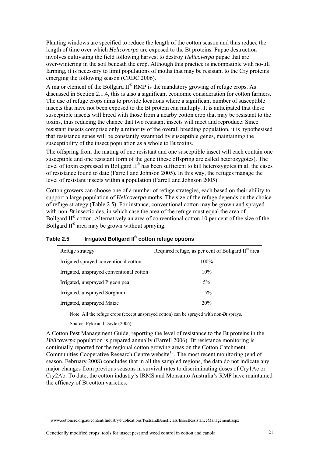<span id="page-38-0"></span>Planting windows are specified to reduce the length of the cotton season and thus reduce the length of time over which *Helicoverpa* are exposed to the Bt proteins. Pupae destruction involves cultivating the field following harvest to destroy *Helicoverpa* pupae that are over-wintering in the soil beneath the crop. Although this practice is incompatible with no-till farming, it is necessary to limit populations of moths that may be resistant to the Cry proteins emerging the following season (CRDC 2006).

A major element of the Bollgard  $II^{\circledR}$  RMP is the mandatory growing of refuge crops. As discussed in Section 2.1.4, this is also a significant economic consideration for cotton farmers. The use of refuge crops aims to provide locations where a significant number of susceptible insects that have not been exposed to the Bt protein can multiply. It is anticipated that these susceptible insects will breed with those from a nearby cotton crop that may be resistant to the toxins, thus reducing the chance that two resistant insects will meet and reproduce. Since resistant insects comprise only a minority of the overall breeding population, it is hypothesised that resistance genes will be constantly swamped by susceptible genes, maintaining the susceptibility of the insect population as a whole to Bt toxins.

The offspring from the mating of one resistant and one susceptible insect will each contain one susceptible and one resistant form of the gene (these offspring are called heterozygotes). The level of toxin expressed in Bollgard II® has been sufficient to kill heterozygotes in all the cases of resistance found to date (Farrell and Johnson 2005). In this way, the refuges manage the level of resistant insects within a population (Farrell and Johnson 2005).

Cotton growers can choose one of a number of refuge strategies, each based on their ability to support a large population of *Helicoverpa* moths. The size of the refuge depends on the choice of refuge strategy (Table 2.5). For instance, conventional cotton may be grown and sprayed with non-*Bt* insecticides, in which case the area of the refuge must equal the area of Bollgard  $II^{\otimes}$  cotton. Alternatively an area of conventional cotton 10 per cent of the size of the Bollgard  $II^{\circledR}$  area may be grown without spraying.

| Refuge strategy                          | Required refuge, as per cent of Bollgard $II^{\omega}$ area |
|------------------------------------------|-------------------------------------------------------------|
| Irrigated sprayed conventional cotton    | 100%                                                        |
| Irrigated, unsprayed conventional cotton | 10%                                                         |
| Irrigated, unsprayed Pigeon pea          | $5\%$                                                       |
| Irrigated, unsprayed Sorghum             | 15%                                                         |
| Irrigated, unsprayed Maize               | 20%                                                         |

## **Table 2.5 Irrigated Bollgard II® cotton refuge options**

Note: All the refuge crops (except unsprayed cotton) can be sprayed with non-*Bt* sprays.

Source: Pyke and Doyle (2006).

<u>.</u>

A Cotton Pest Management Guide, reporting the level of resistance to the Bt proteins in the *Helicoverpa* population is prepared annually (Farrell 2006). Bt resistance monitoring is continually reported for the regional cotton growing areas on the Cotton Catchment Communities Cooperative Research Centre website<sup>[10](#page-38-0)</sup>. The most recent monitoring (end of season, February 2008) concludes that in all the sampled regions, the data do not indicate any major changes from previous seasons in survival rates to discriminating doses of Cry1Ac or Cry2Ab. To date, the cotton industry's IRMS and Monsanto Australia's RMP have maintained the efficacy of Bt cotton varieties.

<sup>10</sup> www.cottoncrc.org.au/content/Industry/Publications/PestsandBeneficials/InsectResistanceManagement.aspx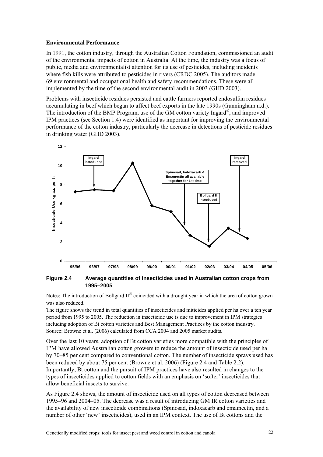#### **Environmental Performance**

In 1991, the cotton industry, through the Australian Cotton Foundation, commissioned an audit of the environmental impacts of cotton in Australia. At the time, the industry was a focus of public, media and environmentalist attention for its use of pesticides, including incidents where fish kills were attributed to pesticides in rivers (CRDC 2005). The auditors made 69 environmental and occupational health and safety recommendations. These were all implemented by the time of the second environmental audit in 2003 (GHD 2003).

Problems with insecticide residues persisted and cattle farmers reported endosulfan residues accumulating in beef which began to affect beef exports in the late 1990s (Gunningham n.d.). The introduction of the BMP Program, use of the GM cotton variety Ingard®, and improved IPM practices (see Section 1.4) were identified as important for improving the environmental performance of the cotton industry, particularly the decrease in detections of pesticide residues in drinking water (GHD 2003).



**Figure 2.4 Average quantities of insecticides used in Australian cotton crops from 1995–2005**

Notes: The introduction of Bollgard II<sup>®</sup> coincided with a drought year in which the area of cotton grown was also reduced.

The figure shows the trend in total quantities of insecticides and miticides applied per ha over a ten year period from 1995 to 2005. The reduction in insecticide use is due to improvement in IPM strategies including adoption of Bt cotton varieties and Best Management Practices by the cotton industry. Source: Browne et al. (2006) calculated from CCA 2004 and 2005 market audits.

Over the last 10 years, adoption of Bt cotton varieties more compatible with the principles of IPM have allowed Australian cotton growers to reduce the amount of insecticide used per ha by 70–85 per cent compared to conventional cotton. The number of insecticide sprays used has been reduced by about 75 per cent (Browne et al. 2006) (Figure 2.4 and Table 2.2). Importantly, Bt cotton and the pursuit of IPM practices have also resulted in changes to the types of insecticides applied to cotton fields with an emphasis on 'softer' insecticides that allow beneficial insects to survive.

As Figure 2.4 shows, the amount of insecticide used on all types of cotton decreased between 1995–96 and 2004–05. The decrease was a result of introducing GM IR cotton varieties and the availability of new insecticide combinations (Spinosad, indoxacarb and emamectin, and a number of other 'new' insecticides), used in an IPM context. The use of Bt cottons and the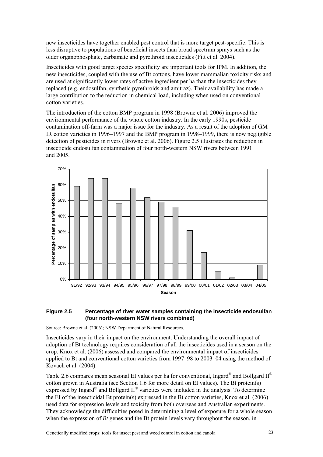new insecticides have together enabled pest control that is more target pest-specific. This is less disruptive to populations of beneficial insects than broad spectrum sprays such as the older organophosphate, carbamate and pyrethroid insecticides (Fitt et al. 2004).

Insecticides with good target species specificity are important tools for IPM. In addition, the new insecticides, coupled with the use of Bt cottons, have lower mammalian toxicity risks and are used at significantly lower rates of active ingredient per ha than the insecticides they replaced (e.g. endosulfan, synthetic pyrethroids and amitraz). Their availability has made a large contribution to the reduction in chemical load, including when used on conventional cotton varieties.

The introduction of the cotton BMP program in 1998 (Browne et al. 2006) improved the environmental performance of the whole cotton industry. In the early 1990s, pesticide contamination off-farm was a major issue for the industry. As a result of the adoption of GM IR cotton varieties in 1996–1997 and the BMP program in 1998–1999, there is now negligible detection of pesticides in rivers (Browne et al. 2006). Figure 2.5 illustrates the reduction in insecticide endosulfan contamination of four north-western NSW rivers between 1991 and 2005.



#### **Figure 2.5 Percentage of river water samples containing the insecticide endosulfan (four north-western NSW rivers combined)**

Source: Browne et al. (2006); NSW Department of Natural Resources.

Insecticides vary in their impact on the environment. Understanding the overall impact of adoption of Bt technology requires consideration of all the insecticides used in a season on the crop. Knox et al. (2006) assessed and compared the environmental impact of insecticides applied to Bt and conventional cotton varieties from 1997–98 to 2003–04 using the method of Kovach et al. (2004).

Table 2.6 compares mean seasonal EI values per ha for conventional, Ingard<sup>®</sup> and Bollgard  $II^{\circledR}$ cotton grown in Australia (see Section 1.6 for more detail on EI values). The Bt protein(s) expressed by Ingard<sup>®</sup> and Bollgard  $II^®$  varieties were included in the analysis. To determine the EI of the insecticidal Bt protein(s) expressed in the Bt cotton varieties, Knox et al. (2006) used data for expression levels and toxicity from both overseas and Australian experiments. They acknowledge the difficulties posed in determining a level of exposure for a whole season when the expression of *Bt* genes and the Bt protein levels vary throughout the season, in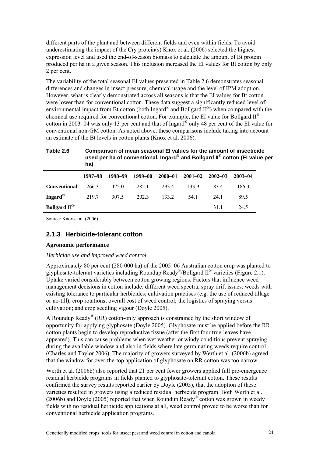different parts of the plant and between different fields and even within fields. To avoid underestimating the impact of the Cry protein(s) Knox et al. (2006) selected the highest expression level and used the end-of-season biomass to calculate the amount of Bt protein produced per ha in a given season. This inclusion increased the EI values for Bt cotton by only 2 per cent.

The variability of the total seasonal EI values presented in Table 2.6 demonstrates seasonal differences and changes in insect pressure, chemical usage and the level of IPM adoption. However, what is clearly demonstrated across all seasons is that the EI values for Bt cotton were lower than for conventional cotton. These data suggest a significantly reduced level of environmental impact from Bt cotton (both Ingard<sup>®</sup> and Bollgard  $II^{\circledast}$ ) when compared with the chemical use required for conventional cotton. For example, the EI value for Bollgard  $II^{\circledR}$ cotton in 2003–04 was only 13 per cent and that of Ingard® only 48 per cent of the EI value for conventional non-GM cotton. As noted above, these comparisons include taking into account an estimate of the Bt levels in cotton plants (Knox et al. 2006).

#### **Table 2.6 Comparison of mean seasonal EI values for the amount of insecticide used per ha of conventional, Ingard® and Bollgard II® cotton (EI value per ha)**

|                                 | 1997–98     | 1998–99 | 1999–00 | 2000-01 | $2001 - 02$ $2002 - 03$ |      | 2003-04 |
|---------------------------------|-------------|---------|---------|---------|-------------------------|------|---------|
| <b>Conventional</b>             | 266.3       | 425.0   | 282.1   | 2934    | 133.9                   | 834  | 186.3   |
| Ingard®                         | 219.7 307.5 |         | 202.3   | 133.2   | 54.1                    | 24 1 | 89.5    |
| <b>Bollgard II</b> <sup>®</sup> |             |         |         |         |                         | 311  | 24.5    |

Source: Knox et al. (2006)

## **2.1.3 Herbicide-tolerant cotton**

### **Agronomic performance**

### *Herbicide use and improved weed control*

Approximately 80 per cent (280 000 ha) of the 2005–06 Australian cotton crop was planted to glyphosate-tolerant varieties including Roundup Ready®/Bollgard II® varieties (Figure 2.1). Uptake varied considerably between cotton growing regions. Factors that influence weed management decisions in cotton include: different weed spectra; spray drift issues; weeds with existing tolerance to particular herbicides; cultivation practises (e.g. the use of reduced tillage or no-till); crop rotations; overall cost of weed control; the logistics of spraying versus cultivation; and crop seedling vigour (Doyle 2005).

A Roundup Ready<sup>®</sup> (RR) cotton-only approach is constrained by the short window of opportunity for applying glyphosate (Doyle 2005). Glyphosate must be applied before the RR cotton plants begin to develop reproductive tissue (after the first four true-leaves have appeared). This can cause problems when wet weather or windy conditions prevent spraying during the available window and also in fields where late germinating weeds require control (Charles and Taylor 2006). The majority of growers surveyed by Werth et al. (2006b) agreed that the window for over-the-top application of glyphosate on RR cotton was too narrow.

Werth et al. (2006b) also reported that 21 per cent fewer growers applied full pre-emergence residual herbicide programs in fields planted to glyphosate-tolerant cotton. These results confirmed the survey results reported earlier by Doyle (2005), that the adoption of these varieties resulted in growers using a reduced residual herbicide program. Both Werth et al. (2006b) and Doyle (2005) reported that when Roundup Ready<sup>®</sup> cotton was grown in weedy fields with no residual herbicide applications at all, weed control proved to be worse than for conventional herbicide application programs.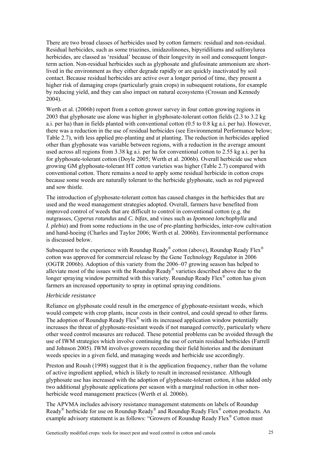There are two broad classes of herbicides used by cotton farmers: residual and non-residual. Residual herbicides, such as some triazines, imidazolinones, bipyridiliums and sulfonylurea herbicides, are classed as 'residual' because of their longevity in soil and consequent longerterm action. Non-residual herbicides such as glyphosate and glufosinate ammonium are shortlived in the environment as they either degrade rapidly or are quickly inactivated by soil contact. Because residual herbicides are active over a longer period of time, they present a higher risk of damaging crops (particularly grain crops) in subsequent rotations, for example by reducing yield, and they can also impact on natural ecosystems (Crossan and Kennedy 2004).

Werth et al. (2006b) report from a cotton grower survey in four cotton growing regions in 2003 that glyphosate use alone was higher in glyphosate-tolerant cotton fields (2.3 to 3.2 kg a.i. per ha) than in fields planted with conventional cotton (0.5 to 0.8 kg a.i. per ha). However, there was a reduction in the use of residual herbicides (see Environmental Performance below; Table 2.7), with less applied pre-planting and at planting. The reduction in herbicides applied other than glyphosate was variable between regions, with a reduction in the average amount used across all regions from 3.38 kg a.i. per ha for conventional cotton to 2.55 kg a.i. per ha for glyphosate-tolerant cotton (Doyle 2005; Werth et al. 2006b). Overall herbicide use when growing GM glyphosate-tolerant HT cotton varieties was higher (Table 2.7) compared with conventional cotton. There remains a need to apply some residual herbicide in cotton crops because some weeds are naturally tolerant to the herbicide glyphosate, such as red pigweed and sow thistle.

The introduction of glyphosate-tolerant cotton has caused changes in the herbicides that are used and the weed management strategies adopted. Overall, farmers have benefited from improved control of weeds that are difficult to control in conventional cotton (e.g. the nutgrasses, *Cyperus rotundus* and *C. bifax*, and vines such as *Ipomoea lonchophylla* and *I. plebia*) and from some reductions in the use of pre-planting herbicides, inter-row cultivation and hand-hoeing (Charles and Taylor 2006; Werth et al. 2006b). Environmental performance is discussed below.

Subsequent to the experience with Roundup Ready® cotton (above), Roundup Ready Flex<sup>®</sup> cotton was approved for commercial release by the Gene Technology Regulator in 2006 (OGTR 2006b). Adoption of this variety from the 2006–07 growing season has helped to alleviate most of the issues with the Roundup Ready® varieties described above due to the longer spraying window permitted with this variety. Roundup Ready Flex<sup>®</sup> cotton has given farmers an increased opportunity to spray in optimal spraying conditions.

#### *Herbicide resistance*

Reliance on glyphosate could result in the emergence of glyphosate-resistant weeds, which would compete with crop plants, incur costs in their control, and could spread to other farms. The adoption of Roundup Ready Flex<sup>®</sup> with its increased application window potentially increases the threat of glyphosate-resistant weeds if not managed correctly, particularly where other weed control measures are reduced. These potential problems can be avoided through the use of IWM strategies which involve continuing the use of certain residual herbicides (Farrell and Johnson 2005). IWM involves growers recording their field histories and the dominant weeds species in a given field, and managing weeds and herbicide use accordingly.

Preston and Roush (1998) suggest that it is the application frequency, rather than the volume of active ingredient applied, which is likely to result in increased resistance. Although glyphosate use has increased with the adoption of glyphosate-tolerant cotton, it has added only two additional glyphosate applications per season with a marginal reduction in other nonherbicide weed management practices (Werth et al. 2006b).

The APVMA includes advisory resistance management statements on labels of Roundup Ready<sup>®</sup> herbicide for use on Roundup Ready<sup>®</sup> and Roundup Ready Flex<sup>®</sup> cotton products. An example advisory statement is as follows: "Growers of Roundup Ready Flex<sup>®</sup> Cotton must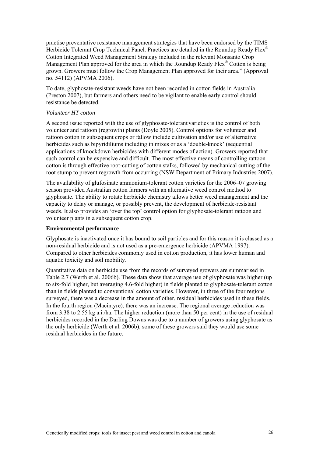practise preventative resistance management strategies that have been endorsed by the TIMS Herbicide Tolerant Crop Technical Panel. Practices are detailed in the Roundup Ready Flex<sup>®</sup> Cotton Integrated Weed Management Strategy included in the relevant Monsanto Crop Management Plan approved for the area in which the Roundup Ready Flex<sup>®</sup> Cotton is being grown. Growers must follow the Crop Management Plan approved for their area." (Approval no. 54112) (APVMA 2006).

To date, glyphosate-resistant weeds have not been recorded in cotton fields in Australia (Preston 2007), but farmers and others need to be vigilant to enable early control should resistance be detected.

#### *Volunteer HT cotton*

A second issue reported with the use of glyphosate-tolerant varieties is the control of both volunteer and rattoon (regrowth) plants (Doyle 2005). Control options for volunteer and rattoon cotton in subsequent crops or fallow include cultivation and/or use of alternative herbicides such as bipyridiliums including in mixes or as a 'double-knock' (sequential applications of knockdown herbicides with different modes of action). Growers reported that such control can be expensive and difficult. The most effective means of controlling rattoon cotton is through effective root-cutting of cotton stalks, followed by mechanical cutting of the root stump to prevent regrowth from occurring (NSW Department of Primary Industries 2007).

The availability of glufosinate ammonium-tolerant cotton varieties for the 2006–07 growing season provided Australian cotton farmers with an alternative weed control method to glyphosate. The ability to rotate herbicide chemistry allows better weed management and the capacity to delay or manage, or possibly prevent, the development of herbicide-resistant weeds. It also provides an 'over the top' control option for glyphosate-tolerant rattoon and volunteer plants in a subsequent cotton crop.

#### **Environmental performance**

Glyphosate is inactivated once it has bound to soil particles and for this reason it is classed as a non-residual herbicide and is not used as a pre-emergence herbicide (APVMA 1997). Compared to other herbicides commonly used in cotton production, it has lower human and aquatic toxicity and soil mobility.

Quantitative data on herbicide use from the records of surveyed growers are summarised in Table 2.7 (Werth et al. 2006b). These data show that average use of glyphosate was higher (up to six-fold higher, but averaging 4.6-fold higher) in fields planted to glyphosate-tolerant cotton than in fields planted to conventional cotton varieties. However, in three of the four regions surveyed, there was a decrease in the amount of other, residual herbicides used in these fields. In the fourth region (Macintyre), there was an increase. The regional average reduction was from 3.38 to 2.55 kg a.i./ha. The higher reduction (more than 50 per cent) in the use of residual herbicides recorded in the Darling Downs was due to a number of growers using glyphosate as the only herbicide (Werth et al. 2006b); some of these growers said they would use some residual herbicides in the future.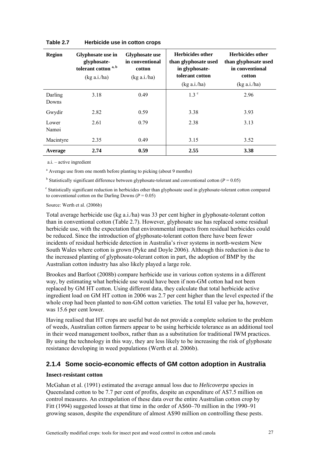| <b>Region</b>    | Glyphosate use in<br>glyphosate-<br>tolerant cotton a, b<br>(kg a.i/ha) | <b>Glyphosate use</b><br>in conventional<br>cotton<br>(kg a.i/ha) | <b>Herbicides other</b><br>than glyphosate used<br>in glyphosate-<br>tolerant cotton<br>(kg a.i/ha) | <b>Herbicides other</b><br>than glyphosate used<br>in conventional<br>cotton<br>(kg a.i./ha) |  |
|------------------|-------------------------------------------------------------------------|-------------------------------------------------------------------|-----------------------------------------------------------------------------------------------------|----------------------------------------------------------------------------------------------|--|
| Darling<br>Downs | 3.18                                                                    | 0.49                                                              | 1.3 <sup>c</sup>                                                                                    | 2.96                                                                                         |  |
| Gwydir           | 2.82                                                                    | 0.59                                                              | 3.38                                                                                                | 3.93                                                                                         |  |
| Lower<br>Namoi   | 2.61                                                                    | 0.79                                                              | 2.38                                                                                                | 3.13                                                                                         |  |
| Macintyre        | 2.35                                                                    | 0.49                                                              | 3.15                                                                                                | 3.52                                                                                         |  |
| Average          | 2.74                                                                    | 0.59                                                              | 2.55                                                                                                | 3.38                                                                                         |  |

#### **Table 2.7 Herbicide use in cotton crops**

a.i. – active ingredient

<sup>a</sup> Average use from one month before planting to picking (about 9 months)

<sup>b</sup> Statistically significant difference between glyphosate-tolerant and conventional cotton ( $P = 0.05$ )

c Statistically significant reduction in herbicides other than glyphosate used in glyphosate-tolerant cotton compared to conventional cotton on the Darling Downs ( $P = 0.05$ )

Source: Werth et al. (2006b)

Total average herbicide use (kg a.i./ha) was 33 per cent higher in glyphosate-tolerant cotton than in conventional cotton (Table 2.7). However, glyphosate use has replaced some residual herbicide use, with the expectation that environmental impacts from residual herbicides could be reduced. Since the introduction of glyphosate-tolerant cotton there have been fewer incidents of residual herbicide detection in Australia's river systems in north-western New South Wales where cotton is grown (Pyke and Doyle 2006). Although this reduction is due to the increased planting of glyphosate-tolerant cotton in part, the adoption of BMP by the Australian cotton industry has also likely played a large role.

Brookes and Barfoot (2008b) compare herbicide use in various cotton systems in a different way, by estimating what herbicide use would have been if non-GM cotton had not been replaced by GM HT cotton. Using different data, they calculate that total herbicide active ingredient load on GM HT cotton in 2006 was 2.7 per cent higher than the level expected if the whole crop had been planted to non-GM cotton varieties. The total EI value per ha, however, was 15.6 per cent lower.

Having realised that HT crops are useful but do not provide a complete solution to the problem of weeds, Australian cotton farmers appear to be using herbicide tolerance as an additional tool in their weed management toolbox, rather than as a substitution for traditional IWM practices. By using the technology in this way, they are less likely to be increasing the risk of glyphosate resistance developing in weed populations (Werth et al. 2006b).

## **2.1.4 Some socio-economic effects of GM cotton adoption in Australia**

#### **Insect-resistant cotton**

McGahan et al. (1991) estimated the average annual loss due to *Helicoverpa* species in Queensland cotton to be 7.7 per cent of profits, despite an expenditure of A\$7.5 million on control measures. An extrapolation of these data over the entire Australian cotton crop by Fitt (1994) suggested losses at that time in the order of A\$60–70 million in the 1990–91 growing season, despite the expenditure of almost A\$90 million on controlling these pests.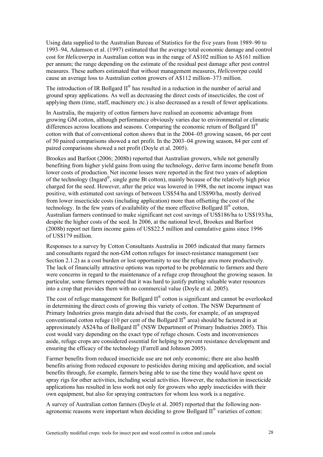Using data supplied to the Australian Bureau of Statistics for the five years from 1989–90 to 1993–94, Adamson et al. (1997) estimated that the average total economic damage and control cost for *Helicoverpa* in Australian cotton was in the range of A\$102 million to A\$161 million per annum; the range depending on the estimate of the residual pest damage after pest control measures. These authors estimated that without management measures, *Helicoverpa* could cause an average loss to Australian cotton growers of A\$112 million–373 million.

The introduction of IR Bollgard  $II^{\circledast}$  has resulted in a reduction in the number of aerial and ground spray applications. As well as decreasing the direct costs of insecticides, the cost of applying them (time, staff, machinery etc.) is also decreased as a result of fewer applications.

In Australia, the majority of cotton farmers have realised an economic advantage from growing GM cotton, although performance obviously varies due to environmental or climatic differences across locations and seasons. Comparing the economic return of Bollgard  $II^{\circledR}$ cotton with that of conventional cotton shows that in the 2004–05 growing season, 66 per cent of 50 paired comparisons showed a net profit. In the 2003–04 growing season, 84 per cent of paired comparisons showed a net profit (Doyle et al. 2005).

Brookes and Barfoot (2006; 2008b) reported that Australian growers, while not generally benefiting from higher yield gains from using the technology, derive farm income benefit from lower costs of production. Net income losses were reported in the first two years of adoption of the technology (Ingard®, single gene Bt cotton), mainly because of the relatively high price charged for the seed. However, after the price was lowered in 1998, the net income impact was positive, with estimated cost savings of between US\$54/ha and US\$90/ha, mostly derived from lower insecticide costs (including application) more than offsetting the cost of the technology. In the few years of availability of the more effective Bollgard  $II^{\circ}$  cotton, Australian farmers continued to make significant net cost savings of US\$186/ha to US\$193/ha, despite the higher costs of the seed. In 2006, at the national level, Brookes and Barfoot (2008b) report net farm income gains of US\$22.5 million and cumulative gains since 1996 of US\$179 million.

Responses to a survey by Cotton Consultants Australia in 2005 indicated that many farmers and consultants regard the non-GM cotton refuges for insect-resistance management (see Section 2.1.2) as a cost burden or lost opportunity to use the refuge area more productively. The lack of financially attractive options was reported to be problematic to farmers and there were concerns in regard to the maintenance of a refuge crop throughout the growing season. In particular, some farmers reported that it was hard to justify putting valuable water resources into a crop that provides them with no commercial value (Doyle et al. 2005).

The cost of refuge management for Bollgard II<sup>®</sup> cotton is significant and cannot be overlooked in determining the direct costs of growing this variety of cotton. The NSW Department of Primary Industries gross margin data advised that the costs, for example, of an unsprayed conventional cotton refuge (10 per cent of the Bollgard  $II^{\circledR}$  area) should be factored in at approximately A\$24/ha of Bollgard  $II^{\circledR}$  (NSW Department of Primary Industries 2005). This cost would vary depending on the exact type of refuge chosen. Costs and inconveniences aside, refuge crops are considered essential for helping to prevent resistance development and ensuring the efficacy of the technology (Farrell and Johnson 2005).

Farmer benefits from reduced insecticide use are not only economic; there are also health benefits arising from reduced exposure to pesticides during mixing and application, and social benefits through, for example, farmers being able to use the time they would have spent on spray rigs for other activities, including social activities. However, the reduction in insecticide applications has resulted in less work not only for growers who apply insecticides with their own equipment, but also for spraying contractors for whom less work is a negative.

A survey of Australian cotton farmers (Doyle et al. 2005) reported that the following nonagronomic reasons were important when deciding to grow Bollgard II® varieties of cotton: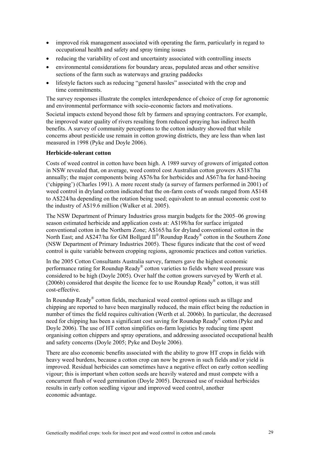- improved risk management associated with operating the farm, particularly in regard to occupational health and safety and spray timing issues
- reducing the variability of cost and uncertainty associated with controlling insects
- environmental considerations for boundary areas, populated areas and other sensitive sections of the farm such as waterways and grazing paddocks
- lifestyle factors such as reducing "general hassles" associated with the crop and time commitments.

The survey responses illustrate the complex interdependence of choice of crop for agronomic and environmental performance with socio-economic factors and motivations.

Societal impacts extend beyond those felt by farmers and spraying contractors. For example, the improved water quality of rivers resulting from reduced spraying has indirect health benefits. A survey of community perceptions to the cotton industry showed that while concerns about pesticide use remain in cotton growing districts, they are less than when last measured in 1998 (Pyke and Doyle 2006).

#### **Herbicide-tolerant cotton**

Costs of weed control in cotton have been high. A 1989 survey of growers of irrigated cotton in NSW revealed that, on average, weed control cost Australian cotton growers A\$187/ha annually; the major components being A\$76/ha for herbicides and A\$67/ha for hand-hoeing ('chipping') (Charles 1991). A more recent study (a survey of farmers performed in 2001) of weed control in dryland cotton indicated that the on-farm costs of weeds ranged from A\$148 to A\$224/ha depending on the rotation being used; equivalent to an annual economic cost to the industry of A\$19.6 million (Walker et al. 2005).

The NSW Department of Primary Industries gross margin budgets for the 2005–06 growing season estimated herbicide and application costs at: A\$198/ha for surface irrigated conventional cotton in the Northern Zone; A\$165/ha for dryland conventional cotton in the North East; and A\$247/ha for GM Bollgard II<sup>®</sup>/Roundup Ready<sup>®</sup> cotton in the Southern Zone (NSW Department of Primary Industries 2005). These figures indicate that the cost of weed control is quite variable between cropping regions, agronomic practices and cotton varieties.

In the 2005 Cotton Consultants Australia survey, farmers gave the highest economic performance rating for Roundup Ready® cotton varieties to fields where weed pressure was considered to be high (Doyle 2005). Over half the cotton growers surveyed by Werth et al.  $(2006b)$  considered that despite the licence fee to use Roundup Ready<sup>®</sup> cotton, it was still cost-effective.

In Roundup Ready® cotton fields, mechanical weed control options such as tillage and chipping are reported to have been marginally reduced, the main effect being the reduction in number of times the field requires cultivation (Werth et al. 2006b). In particular, the decreased need for chipping has been a significant cost saving for Roundup Ready® cotton (Pyke and Doyle 2006). The use of HT cotton simplifies on-farm logistics by reducing time spent organising cotton chippers and spray operations, and addressing associated occupational health and safety concerns (Doyle 2005; Pyke and Doyle 2006).

There are also economic benefits associated with the ability to grow HT crops in fields with heavy weed burdens, because a cotton crop can now be grown in such fields and/or yield is improved. Residual herbicides can sometimes have a negative effect on early cotton seedling vigour; this is important when cotton seeds are heavily watered and must compete with a concurrent flush of weed germination (Doyle 2005). Decreased use of residual herbicides results in early cotton seedling vigour and improved weed control, another economic advantage.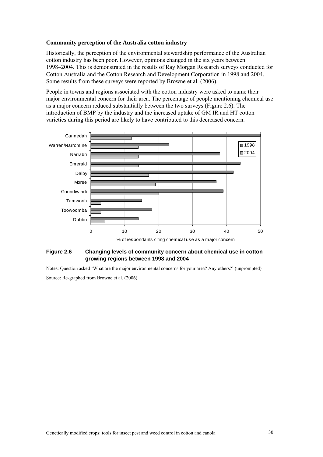#### **Community perception of the Australia cotton industry**

Historically, the perception of the environmental stewardship performance of the Australian cotton industry has been poor. However, opinions changed in the six years between 1998–2004. This is demonstrated in the results of Ray Morgan Research surveys conducted for Cotton Australia and the Cotton Research and Development Corporation in 1998 and 2004. Some results from these surveys were reported by Browne et al. (2006).

People in towns and regions associated with the cotton industry were asked to name their major environmental concern for their area. The percentage of people mentioning chemical use as a major concern reduced substantially between the two surveys (Figure 2.6). The introduction of BMP by the industry and the increased uptake of GM IR and HT cotton varieties during this period are likely to have contributed to this decreased concern.



#### **Figure 2.6 Changing levels of community concern about chemical use in cotton growing regions between 1998 and 2004**

Notes: Question asked 'What are the major environmental concerns for your area? Any others?' (unprompted) Source: Re-graphed from Browne et al. (2006)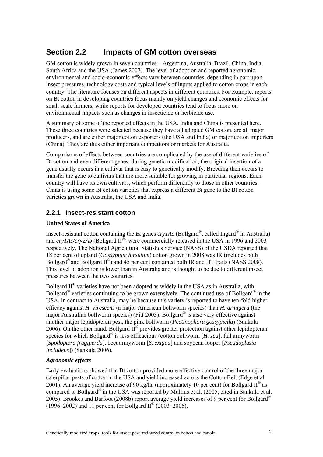## **Section 2.2 Impacts of GM cotton overseas**

GM cotton is widely grown in seven countries—Argentina, Australia, Brazil, China, India, South Africa and the USA (James 2007). The level of adoption and reported agronomic, environmental and socio-economic effects vary between countries, depending in part upon insect pressures, technology costs and typical levels of inputs applied to cotton crops in each country. The literature focuses on different aspects in different countries. For example, reports on Bt cotton in developing countries focus mainly on yield changes and economic effects for small scale farmers, while reports for developed countries tend to focus more on environmental impacts such as changes in insecticide or herbicide use.

A summary of some of the reported effects in the USA, India and China is presented here. These three countries were selected because they have all adopted GM cotton, are all major producers, and are either major cotton exporters (the USA and India) or major cotton importers (China). They are thus either important competitors or markets for Australia.

Comparisons of effects between countries are complicated by the use of different varieties of Bt cotton and even different genes: during genetic modification, the original insertion of a gene usually occurs in a cultivar that is easy to genetically modify. Breeding then occurs to transfer the gene to cultivars that are more suitable for growing in particular regions. Each country will have its own cultivars, which perform differently to those in other countries. China is using some Bt cotton varieties that express a different *Bt* gene to the Bt cotton varieties grown in Australia, the USA and India.

## **2.2.1 Insect-resistant cotton**

### **United States of America**

Insect-resistant cotton containing the *Bt* genes  $cryIAc$  (Bollgard<sup>®</sup>, called Ingard<sup>®</sup> in Australia) and  $\frac{c\frac{1}{2}Ac}{\frac{1}{2}Ac}$  (Bollgard II<sup>®</sup>) were commercially released in the USA in 1996 and 2003 respectively. The National Agricultural Statistics Service (NASS) of the USDA reported that 18 per cent of upland (*Gossypium hirsutum*) cotton grown in 2008 was IR (includes both Bollgard<sup>®</sup> and Bollgard  $II^{\circledast}$ ) and 45 per cent contained both IR and HT traits (NASS 2008). This level of adoption is lower than in Australia and is thought to be due to different insect pressures between the two countries.

Bollgard  $II^{\circledast}$  varieties have not been adopted as widely in the USA as in Australia, with Bollgard<sup>®</sup> varieties continuing to be grown extensively. The continued use of Bollgard<sup>®</sup> in the USA, in contrast to Australia, may be because this variety is reported to have ten-fold higher efficacy against *H. virescens* (a major American bollworm species) than *H. armigera* (the major Australian bollworm species) (Fitt 2003). Bollgard® is also very effective against another major lepidopteran pest, the pink bollworm (*Pectinophora gossypiella*) (Sankula 2006). On the other hand, Bollgard II® provides greater protection against other lepidopteran species for which Bollgard® is less efficacious (cotton bollworm [*H. zea*], fall armyworm [*Spodoptera frugiperda*], beet armyworm [*S. exigua*] and soybean looper [*Pseudoplusia includens*]) (Sankula 2006).

### *Agronomic effects*

Early evaluations showed that Bt cotton provided more effective control of the three major caterpillar pests of cotton in the USA and yield increased across the Cotton Belt (Edge et al. 2001). An average yield increase of 90 kg/ha (approximately 10 per cent) for Bollgard  $II^{\circledR}$  as compared to Bollgard<sup>®</sup> in the USA was reported by Mullins et al. (2005, cited in Sankula et al. 2005). Brookes and Barfoot (2008b) report average yield increases of 9 per cent for Bollgard® (1996–2002) and 11 per cent for Bollgard II<sup>®</sup> (2003–2006).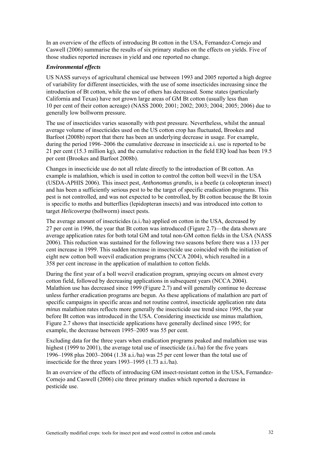In an overview of the effects of introducing Bt cotton in the USA, Fernandez-Cornejo and Caswell (2006) summarise the results of six primary studies on the effects on yields. Five of those studies reported increases in yield and one reported no change.

#### *Environmental effects*

US NASS surveys of agricultural chemical use between 1993 and 2005 reported a high degree of variability for different insecticides, with the use of some insecticides increasing since the introduction of Bt cotton, while the use of others has decreased. Some states (particularly California and Texas) have not grown large areas of GM Bt cotton (usually less than 10 per cent of their cotton acreage) (NASS 2000; 2001; 2002; 2003; 2004; 2005; 2006) due to generally low bollworm pressure.

The use of insecticides varies seasonally with pest pressure. Nevertheless, whilst the annual average volume of insecticides used on the US cotton crop has fluctuated, Brookes and Barfoot (2008b) report that there has been an underlying decrease in usage. For example, during the period 1996–2006 the cumulative decrease in insecticide a.i. use is reported to be 21 per cent (15.3 million kg), and the cumulative reduction in the field EIQ load has been 19.5 per cent (Brookes and Barfoot 2008b).

Changes in insecticide use do not all relate directly to the introduction of Bt cotton. An example is malathion, which is used in cotton to control the cotton boll weevil in the USA (USDA-APHIS 2006). This insect pest, *Anthonomus grandis*, is a beetle (a coleopteran insect) and has been a sufficiently serious pest to be the target of specific eradication programs. This pest is not controlled, and was not expected to be controlled, by Bt cotton because the Bt toxin is specific to moths and butterflies (lepidopteran insects) and was introduced into cotton to target *Helicoverpa* (bollworm) insect pests.

The average amount of insecticides (a.i./ha) applied on cotton in the USA, decreased by 27 per cent in 1996, the year that Bt cotton was introduced (Figure 2.7)—the data shown are average application rates for both total GM and total non-GM cotton fields in the USA (NASS 2006). This reduction was sustained for the following two seasons before there was a 133 per cent increase in 1999. This sudden increase in insecticide use coincided with the initiation of eight new cotton boll weevil eradication programs (NCCA 2004), which resulted in a 358 per cent increase in the application of malathion to cotton fields.

During the first year of a boll weevil eradication program, spraying occurs on almost every cotton field, followed by decreasing applications in subsequent years (NCCA 2004). Malathion use has decreased since 1999 (Figure 2.7) and will generally continue to decrease unless further eradication programs are begun. As these applications of malathion are part of specific campaigns in specific areas and not routine control, insecticide application rate data *minus* malathion rates reflects more generally the insecticide use trend since 1995, the year before Bt cotton was introduced in the USA. Considering insecticide use minus malathion, Figure 2.7 shows that insecticide applications have generally declined since 1995; for example, the decrease between 1995–2005 was 55 per cent.

Excluding data for the three years when eradication programs peaked and malathion use was highest (1999 to 2001), the average total use of insecticide (a.i./ha) for the five years 1996–1998 plus 2003–2004 (1.38 a.i./ha) was 25 per cent lower than the total use of insecticide for the three years 1993–1995 (1.73 a.i./ha).

In an overview of the effects of introducing GM insect-resistant cotton in the USA, Fernandez-Cornejo and Caswell (2006) cite three primary studies which reported a decrease in pesticide use.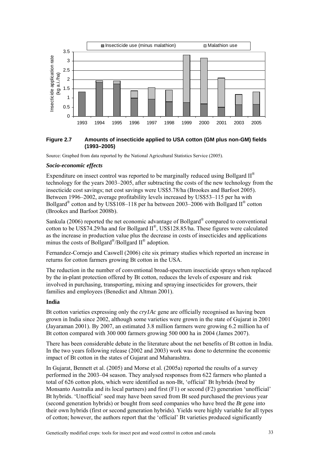

#### **Figure 2.7 Amounts of insecticide applied to USA cotton (GM plus non-GM) fields (1993–2005)**

Source: Graphed from data reported by the National Agricultural Statistics Service (2005).

#### *Socio-economic effects*

Expenditure on insect control was reported to be marginally reduced using Bollgard  $II^{\circledR}$ technology for the years 2003–2005, after subtracting the costs of the new technology from the insecticide cost savings; net cost savings were US\$5.78/ha (Brookes and Barfoot 2005). Between 1996–2002, average profitability levels increased by US\$53–115 per ha with Bollgard<sup>®</sup> cotton and by US\$108–118 per ha between 2003–2006 with Bollgard II<sup>®</sup> cotton (Brookes and Barfoot 2008b).

Sankula (2006) reported the net economic advantage of Bollgard® compared to conventional cotton to be US\$74.29/ha and for Bollgard II®, US\$128.85/ha. These figures were calculated as the increase in production value plus the decrease in costs of insecticides and applications minus the costs of Bollgard<sup>®</sup>/Bollgard  $II^{\otimes}$  adoption.

Fernandez-Cornejo and Caswell (2006) cite six primary studies which reported an increase in returns for cotton farmers growing Bt cotton in the USA.

The reduction in the number of conventional broad-spectrum insecticide sprays when replaced by the in-plant protection offered by Bt cotton, reduces the levels of exposure and risk involved in purchasing, transporting, mixing and spraying insecticides for growers, their families and employees (Benedict and Altman 2001).

#### **India**

Bt cotton varieties expressing only the *cry1Ac* gene are officially recognised as having been grown in India since 2002, although some varieties were grown in the state of Gujarat in 2001 (Jayaraman 2001). By 2007, an estimated 3.8 million farmers were growing 6.2 million ha of Bt cotton compared with 300 000 farmers growing 500 000 ha in 2004 (James 2007).

There has been considerable debate in the literature about the net benefits of Bt cotton in India. In the two years following release (2002 and 2003) work was done to determine the economic impact of Bt cotton in the states of Gujarat and Maharashtra.

In Gujarat, Bennett et al. (2005) and Morse et al. (2005a) reported the results of a survey performed in the 2003–04 season. They analysed responses from 622 farmers who planted a total of 626 cotton plots, which were identified as non-Bt, 'official' Bt hybrids (bred by Monsanto Australia and its local partners) and first (F1) or second (F2) generation 'unofficial' Bt hybrids. 'Unofficial' seed may have been saved from Bt seed purchased the previous year (second generation hybrids) or bought from seed companies who have bred the *Bt* gene into their own hybrids (first or second generation hybrids). Yields were highly variable for all types of cotton; however, the authors report that the 'official' Bt varieties produced significantly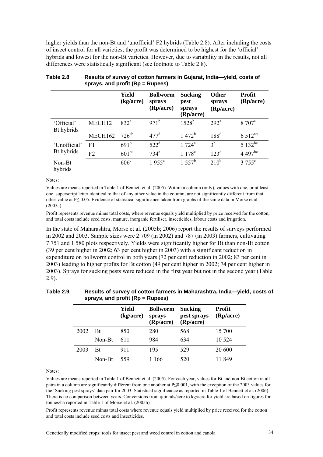higher yields than the non-Bt and 'unofficial' F2 hybrids (Table 2.8). After including the costs of insect control for all varieties, the profit was determined to be highest for the 'official' hybrids and lowest for the non-Bt varieties. However, due to variability in the results, not all differences were statistically significant (see footnote to Table 2.8).

|                          |         | Yield<br>(kg/acre) | <b>Bollworm</b><br>sprays<br>(Rp/acre) | <b>Sucking</b><br>pest<br>sprays<br>(Rp/acre) | <b>Other</b><br>sprays<br>(Rp/acre) | <b>Profit</b><br>(Rp/acre) |
|--------------------------|---------|--------------------|----------------------------------------|-----------------------------------------------|-------------------------------------|----------------------------|
| 'Official'<br>Bt hybrids | MECH12  | 832 <sup>a</sup>   | $971^b$                                | $1528^{b}$                                    | 292 <sup>a</sup>                    | 8 707 <sup>a</sup>         |
|                          | MECH162 | $726^{ab}$         | $477$ <sup>d</sup>                     | $1472^b$                                      | 188 <sup>d</sup>                    | 6.512 <sup>ab</sup>        |
| 'Unofficial'             | F1      | $691^{\rm b}$      | 522 <sup>d</sup>                       | $1724^a$                                      | $3^{\rm b}$                         | $5132^{bc}$                |
| Bt hybrids               | F2      | $601^{bc}$         | $734^{\circ}$                          | $1.178^{\circ}$                               | $123^{\circ}$                       | 4 497 $be$                 |
| Non-Bt<br>hybrids        |         | 606 <sup>c</sup>   | $1955^a$                               | $1.557^{\rm b}$                               | $210^b$                             | $3755^{\circ}$             |

| Table 2.8 | Results of survey of cotton farmers in Gujarat, India—yield, costs of |
|-----------|-----------------------------------------------------------------------|
|           | sprays, and profit $(Rp = Rupees)$                                    |

Notes:

Values are means reported in Table 1 of Bennett et al. (2005). Within a column (only), values with one, or at least one, superscript letter identical to that of any other value in the column, are not significantly different from that other value at P≤ 0.05. Evidence of statistical significance taken from graphs of the same data in Morse et al. (2005a).

Profit represents revenue minus total costs, where revenue equals yield multiplied by price received for the cotton, and total costs include seed costs, manure, inorganic fertiliser, insecticides, labour costs and irrigation.

In the state of Maharashtra, Morse et al. (2005b; 2006) report the results of surveys performed in 2002 and 2003. Sample sizes were 2 709 (in 2002) and 787 (in 2003) farmers, cultivating 7 751 and 1 580 plots respectively. Yields were significantly higher for Bt than non-Bt cotton (39 per cent higher in 2002; 63 per cent higher in 2003) with a significant reduction in expenditure on bollworm control in both years (72 per cent reduction in 2002; 83 per cent in 2003) leading to higher profits for Bt cotton (49 per cent higher in 2002; 74 per cent higher in 2003). Sprays for sucking pests were reduced in the first year but not in the second year (Table 2.9).

| Table 2.9 | Results of survey of cotton farmers in Maharashtra, India-yield, costs of |
|-----------|---------------------------------------------------------------------------|
|           | sprays, and profit $(Rp = Rupees)$                                        |

|      |           | Yield<br>(kg/acre) | <b>Bollworm</b><br>sprays<br>(Rp/acre) | <b>Sucking</b><br>pest sprays<br>(Rp/acre) | <b>Profit</b><br>(Rp/acre) |
|------|-----------|--------------------|----------------------------------------|--------------------------------------------|----------------------------|
| 2002 | <b>Bt</b> | 850                | 280                                    | 568                                        | 15 700                     |
|      | Non-Bt    | 611                | 984                                    | 634                                        | 10 5 24                    |
| 2003 | <b>Bt</b> | 911                | 195                                    | 529                                        | 20 600                     |
|      | Non-Bt    | 559                | 1 166                                  | 520                                        | 11 849                     |

Notes:

Values are means reported in Table 1 of Bennett et al. (2005). For each year, values for Bt and non-Bt cotton in all pairs in a column are significantly different from one another at P≤0.001, with the exception of the 2003 values for the 'Sucking pest sprays' data pair for 2003. Statistical significance as reported in Table 1 of Bennett et al. (2006). There is no comparison between years. Conversions from quintals/acre to kg/acre for yield are based on figures for tonnes/ha reported in Table 1 of Morse et al. (2005b)

Profit represents revenue minus total costs where revenue equals yield multiplied by price received for the cotton and total costs include seed costs and insecticides.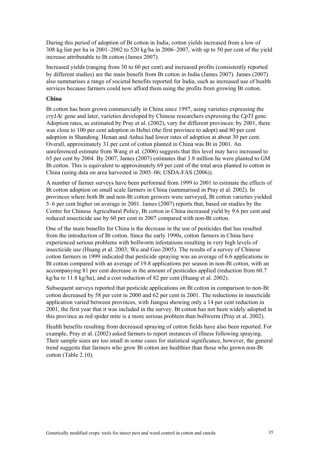During this period of adoption of Bt cotton in India, cotton yields increased from a low of 308 kg lint per ha in 2001–2002 to 520 kg/ha in 2006–2007, with up to 50 per cent of the yield increase attributable to Bt cotton (James 2007).

Increased yields (ranging from 30 to 60 per cent) and increased profits (consistently reported by different studies) are the main benefit from Bt cotton in India (James 2007). James (2007) also summarises a range of societal benefits reported for India, such as increased use of health services because farmers could now afford them using the profits from growing Bt cotton.

#### **China**

Bt cotton has been grown commercially in China since 1997, using varieties expressing the *cry1Ac* gene and later, varieties developed by Chinese researchers expressing the *CpTI* gene. Adoption rates, as estimated by Pray et al. (2002), vary for different provinces: by 2001, there was close to 100 per cent adoption in Hebei (the first province to adopt) and 80 per cent adoption in Shandong. Henan and Anhui had lower rates of adoption at about 30 per cent. Overall, approximately 31 per cent of cotton planted in China was Bt in 2001. An unreferenced estimate from Wang et al. (2006) suggests that this level may have increased to 65 per cent by 2004. By 2007, James (2007) estimates that 3.8 million ha were planted to GM Bt cotton. This is equivalent to approximately 69 per cent of the total area planted to cotton in China (using data on area harvested in 2005–06; USDA-FAS (2006)).

A number of farmer surveys have been performed from 1999 to 2001 to estimate the effects of Bt cotton adoption on small scale farmers in China (summarised in Pray et al. 2002). In provinces where both Bt and non-Bt cotton growers were surveyed, Bt cotton varieties yielded 5–6 per cent higher on average in 2001. James (2007) reports that, based on studies by the Centre for Chinese Agricultural Policy, Bt cotton in China increased yield by 9.6 per cent and reduced insecticide use by 60 per cent in 2007 compared with non-Bt cotton.

One of the main benefits for China is the decrease in the use of pesticides that has resulted from the introduction of Bt cotton. Since the early 1990s, cotton farmers in China have experienced serious problems with bollworm infestations resulting in very high levels of insecticide use (Huang et al. 2003; Wu and Guo 2005). The results of a survey of Chinese cotton farmers in 1999 indicated that pesticide spraying was an average of 6.6 applications in Bt cotton compared with an average of 19.8 applications per season in non-Bt cotton, with an accompanying 81 per cent decrease in the amount of pesticides applied (reduction from 60.7 kg/ha to 11.8 kg/ha), and a cost reduction of 82 per cent (Huang et al. 2002).

Subsequent surveys reported that pesticide applications on Bt cotton in comparison to non-Bt cotton decreased by 58 per cent in 2000 and 62 per cent in 2001. The reductions in insecticide application varied between provinces, with Jiangsu showing only a 14 per cent reduction in 2001, the first year that it was included in the survey. Bt cotton has not been widely adopted in this province as red spider mite is a more serious problem than bollworm (Pray et al. 2002).

Health benefits resulting from decreased spraying of cotton fields have also been reported. For example, Pray et al. (2002) asked farmers to report instances of illness following spraying. Their sample sizes are too small in some cases for statistical significance, however, the general trend suggests that farmers who grow Bt cotton are healthier than those who grown non-Bt cotton (Table 2.10).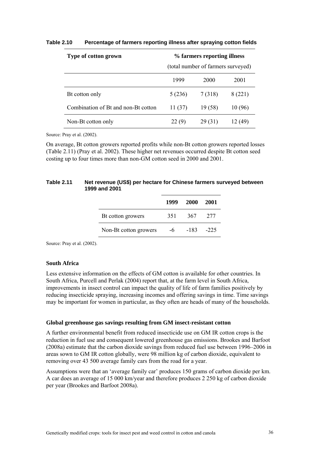| Type of cotton grown                | % farmers reporting illness        |         |         |  |  |
|-------------------------------------|------------------------------------|---------|---------|--|--|
|                                     | (total number of farmers surveyed) |         |         |  |  |
|                                     | 1999                               | 2000    | 2001    |  |  |
| Bt cotton only                      | 5(236)                             | 7 (318) | 8 (221) |  |  |
| Combination of Bt and non-Bt cotton | 11(37)                             | 19(58)  | 10 (96) |  |  |
| Non-Bt cotton only                  | 22(9)                              | 29 (31) | (49)    |  |  |

#### **Table 2.10 Percentage of farmers reporting illness after spraying cotton fields**

Source: Pray et al. (2002).

On average, Bt cotton growers reported profits while non-Bt cotton growers reported losses (Table 2.11) (Pray et al. 2002). These higher net revenues occurred despite Bt cotton seed costing up to four times more than non-GM cotton seed in 2000 and 2001.

#### **Table 2.11 Net revenue (US\$) per hectare for Chinese farmers surveyed between 1999 and 2001**

|                       | 1999 | 2000 | 2001   |
|-----------------------|------|------|--------|
| Bt cotton growers     | 351  | 367  | 277    |
| Non-Bt cotton growers | -6   | -183 | $-225$ |

Source: Pray et al. (2002).

#### **South Africa**

Less extensive information on the effects of GM cotton is available for other countries. In South Africa, Purcell and Perlak (2004) report that, at the farm level in South Africa, improvements in insect control can impact the quality of life of farm families positively by reducing insecticide spraying, increasing incomes and offering savings in time. Time savings may be important for women in particular, as they often are heads of many of the households.

#### **Global greenhouse gas savings resulting from GM insect-resistant cotton**

A further environmental benefit from reduced insecticide use on GM IR cotton crops is the reduction in fuel use and consequent lowered greenhouse gas emissions. Brookes and Barfoot (2008a) estimate that the carbon dioxide savings from reduced fuel use between 1996–2006 in areas sown to GM IR cotton globally, were 98 million kg of carbon dioxide, equivalent to removing over 43 500 average family cars from the road for a year.

Assumptions were that an 'average family car' produces 150 grams of carbon dioxide per km. A car does an average of 15 000 km/year and therefore produces 2 250 kg of carbon dioxide per year (Brookes and Barfoot 2008a).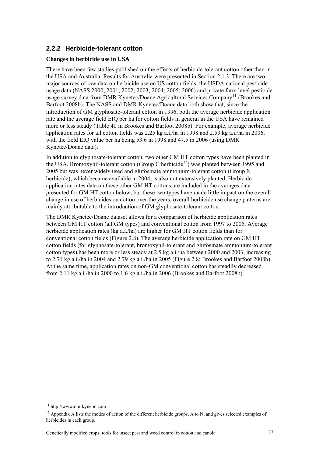## <span id="page-54-0"></span>**2.2.2 Herbicide-tolerant cotton**

#### **Changes in herbicide use in USA**

There have been few studies published on the effects of herbicide-tolerant cotton other than in the USA and Australia. Results for Australia were presented in Section 2.1.3. There are two major sources of raw data on herbicide use on US cotton fields: the USDA national pesticide usage data (NASS 2000; 2001; 2002; 2003; 2004; 2005; 2006) and private farm level pesticide usage survey data from DMR Kynetec/Doane Agricultural Services Company<sup>[11](#page-54-0)</sup> (Brookes and Barfoot 2008b). The NASS and DMR Kynetec/Doane data both show that, since the introduction of GM glyphosate-tolerant cotton in 1996, both the average herbicide application rate and the average field EIQ per ha for cotton fields in general in the USA have remained more or less steady (Table 40 in Brookes and Barfoot 2008b). For example, average herbicide application rates for all cotton fields was 2.25 kg a.i./ha in 1998 and 2.53 kg a.i./ha in 2006, with the field EIQ value per ha being 53.6 in 1998 and 47.5 in 2006 (using DMR Kynetec/Doane data).

In addition to glyphosate-tolerant cotton, two other GM HT cotton types have been planted in the USA. Bromoxynil-tolerant cotton (Group C herbicide<sup>[12](#page-54-0)</sup>) was planted between 1995 and 2005 but was never widely used and glufosinate ammonium-tolerant cotton (Group N herbicide), which became available in 2004, is also not extensively planted. Herbicide application rates data on these other GM HT cottons are included in the averages data presented for GM HT cotton below, but these two types have made little impact on the overall change in use of herbicides on cotton over the years; overall herbicide use change patterns are mainly attributable to the introduction of GM glyphosate-tolerant cotton.

The DMR Kynetec/Doane dataset allows for a comparison of herbicide application rates between GM HT cotton (all GM types) and conventional cotton from 1997 to 2005. Average herbicide application rates (kg a.i./ha) are higher for GM HT cotton fields than for conventional cotton fields (Figure 2.8). The average herbicide application rate on GM HT cotton fields (for glyphosate-tolerant, bromoxynil-tolerant and glufosinate ammonium-tolerant cotton types) has been more or less steady at 2.5 kg a.i./ha between 2000 and 2003, increasing to 2.71 kg a.i./ha in 2004 and 2.79 kg a.i./ha in 2005 (Figure 2.8; Brookes and Barfoot 2008b). At the same time, application rates on non-GM conventional cotton has steadily decreased from 2.11 kg a.i./ha in 2000 to 1.6 kg a.i./ha in 2006 (Brookes and Barfoot 2008b).

1

<sup>11</sup> http://www.dmrkynetic.com

 $12$  Appendix A lists the modes of action of the different herbicide groups, A to N, and gives selected examples of herbicides in each group.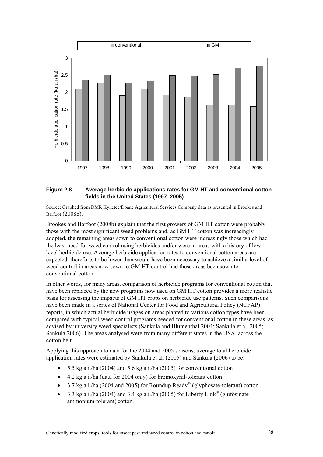

#### **Figure 2.8 Average herbicide applications rates for GM HT and conventional cotton fields in the United States (1997–2005)**

Source: Graphed from DMR Kynetec/Doane Agricultural Services Company data as presented in Brookes and Barfoot (2008b).

Brookes and Barfoot (2008b) explain that the first growers of GM HT cotton were probably those with the most significant weed problems and, as GM HT cotton was increasingly adopted, the remaining areas sown to conventional cotton were increasingly those which had the least need for weed control using herbicides and/or were in areas with a history of low level herbicide use. Average herbicide application rates to conventional cotton areas are expected, therefore, to be lower than would have been necessary to achieve a similar level of weed control in areas now sown to GM HT control had these areas been sown to conventional cotton.

In other words, for many areas, comparison of herbicide programs for conventional cotton that have been replaced by the new programs now used on GM HT cotton provides a more realistic basis for assessing the impacts of GM HT crops on herbicide use patterns. Such comparisons have been made in a series of National Center for Food and Agricultural Policy (NCFAP) reports, in which actual herbicide usages on areas planted to various cotton types have been compared with typical weed control programs needed for conventional cotton in these areas, as advised by university weed specialists (Sankula and Blumenthal 2004; Sankula et al. 2005; Sankula 2006). The areas analysed were from many different states in the USA, across the cotton belt.

Applying this approach to data for the 2004 and 2005 seasons, average total herbicide application rates were estimated by Sankula et al. (2005) and Sankula (2006) to be:

- 5.5 kg a.i./ha (2004) and 5.6 kg a.i./ha (2005) for conventional cotton
- 4.2 kg a.i./ha (data for 2004 only) for bromoxynil-tolerant cotton
- 3.7 kg a.i./ha (2004 and 2005) for Roundup Ready<sup>®</sup> (glyphosate-tolerant) cotton
- 3.3 kg a.i./ha (2004) and 3.4 kg a.i./ha (2005) for Liberty Link<sup>®</sup> (glufosinate ammonium-tolerant) cotton.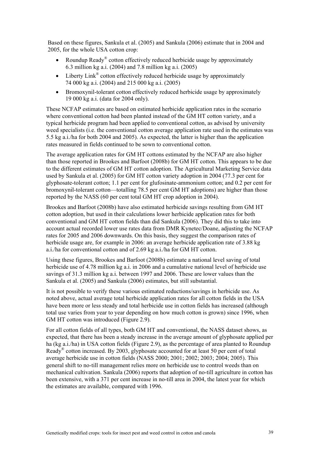Based on these figures, Sankula et al. (2005) and Sankula (2006) estimate that in 2004 and 2005, for the whole USA cotton crop:

- Roundup Ready® cotton effectively reduced herbicide usage by approximately 6.3 million kg a.i. (2004) and 7.8 million kg a.i. (2005)
- Liberty Link<sup>®</sup> cotton effectively reduced herbicide usage by approximately 74 000 kg a.i. (2004) and 215 000 kg a.i. (2005)
- Bromoxynil-tolerant cotton effectively reduced herbicide usage by approximately 19 000 kg a.i. (data for 2004 only).

These NCFAP estimates are based on estimated herbicide application rates in the scenario where conventional cotton had been planted instead of the GM HT cotton variety, and a typical herbicide program had been applied to conventional cotton, as advised by university weed specialists (i.e. the conventional cotton average application rate used in the estimates was 5.5 kg a.i./ha for both 2004 and 2005). As expected, the latter is higher than the application rates measured in fields continued to be sown to conventional cotton.

The average application rates for GM HT cottons estimated by the NCFAP are also higher than those reported in Brookes and Barfoot (2008b) for GM HT cotton. This appears to be due to the different estimates of GM HT cotton adoption. The Agricultural Marketing Service data used by Sankula et al. (2005) for GM HT cotton variety adoption in 2004 (77.3 per cent for glyphosate-tolerant cotton; 1.1 per cent for glufosinate-ammonium cotton; and 0.2 per cent for bromoxynil-tolerant cotton—totalling 78.5 per cent GM HT adoptions) are higher than those reported by the NASS (60 per cent total GM HT crop adoption in 2004).

Brookes and Barfoot (2008b) have also estimated herbicide savings resulting from GM HT cotton adoption, but used in their calculations lower herbicide application rates for both conventional and GM HT cotton fields than did Sankula (2006). They did this to take into account actual recorded lower use rates data from DMR Kynetec/Doane, adjusting the NCFAP rates for 2005 and 2006 downwards. On this basis, they suggest the comparison rates of herbicide usage are, for example in 2006: an average herbicide application rate of 3.88 kg a.i./ha for conventional cotton and of 2.69 kg a.i./ha for GM HT cotton.

Using these figures, Brookes and Barfoot (2008b) estimate a national level saving of total herbicide use of 4.78 million kg a.i. in 2006 and a cumulative national level of herbicide use savings of 31.3 million kg a.i. between 1997 and 2006. These are lower values than the Sankula et al. (2005) and Sankula (2006) estimates, but still substantial.

It is not possible to verify these various estimated reductions/savings in herbicide use. As noted above, actual average total herbicide application rates for all cotton fields in the USA have been more or less steady and total herbicide use in cotton fields has increased (although total use varies from year to year depending on how much cotton is grown) since 1996, when GM HT cotton was introduced (Figure 2.9).

For all cotton fields of all types, both GM HT and conventional, the NASS dataset shows, as expected, that there has been a steady increase in the average amount of glyphosate applied per ha (kg a.i./ha) in USA cotton fields (Figure 2.9), as the percentage of area planted to Roundup Ready® cotton increased. By 2003, glyphosate accounted for at least 50 per cent of total average herbicide use in cotton fields (NASS 2000; 2001; 2002; 2003; 2004; 2005). This general shift to no-till management relies more on herbicide use to control weeds than on mechanical cultivation. Sankula (2006) reports that adoption of no-till agriculture in cotton has been extensive, with a 371 per cent increase in no-till area in 2004, the latest year for which the estimates are available, compared with 1996.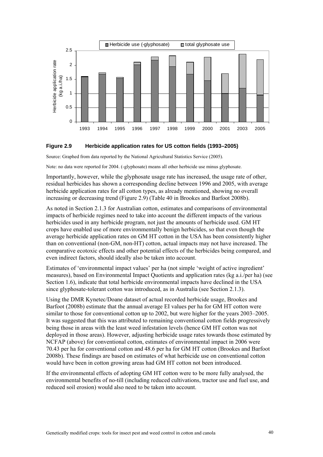



Source: Graphed from data reported by the National Agricultural Statistics Service (2005).

Note: no data were reported for 2004. (-glyphosate) means all other herbicide use minus glyphosate.

Importantly, however, while the glyphosate usage rate has increased, the usage rate of other, residual herbicides has shown a corresponding decline between 1996 and 2005, with average herbicide application rates for all cotton types, as already mentioned, showing no overall increasing or decreasing trend (Figure 2.9) (Table 40 in Brookes and Barfoot 2008b).

As noted in Section 2.1.3 for Australian cotton, estimates and comparisons of environmental impacts of herbicide regimes need to take into account the different impacts of the various herbicides used in any herbicide program, not just the amounts of herbicide used. GM HT crops have enabled use of more environmentally benign herbicides, so that even though the average herbicide application rates on GM HT cotton in the USA has been consistently higher than on conventional (non-GM, non-HT) cotton, actual impacts may not have increased. The comparative ecotoxic effects and other potential effects of the herbicides being compared, and even indirect factors, should ideally also be taken into account.

Estimates of 'environmental impact values' per ha (not simple 'weight of active ingredient' measures), based on Environmental Impact Quotients and application rates (kg a.i./per ha) (see Section 1.6), indicate that total herbicide environmental impacts have declined in the USA since glyphosate-tolerant cotton was introduced, as in Australia (see Section 2.1.3).

Using the DMR Kynetec/Doane dataset of actual recorded herbicide usage, Brookes and Barfoot (2008b) estimate that the annual average EI values per ha for GM HT cotton were similar to those for conventional cotton up to 2002, but were higher for the years 2003–2005. It was suggested that this was attributed to remaining conventional cotton fields progressively being those in areas with the least weed infestation levels (hence GM HT cotton was not deployed in those areas). However, adjusting herbicide usage rates towards those estimated by NCFAP (above) for conventional cotton, estimates of environmental impact in 2006 were 70.43 per ha for conventional cotton and 48.6 per ha for GM HT cotton (Brookes and Barfoot 2008b). These findings are based on estimates of what herbicide use on conventional cotton would have been in cotton growing areas had GM HT cotton not been introduced.

If the environmental effects of adopting GM HT cotton were to be more fully analysed, the environmental benefits of no-till (including reduced cultivations, tractor use and fuel use, and reduced soil erosion) would also need to be taken into account.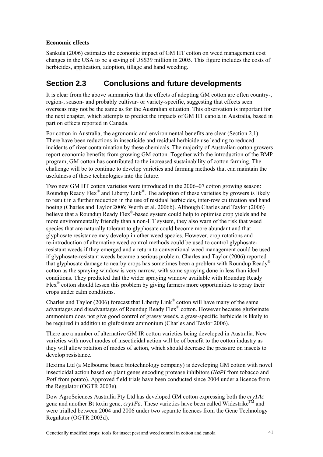### **Economic effects**

Sankula (2006) estimates the economic impact of GM HT cotton on weed management cost changes in the USA to be a saving of US\$39 million in 2005. This figure includes the costs of herbicides, application, adoption, tillage and hand weeding.

## **Section 2.3 Conclusions and future developments**

It is clear from the above summaries that the effects of adopting GM cotton are often country-, region-, season- and probably cultivar- or variety-specific, suggesting that effects seen overseas may not be the same as for the Australian situation. This observation is important for the next chapter, which attempts to predict the impacts of GM HT canola in Australia, based in part on effects reported in Canada.

For cotton in Australia, the agronomic and environmental benefits are clear (Section 2.1). There have been reductions in insecticide and residual herbicide use leading to reduced incidents of river contamination by these chemicals. The majority of Australian cotton growers report economic benefits from growing GM cotton. Together with the introduction of the BMP program, GM cotton has contributed to the increased sustainability of cotton farming. The challenge will be to continue to develop varieties and farming methods that can maintain the usefulness of these technologies into the future.

Two new GM HT cotton varieties were introduced in the 2006–07 cotton growing season: Roundup Ready Flex<sup>®</sup> and Liberty Link<sup>®</sup>. The adoption of these varieties by growers is likely to result in a further reduction in the use of residual herbicides, inter-row cultivation and hand hoeing (Charles and Taylor 2006; Werth et al. 2006b). Although Charles and Taylor (2006) believe that a Roundup Ready Flex<sup>®</sup>-based system could help to optimise crop yields and be more environmentally friendly than a non-HT system, they also warn of the risk that weed species that are naturally tolerant to glyphosate could become more abundant and that glyphosate resistance may develop in other weed species. However, crop rotations and re-introduction of alternative weed control methods could be used to control glyphosateresistant weeds if they emerged and a return to conventional weed management could be used if glyphosate-resistant weeds became a serious problem. Charles and Taylor (2006) reported that glyphosate damage to nearby crops has sometimes been a problem with Roundup Ready® cotton as the spraying window is very narrow, with some spraying done in less than ideal conditions. They predicted that the wider spraying window available with Roundup Ready Flex® cotton should lessen this problem by giving farmers more opportunities to spray their crops under calm conditions.

Charles and Taylor (2006) forecast that Liberty Link<sup>®</sup> cotton will have many of the same advantages and disadvantages of Roundup Ready Flex® cotton. However because glufosinate ammonium does not give good control of grassy weeds, a grass-specific herbicide is likely to be required in addition to glufosinate ammonium (Charles and Taylor 2006).

There are a number of alternative GM IR cotton varieties being developed in Australia. New varieties with novel modes of insecticidal action will be of benefit to the cotton industry as they will allow rotation of modes of action, which should decrease the pressure on insects to develop resistance.

Hexima Ltd (a Melbourne based biotechnology company) is developing GM cotton with novel insecticidal action based on plant genes encoding protease inhibitors (*NaPI* from tobacco and *PotI* from potato). Approved field trials have been conducted since 2004 under a licence from the Regulator (OGTR 2003e).

Dow AgroSciences Australia Pty Ltd has developed GM cotton expressing both the *cry1Ac* gene and another Bt toxin gene,  $cryIFa$ . These varieties have been called Widestrike<sup>TM</sup> and were trialled between 2004 and 2006 under two separate licences from the Gene Technology Regulator (OGTR 2003d).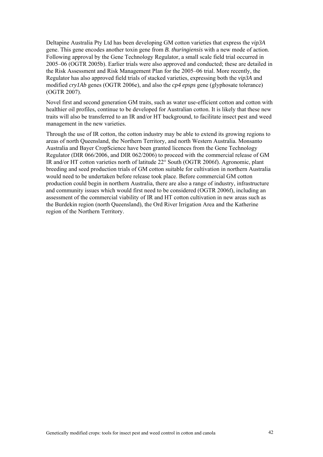Deltapine Australia Pty Ltd has been developing GM cotton varieties that express the *vip3A* gene. This gene encodes another toxin gene from *B. thuringiensis* with a new mode of action. Following approval by the Gene Technology Regulator, a small scale field trial occurred in 2005–06 (OGTR 2005b). Earlier trials were also approved and conducted; these are detailed in the Risk Assessment and Risk Management Plan for the 2005–06 trial. More recently, the Regulator has also approved field trials of stacked varieties, expressing both the *vip3A* and modified *cry1Ab* genes (OGTR 2006e), and also the *cp4 epsps* gene (glyphosate tolerance) (OGTR 2007).

Novel first and second generation GM traits, such as water use-efficient cotton and cotton with healthier oil profiles, continue to be developed for Australian cotton. It is likely that these new traits will also be transferred to an IR and/or HT background, to facilitate insect pest and weed management in the new varieties.

Through the use of IR cotton, the cotton industry may be able to extend its growing regions to areas of north Queensland, the Northern Territory, and north Western Australia. Monsanto Australia and Bayer CropScience have been granted licences from the Gene Technology Regulator (DIR 066/2006, and DIR 062/2006) to proceed with the commercial release of GM IR and/or HT cotton varieties north of latitude 22° South (OGTR 2006f). Agronomic, plant breeding and seed production trials of GM cotton suitable for cultivation in northern Australia would need to be undertaken before release took place. Before commercial GM cotton production could begin in northern Australia, there are also a range of industry, infrastructure and community issues which would first need to be considered (OGTR 2006f), including an assessment of the commercial viability of IR and HT cotton cultivation in new areas such as the Burdekin region (north Queensland), the Ord River Irrigation Area and the Katherine region of the Northern Territory.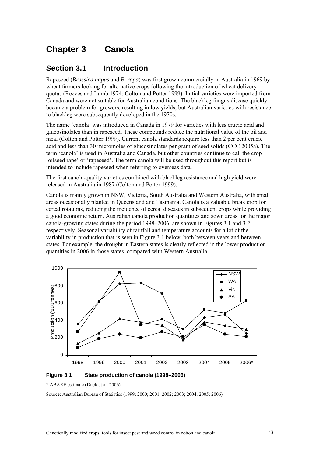# **Chapter 3 Canola**

## **Section 3.1 Introduction**

Rapeseed (*Brassica napus* and *B. rapa*) was first grown commercially in Australia in 1969 by wheat farmers looking for alternative crops following the introduction of wheat delivery quotas (Reeves and Lumb 1974; Colton and Potter 1999). Initial varieties were imported from Canada and were not suitable for Australian conditions. The blackleg fungus disease quickly became a problem for growers, resulting in low yields, but Australian varieties with resistance to blackleg were subsequently developed in the 1970s.

The name 'canola' was introduced in Canada in 1979 for varieties with less erucic acid and glucosinolates than in rapeseed. These compounds reduce the nutritional value of the oil and meal (Colton and Potter 1999). Current canola standards require less than 2 per cent erucic acid and less than 30 micromoles of glucosinolates per gram of seed solids (CCC 2005a). The term 'canola' is used in Australia and Canada, but other countries continue to call the crop 'oilseed rape' or 'rapeseed'. The term canola will be used throughout this report but is intended to include rapeseed when referring to overseas data.

The first canola-quality varieties combined with blackleg resistance and high yield were released in Australia in 1987 (Colton and Potter 1999).

Canola is mainly grown in NSW, Victoria, South Australia and Western Australia, with small areas occasionally planted in Queensland and Tasmania. Canola is a valuable break crop for cereal rotations, reducing the incidence of cereal diseases in subsequent crops while providing a good economic return. Australian canola production quantities and sown areas for the major canola-growing states during the period 1998–2006, are shown in Figures 3.1 and 3.2 respectively. Seasonal variability of rainfall and temperature accounts for a lot of the variability in production that is seen in Figure 3.1 below, both between years and between states. For example, the drought in Eastern states is clearly reflected in the lower production quantities in 2006 in those states, compared with Western Australia.



**Figure 3.1 State production of canola (1998–2006)** 

\* ABARE estimate (Duck et al. 2006)

Source: Australian Bureau of Statistics (1999; 2000; 2001; 2002; 2003; 2004; 2005; 2006)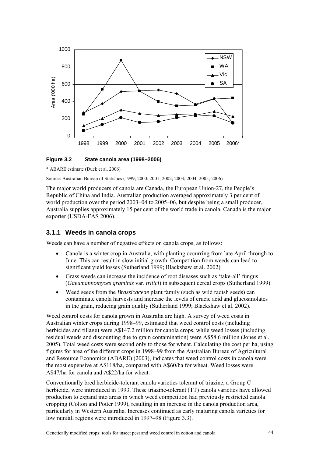

#### **Figure 3.2 State canola area (1998–2006)**

\* ABARE estimate (Duck et al. 2006)

Source: Australian Bureau of Statistics (1999; 2000; 2001; 2002; 2003; 2004; 2005; 2006)

The major world producers of canola are Canada, the European Union-27, the People's Republic of China and India. Australian production averaged approximately 3 per cent of world production over the period 2003–04 to 2005–06, but despite being a small producer, Australia supplies approximately 15 per cent of the world trade in canola. Canada is the major exporter (USDA-FAS 2006).

## **3.1.1 Weeds in canola crops**

Weeds can have a number of negative effects on canola crops, as follows:

- Canola is a winter crop in Australia, with planting occurring from late April through to June. This can result in slow initial growth. Competition from weeds can lead to significant yield losses (Sutherland 1999; Blackshaw et al. 2002)
- Grass weeds can increase the incidence of root diseases such as 'take-all' fungus (*Gaeumannomyces graminis* var. *tritici*) in subsequent cereal crops (Sutherland 1999)
- Weed seeds from the *Brassicaceae* plant family (such as wild radish seeds) can contaminate canola harvests and increase the levels of erucic acid and glucosinolates in the grain, reducing grain quality (Sutherland 1999; Blackshaw et al. 2002).

Weed control costs for canola grown in Australia are high. A survey of weed costs in Australian winter crops during 1998–99, estimated that weed control costs (including herbicides and tillage) were A\$147.2 million for canola crops, while weed losses (including residual weeds and discounting due to grain contamination) were A\$58.6 million (Jones et al. 2005). Total weed costs were second only to those for wheat. Calculating the cost per ha, using figures for area of the different crops in 1998–99 from the Australian Bureau of Agricultural and Resource Economics (ABARE) (2003), indicates that weed control costs in canola were the most expensive at A\$118/ha, compared with A\$60/ha for wheat. Weed losses were A\$47/ha for canola and A\$22/ha for wheat.

Conventionally bred herbicide-tolerant canola varieties tolerant of triazine, a Group C herbicide, were introduced in 1993. These triazine-tolerant (TT) canola varieties have allowed production to expand into areas in which weed competition had previously restricted canola cropping (Colton and Potter 1999), resulting in an increase in the canola production area, particularly in Western Australia. Increases continued as early maturing canola varieties for low rainfall regions were introduced in 1997–98 (Figure 3.3).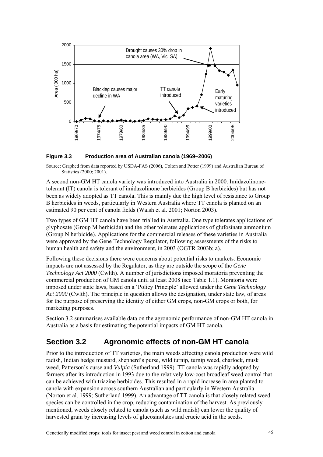

#### **Figure 3.3 Production area of Australian canola (1969–2006)**

Source: Graphed from data reported by USDA-FAS (2006), Colton and Potter (1999) and Australian Bureau of Statistics (2000; 2001).

A second non-GM HT canola variety was introduced into Australia in 2000. Imidazolinonetolerant (IT) canola is tolerant of imidazolinone herbicides (Group B herbicides) but has not been as widely adopted as TT canola. This is mainly due the high level of resistance to Group B herbicides in weeds, particularly in Western Australia where TT canola is planted on an estimated 90 per cent of canola fields (Walsh et al. 2001; Norton 2003).

Two types of GM HT canola have been trialled in Australia. One type tolerates applications of glyphosate (Group M herbicide) and the other tolerates applications of glufosinate ammonium (Group N herbicide). Applications for the commercial releases of these varieties in Australia were approved by the Gene Technology Regulator, following assessments of the risks to human health and safety and the environment, in 2003 (OGTR 2003b; a).

Following these decisions there were concerns about potential risks to markets. Economic impacts are not assessed by the Regulator, as they are outside the scope of the *Gene Technology Act 2000* (Cwlth). A number of jurisdictions imposed moratoria preventing the commercial production of GM canola until at least 2008 (see Table 1.1). Moratoria were imposed under state laws, based on a 'Policy Principle' allowed under the *Gene Technology Act 2000* (Cwlth). The principle in question allows the designation, under state law, of areas for the purpose of preserving the identity of either GM crops, non-GM crops or both, for marketing purposes.

Section 3.2 summarises available data on the agronomic performance of non-GM HT canola in Australia as a basis for estimating the potential impacts of GM HT canola.

## **Section 3.2 Agronomic effects of non-GM HT canola**

Prior to the introduction of TT varieties, the main weeds affecting canola production were wild radish, Indian hedge mustard, shepherd's purse, wild turnip, turnip weed, charlock, musk weed, Patterson's curse and *Vulpia* (Sutherland 1999). TT canola was rapidly adopted by farmers after its introduction in 1993 due to the relatively low-cost broadleaf weed control that can be achieved with triazine herbicides. This resulted in a rapid increase in area planted to canola with expansion across southern Australian and particularly in Western Australia (Norton et al. 1999; Sutherland 1999). An advantage of TT canola is that closely related weed species can be controlled in the crop, reducing contamination of the harvest. As previously mentioned, weeds closely related to canola (such as wild radish) can lower the quality of harvested grain by increasing levels of glucosinolates and erucic acid in the seeds.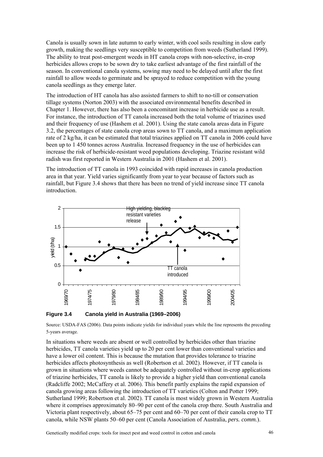Canola is usually sown in late autumn to early winter, with cool soils resulting in slow early growth, making the seedlings very susceptible to competition from weeds (Sutherland 1999). The ability to treat post-emergent weeds in HT canola crops with non-selective, in-crop herbicides allows crops to be sown dry to take earliest advantage of the first rainfall of the season. In conventional canola systems, sowing may need to be delayed until after the first rainfall to allow weeds to germinate and be sprayed to reduce competition with the young canola seedlings as they emerge later.

The introduction of HT canola has also assisted farmers to shift to no-till or conservation tillage systems (Norton 2003) with the associated environmental benefits described in Chapter 1. However, there has also been a concomitant increase in herbicide use as a result. For instance, the introduction of TT canola increased both the total volume of triazines used and their frequency of use (Hashem et al. 2001). Using the state canola areas data in Figure 3.2, the percentages of state canola crop areas sown to TT canola, and a maximum application rate of 2 kg/ha, it can be estimated that total triazines applied on TT canola in 2006 could have been up to 1 450 tonnes across Australia. Increased frequency in the use of herbicides can increase the risk of herbicide-resistant weed populations developing. Triazine resistant wild radish was first reported in Western Australia in 2001 (Hashem et al. 2001).

The introduction of TT canola in 1993 coincided with rapid increases in canola production area in that year. Yield varies significantly from year to year because of factors such as rainfall, but Figure 3.4 shows that there has been no trend of yield increase since TT canola introduction.



**Figure 3.4 Canola yield in Australia (1969–2006)** 

Source: USDA-FAS (2006). Data points indicate yields for individual years while the line represents the preceding 5-years average.

In situations where weeds are absent or well controlled by herbicides other than triazine herbicides, TT canola varieties yield up to 20 per cent lower than conventional varieties and have a lower oil content. This is because the mutation that provides tolerance to triazine herbicides affects photosynthesis as well (Robertson et al. 2002). However, if TT canola is grown in situations where weeds cannot be adequately controlled without in-crop applications of triazine herbicides, TT canola is likely to provide a higher yield than conventional canola (Radcliffe 2002; McCaffery et al. 2006). This benefit partly explains the rapid expansion of canola growing areas following the introduction of TT varieties (Colton and Potter 1999; Sutherland 1999; Robertson et al. 2002). TT canola is most widely grown in Western Australia where it comprises approximately 80–90 per cent of the canola crop there. South Australia and Victoria plant respectively, about 65–75 per cent and 60–70 per cent of their canola crop to TT canola, while NSW plants 50–60 per cent (Canola Association of Australia, *pers. comm.*).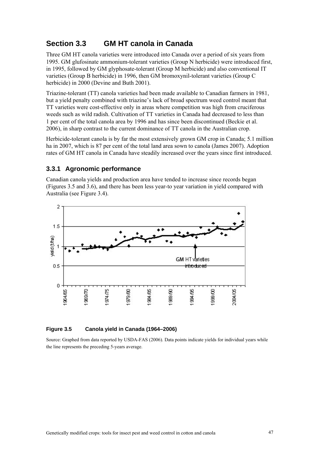## **Section 3.3 GM HT canola in Canada**

Three GM HT canola varieties were introduced into Canada over a period of six years from 1995. GM glufosinate ammonium-tolerant varieties (Group N herbicide) were introduced first, in 1995, followed by GM glyphosate-tolerant (Group M herbicide) and also conventional IT varieties (Group B herbicide) in 1996, then GM bromoxynil-tolerant varieties (Group C herbicide) in 2000 (Devine and Buth 2001).

Triazine-tolerant (TT) canola varieties had been made available to Canadian farmers in 1981, but a yield penalty combined with triazine's lack of broad spectrum weed control meant that TT varieties were cost-effective only in areas where competition was high from cruciferous weeds such as wild radish. Cultivation of TT varieties in Canada had decreased to less than 1 per cent of the total canola area by 1996 and has since been discontinued (Beckie et al. 2006), in sharp contrast to the current dominance of TT canola in the Australian crop.

Herbicide-tolerant canola is by far the most extensively grown GM crop in Canada; 5.1 million ha in 2007, which is 87 per cent of the total land area sown to canola (James 2007). Adoption rates of GM HT canola in Canada have steadily increased over the years since first introduced.

## **3.3.1 Agronomic performance**

Canadian canola yields and production area have tended to increase since records began (Figures 3.5 and 3.6), and there has been less year-to year variation in yield compared with Australia (see Figure 3.4).



#### **igure 3.5 Canola yield in Canada (1964–2006)**  Figure 3.5

Source: Graphed from data reported by USDA-FAS (2006). Data points indicate yields for individual years while the line represents the preceding 5-years average.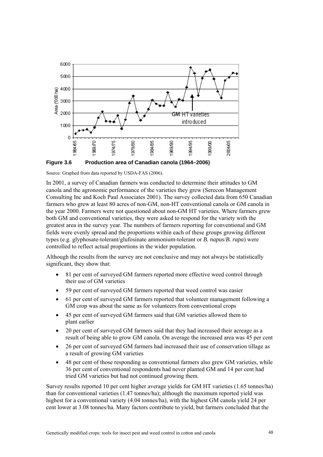

Source: Graphed from data reported by USDA-FAS (2006).

In 2001, a survey of Canadian farmers was conducted to determine their attitudes to GM Consulting Inc and Koch Paul Associates 2001). The survey collected data from 650 Canadian canola and the agronomic performance of the varieties they grew (Serecon Management farmers who grew at least 80 acres of non-GM, non-HT conventional canola or GM canola in the year 2000. Farmers were not questioned about non-GM HT varieties. Where farmers grew both GM and conventional varieties, they were asked to respond for the variety with the greatest area in the survey year. The numbers of farmers reporting for conventional and GM fields were evenly spread and the proportions within each of these groups growing different types (e.g. glyphosate-tolerant/glufosinate ammonium-tolerant or *B. napus*/*B. rapa*) were controlled to reflect actual proportions in the wider population.

Although the results from the survey are not conclusive and may not always be statistically significant, they show that:

- 81 per cent of surveyed GM farmers reported more effective weed control through their use of GM varieties
- 59 per cent of surveyed GM farmers reported that weed control was easier
- 61 per cent of surveyed GM farmers reported that volunteer management following a GM crop was about the same as for volunteers from conventional crops
- 45 per cent of surveyed GM farmers said that GM varieties allowed them to plant earlier
- 20 per cent of surveyed GM farmers said that they had increased their acreage as a result of being able to grow GM canola. On average the increased area was 45 per cent
- 26 per cent of surveyed GM farmers had increased their use of conservation tillage as a result of growing GM varieties
- 48 per cent of those responding as conventional farmers also grew GM varieties, while 36 per cent of conventional respondents had never planted GM and 14 per cent had tried GM varieties but had not continued growing them.

Survey results reported 10 per cent higher average yields for GM HT varieties (1.65 tonnes/ha) than for conventional varieties (1.47 tonnes/ha); although the maximum reported yield was highest for a conventional variety (4.04 tonnes/ha), with the highest GM canola yield 24 per cent lower at 3.08 tonnes/ha. Many factors contribute to yield, but farmers concluded that the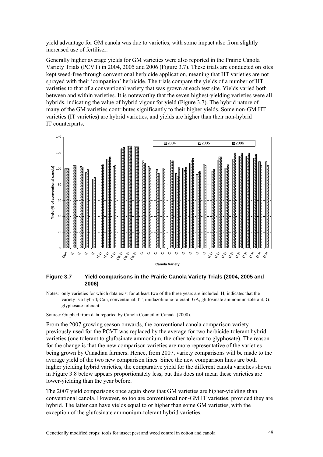yield advantage for GM canola was due to varieties, with some impact also from slightly increased use of fertiliser.

Generally higher average yields for GM varieties were also reported in the Prairie Canola Variety Trials (PCVT) in 2004, 2005 and 2006 (Figure 3.7). These trials are conducted on sites kept weed-free through conventional herbicide application, meaning that HT varieties are not sprayed with their 'companion' herbicide. The trials compare the yields of a number of HT varieties to that of a conventional variety that was grown at each test site. Yields varied both between and within varieties. It is noteworthy that the seven highest-yielding varieties were all hybrids, indicating the value of hybrid vigour for yield (Figure 3.7). The hybrid nature of many of the GM varieties contributes significantly to their higher yields. Some non-GM HT varieties (IT varieties) are hybrid varieties, and yields are higher than their non-hybrid IT counterparts.



#### **Figure 3.7 Yield comparisons in the Prairie Canola Variety Trials (2004, 2005 and 2006)**

Notes: only varieties for which data exist for at least two of the three years are included. H, indicates that the variety is a hybrid; Con, conventional; IT, imidazolinone-tolerant; GA, glufosinate ammonium-tolerant; G, glyphosate-tolerant.

Source: Graphed from data reported by Canola Council of Canada (2008).

From the 2007 growing season onwards, the conventional canola comparison variety previously used for the PCVT was replaced by the average for two herbicide-tolerant hybrid varieties (one tolerant to glufosinate ammonium, the other tolerant to glyphosate). The reason for the change is that the new comparison varieties are more representative of the varieties being grown by Canadian farmers. Hence, from 2007, variety comparisons will be made to the average yield of the two new comparison lines. Since the new comparison lines are both higher yielding hybrid varieties, the comparative yield for the different canola varieties shown in Figure 3.8 below appears proportionately less, but this does not mean these varieties are lower-yielding than the year before.

The 2007 yield comparisons once again show that GM varieties are higher-yielding than conventional canola. However, so too are conventional non-GM IT varieties, provided they are hybrid. The latter can have yields equal to or higher than some GM varieties, with the exception of the glufosinate ammonium-tolerant hybrid varieties.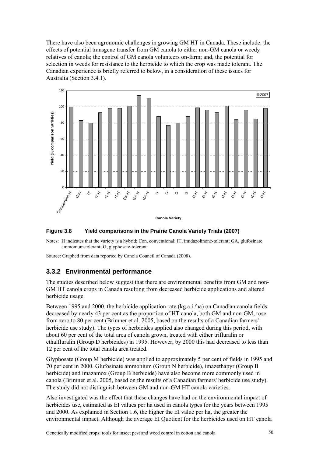There have also been agronomic challenges in growing GM HT in Canada. These include: the effects of potential transgene transfer from GM canola to either non-GM canola or weedy relatives of canola; the control of GM canola volunteers on-farm; and, the potential for selection in weeds for resistance to the herbicide to which the crop was made tolerant. The Canadian experience is briefly referred to below, in a consideration of these issues for Australia (Section 3.4.1).



### **Figure 3.8 Yield comparisons in the Prairie Canola Variety Trials (2007)**

Notes: H indicates that the variety is a hybrid; Con, conventional; IT, imidazolinone-tolerant; GA, glufosinate ammonium-tolerant; G, glyphosate-tolerant.

Source: Graphed from data reported by Canola Council of Canada (2008).

## **3.3.2 Environmental performance**

The studies described below suggest that there are environmental benefits from GM and non-GM HT canola crops in Canada resulting from decreased herbicide applications and altered herbicide usage.

Between 1995 and 2000, the herbicide application rate (kg a.i./ha) on Canadian canola fields decreased by nearly 43 per cent as the proportion of HT canola, both GM and non-GM, rose from zero to 80 per cent (Brimner et al. 2005, based on the results of a Canadian farmers' herbicide use study). The types of herbicides applied also changed during this period, with about 60 per cent of the total area of canola grown, treated with either trifluralin or ethalfluralin (Group D herbicides) in 1995. However, by 2000 this had decreased to less than 12 per cent of the total canola area treated.

Glyphosate (Group M herbicide) was applied to approximately 5 per cent of fields in 1995 and 70 per cent in 2000. Glufosinate ammonium (Group N herbicide), imazethapyr (Group B herbicide) and imazamox (Group B herbicide) have also become more commonly used in canola (Brimner et al. 2005, based on the results of a Canadian farmers' herbicide use study). The study did not distinguish between GM and non-GM HT canola varieties.

Also investigated was the effect that these changes have had on the environmental impact of herbicides use, estimated as EI values per ha used in canola types for the years between 1995 and 2000. As explained in Section 1.6, the higher the EI value per ha, the greater the environmental impact. Although the average EI Quotient for the herbicides used on HT canola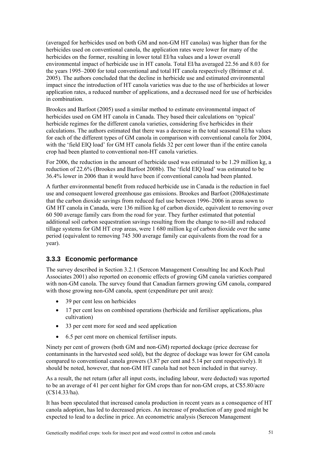(averaged for herbicides used on both GM and non-GM HT canolas) was higher than for the herbicides used on conventional canola, the application rates were lower for many of the herbicides on the former, resulting in lower total EI/ha values and a lower overall environmental impact of herbicide use in HT canola. Total EI/ha averaged 22.56 and 8.03 for the years 1995–2000 for total conventional and total HT canola respectively (Brimner et al. 2005). The authors concluded that the decline in herbicide use and estimated environmental impact since the introduction of HT canola varieties was due to the use of herbicides at lower application rates, a reduced number of applications, and a decreased need for use of herbicides in combination.

Brookes and Barfoot (2005) used a similar method to estimate environmental impact of herbicides used on GM HT canola in Canada. They based their calculations on 'typical' herbicide regimes for the different canola varieties, considering five herbicides in their calculations. The authors estimated that there was a decrease in the total seasonal EI/ha values for each of the different types of GM canola in comparison with conventional canola for 2004, with the 'field EIQ load' for GM HT canola fields 32 per cent lower than if the entire canola crop had been planted to conventional non-HT canola varieties.

For 2006, the reduction in the amount of herbicide used was estimated to be 1.29 million kg, a reduction of 22.6% (Brookes and Barfoot 2008b). The 'field EIQ load' was estimated to be 36.4% lower in 2006 than it would have been if conventional canola had been planted.

A further environmental benefit from reduced herbicide use in Canada is the reduction in fuel use and consequent lowered greenhouse gas emissions. Brookes and Barfoot (2008a)estimate that the carbon dioxide savings from reduced fuel use between 1996–2006 in areas sown to GM HT canola in Canada, were 136 million kg of carbon dioxide, equivalent to removing over 60 500 average family cars from the road for year. They further estimated that potential additional soil carbon sequestration savings resulting from the change to no-till and reduced tillage systems for GM HT crop areas, were 1 680 million kg of carbon dioxide over the same period (equivalent to removing 745 300 average family car equivalents from the road for a year).

## **3.3.3 Economic performance**

The survey described in Section 3.2.1 (Serecon Management Consulting Inc and Koch Paul Associates 2001) also reported on economic effects of growing GM canola varieties compared with non-GM canola. The survey found that Canadian farmers growing GM canola, compared with those growing non-GM canola, spent (expenditure per unit area):

- 39 per cent less on herbicides
- 17 per cent less on combined operations (herbicide and fertiliser applications, plus cultivation)
- 33 per cent more for seed and seed application
- 6.5 per cent more on chemical fertiliser inputs.

Ninety per cent of growers (both GM and non-GM) reported dockage (price decrease for contaminants in the harvested seed sold), but the degree of dockage was lower for GM canola compared to conventional canola growers (3.87 per cent and 5.14 per cent respectively). It should be noted, however, that non-GM HT canola had not been included in that survey.

As a result, the net return (after all input costs, including labour, were deducted) was reported to be an average of 41 per cent higher for GM crops than for non-GM crops, at C\$5.80/acre (C\$14.33/ha).

It has been speculated that increased canola production in recent years as a consequence of HT canola adoption, has led to decreased prices. An increase of production of any good might be expected to lead to a decline in price. An econometric analysis (Serecon Management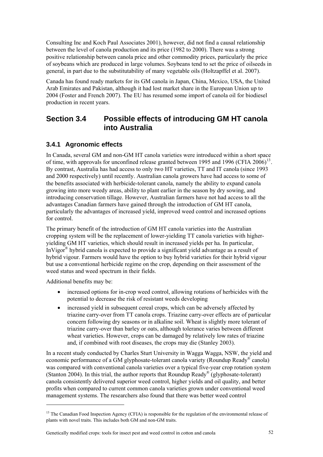<span id="page-69-0"></span>Consulting Inc and Koch Paul Associates 2001), however, did not find a causal relationship between the level of canola production and its price (1982 to 2000). There was a strong positive relationship between canola price and other commodity prices, particularly the price of soybeans which are produced in large volumes. Soybeans tend to set the price of oilseeds in general, in part due to the substitutability of many vegetable oils (Holtzapffel et al. 2007).

Canada has found ready markets for its GM canola in Japan, China, Mexico, USA, the United Arab Emirates and Pakistan, although it had lost market share in the European Union up to 2004 (Foster and French 2007). The EU has resumed some import of canola oil for biodiesel production in recent years.

## **Section 3.4 Possible effects of introducing GM HT canola into Australia**

## **3.4.1 Agronomic effects**

In Canada, several GM and non-GM HT canola varieties were introduced within a short space of time, with approvals for unconfined release granted between 1995 and 1996 (CFIA  $2006$ )<sup>[13](#page-69-0)</sup>. By contrast, Australia has had access to only two HT varieties, TT and IT canola (since 1993 and 2000 respectively) until recently. Australian canola growers have had access to some of the benefits associated with herbicide-tolerant canola, namely the ability to expand canola growing into more weedy areas, ability to plant earlier in the season by dry sowing, and introducing conservation tillage. However, Australian farmers have not had access to all the advantages Canadian farmers have gained through the introduction of GM HT canola, particularly the advantages of increased yield, improved weed control and increased options for control.

The primary benefit of the introduction of GM HT canola varieties into the Australian cropping system will be the replacement of lower-yielding TT canola varieties with higheryielding GM HT varieties, which should result in increased yields per ha. In particular, InVigor<sup>®</sup> hybrid canola is expected to provide a significant yield advantage as a result of hybrid vigour. Farmers would have the option to buy hybrid varieties for their hybrid vigour but use a conventional herbicide regime on the crop, depending on their assessment of the weed status and weed spectrum in their fields.

Additional benefits may be:

<u>.</u>

- increased options for in-crop weed control, allowing rotations of herbicides with the potential to decrease the risk of resistant weeds developing
- increased yield in subsequent cereal crops, which can be adversely affected by triazine carry-over from TT canola crops. Triazine carry-over effects are of particular concern following dry seasons or in alkaline soil. Wheat is slightly more tolerant of triazine carry-over than barley or oats, although tolerance varies between different wheat varieties. However, crops can be damaged by relatively low rates of triazine and, if combined with root diseases, the crops may die (Stanley 2003).

In a recent study conducted by Charles Sturt University in Wagga Wagga, NSW, the yield and economic performance of a GM glyphosate-tolerant canola variety (Roundup Ready® canola) was compared with conventional canola varieties over a typical five-year crop rotation system (Stanton 2004). In this trial, the author reports that Roundup Ready® (glyphosate-tolerant) canola consistently delivered superior weed control, higher yields and oil quality, and better profits when compared to current common canola varieties grown under conventional weed management systems. The researchers also found that there was better weed control

<sup>&</sup>lt;sup>13</sup> The Canadian Food Inspection Agency (CFIA) is responsible for the regulation of the environmental release of plants with novel traits. This includes both GM and non-GM traits.

Genetically modified crops: tools for insect pest and weed control in cotton and canola 52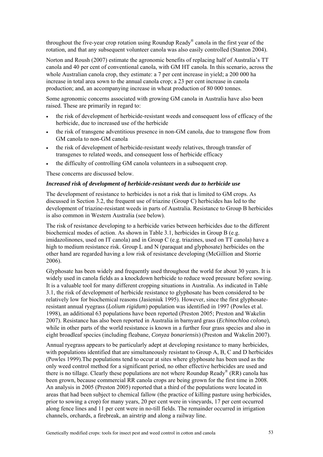throughout the five-year crop rotation using Roundup Ready® canola in the first year of the rotation, and that any subsequent volunteer canola was also easily controlled (Stanton 2004).

Norton and Roush (2007) estimate the agronomic benefits of replacing half of Australia's TT canola and 40 per cent of conventional canola, with GM HT canola. In this scenario, across the whole Australian canola crop, they estimate: a 7 per cent increase in yield; a 200 000 ha increase in total area sown to the annual canola crop; a 23 per cent increase in canola production; and, an accompanying increase in wheat production of 80 000 tonnes.

Some agronomic concerns associated with growing GM canola in Australia have also been raised. These are primarily in regard to:

- the risk of development of herbicide-resistant weeds and consequent loss of efficacy of the herbicide, due to increased use of the herbicide
- the risk of transgene adventitious presence in non-GM canola, due to transgene flow from GM canola to non-GM canola
- the risk of development of herbicide-resistant weedy relatives, through transfer of transgenes to related weeds, and consequent loss of herbicide efficacy
- the difficulty of controlling GM canola volunteers in a subsequent crop.

These concerns are discussed below.

#### *Increased risk of development of herbicide-resistant weeds due to herbicide use*

The development of resistance to herbicides is not a risk that is limited to GM crops. As discussed in Section 3.2, the frequent use of triazine (Group C) herbicides has led to the development of triazine-resistant weeds in parts of Australia. Resistance to Group B herbicides is also common in Western Australia (see below).

The risk of resistance developing to a herbicide varies between herbicides due to the different biochemical modes of action. As shown in Table 3.1, herbicides in Group B (e.g. imidazolinones, used on IT canola) and in Group C (e.g. triazines, used on TT canola) have a high to medium resistance risk. Group L and N (paraquat and glyphosate) herbicides on the other hand are regarded having a low risk of resistance developing (McGillion and Storrie 2006).

Glyphosate has been widely and frequently used throughout the world for about 30 years. It is widely used in canola fields as a knockdown herbicide to reduce weed pressure before sowing. It is a valuable tool for many different cropping situations in Australia. As indicated in Table 3.1, the risk of development of herbicide resistance to glyphosate has been considered to be relatively low for biochemical reasons (Jasieniuk 1995). However, since the first glyphosateresistant annual ryegrass (*Lolium rigidum*) population was identified in 1997 (Powles et al. 1998), an additional 63 populations have been reported (Preston 2005; Preston and Wakelin 2007). Resistance has also been reported in Australia in barnyard grass (*Echinochloa colona*), while in other parts of the world resistance is known in a further four grass species and also in eight broadleaf species (including fleabane, *Conyza bonariensis*) (Preston and Wakelin 2007).

Annual ryegrass appears to be particularly adept at developing resistance to many herbicides, with populations identified that are simultaneously resistant to Group A, B, C and D herbicides (Powles 1999).The populations tend to occur at sites where glyphosate has been used as the only weed control method for a significant period, no other effective herbicides are used and there is no tillage. Clearly these populations are not where Roundup Ready<sup>®</sup> (RR) canola has been grown, because commercial RR canola crops are being grown for the first time in 2008. An analysis in 2005 (Preston 2005) reported that a third of the populations were located in areas that had been subject to chemical fallow (the practice of killing pasture using herbicides, prior to sowing a crop) for many years, 20 per cent were in vineyards, 17 per cent occurred along fence lines and 11 per cent were in no-till fields. The remainder occurred in irrigation channels, orchards, a firebreak, an airstrip and along a railway line.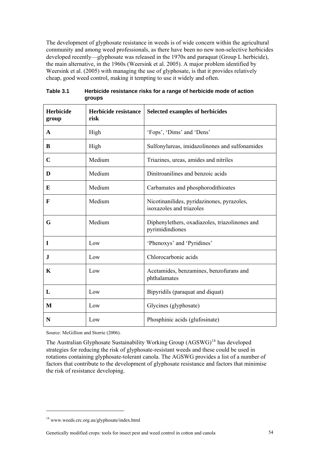<span id="page-71-0"></span>The development of glyphosate resistance in weeds is of wide concern within the agricultural community and among weed professionals, as there have been no new non-selective herbicides developed recently—glyphosate was released in the 1970s and paraquat (Group L herbicide), the main alternative, in the 1960s (Weersink et al. 2005). A major problem identified by Weersink et al. (2005) with managing the use of glyphosate, is that it provides relatively cheap, good weed control, making it tempting to use it widely and often.

| <b>Herbicide</b><br>group | Herbicide resistance<br>risk | Selected examples of herbicides                                        |  |
|---------------------------|------------------------------|------------------------------------------------------------------------|--|
| A                         | High                         | 'Fops', 'Dims' and 'Dens'                                              |  |
| B                         | High                         | Sulfonylureas, imidazolinones and sulfonamides                         |  |
| $\mathbf C$               | Medium                       | Triazines, ureas, amides and nitriles                                  |  |
| D                         | Medium                       | Dinitroanilines and benzoic acids                                      |  |
| E                         | Medium                       | Carbamates and phosphorodithioates                                     |  |
| $\mathbf F$               | Medium                       | Nicotinanilides, pyridazinones, pyrazoles,<br>isoxazoles and triazoles |  |
| G                         | Medium                       | Diphenylethers, oxadiazoles, triazolinones and<br>pyrimidindiones      |  |
| $\bf{I}$                  | Low                          | 'Phenoxys' and 'Pyridines'                                             |  |
| $\mathbf I$               | Low                          | Chlorocarbonic acids                                                   |  |
| $\mathbf K$               | Low                          | Acetamides, benzamines, benzofurans and<br>phthalamates                |  |
| L                         | Low                          | Bipyridils (paraquat and diquat)                                       |  |
| M                         | Low                          | Glycines (glyphosate)                                                  |  |
| N                         | Low                          | Phosphinic acids (glufosinate)                                         |  |

**Table 3.1 Herbicide resistance risks for a range of herbicide mode of action groups** 

Source: McGillion and Storrie (2006).

The Australian Glyphosate Sustainability Working Group  $(AGSWG)^{14}$  $(AGSWG)^{14}$  $(AGSWG)^{14}$  has developed strategies for reducing the risk of glyphosate-resistant weeds and these could be used in rotations containing glyphosate-tolerant canola. The AGSWG provides a list of a number of factors that contribute to the development of glyphosate resistance and factors that minimise the risk of resistance developing.

1

<sup>14</sup> www.weeds.crc.org.au/glyphosate/index.html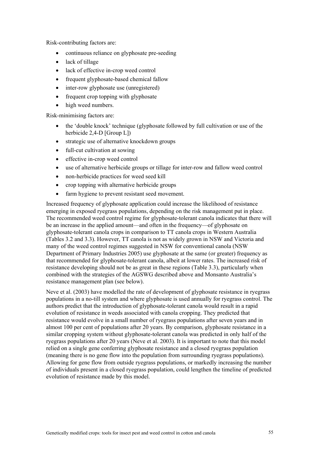Risk-contributing factors are:

- continuous reliance on glyphosate pre-seeding
- lack of tillage
- lack of effective in-crop weed control
- frequent glyphosate-based chemical fallow
- inter-row glyphosate use (unregistered)
- frequent crop topping with glyphosate
- high weed numbers.

Risk-minimising factors are:

- the 'double knock' technique (glyphosate followed by full cultivation or use of the herbicide 2,4-D [Group L])
- strategic use of alternative knockdown groups
- full-cut cultivation at sowing
- effective in-crop weed control
- use of alternative herbicide groups or tillage for inter-row and fallow weed control
- non-herbicide practices for weed seed kill
- crop topping with alternative herbicide groups
- farm hygiene to prevent resistant seed movement.

Increased frequency of glyphosate application could increase the likelihood of resistance emerging in exposed ryegrass populations, depending on the risk management put in place. The recommended weed control regime for glyphosate-tolerant canola indicates that there will be an increase in the applied amount—and often in the frequency—of glyphosate on glyphosate-tolerant canola crops in comparison to TT canola crops in Western Australia (Tables 3.2 and 3.3). However, TT canola is not as widely grown in NSW and Victoria and many of the weed control regimes suggested in NSW for conventional canola (NSW Department of Primary Industries 2005) use glyphosate at the same (or greater) frequency as that recommended for glyphosate-tolerant canola, albeit at lower rates. The increased risk of resistance developing should not be as great in these regions (Table 3.3), particularly when combined with the strategies of the AGSWG described above and Monsanto Australia's resistance management plan (see below).

Neve et al. (2003) have modelled the rate of development of glyphosate resistance in ryegrass populations in a no-till system and where glyphosate is used annually for ryegrass control. The authors predict that the introduction of glyphosate-tolerant canola would result in a rapid evolution of resistance in weeds associated with canola cropping. They predicted that resistance would evolve in a small number of ryegrass populations after seven years and in almost 100 per cent of populations after 20 years. By comparison, glyphosate resistance in a similar cropping system without glyphosate-tolerant canola was predicted in only half of the ryegrass populations after 20 years (Neve et al. 2003). It is important to note that this model relied on a single gene conferring glyphosate resistance and a closed ryegrass population (meaning there is no gene flow into the population from surrounding ryegrass populations). Allowing for gene flow from outside ryegrass populations, or markedly increasing the number of individuals present in a closed ryegrass population, could lengthen the timeline of predicted evolution of resistance made by this model.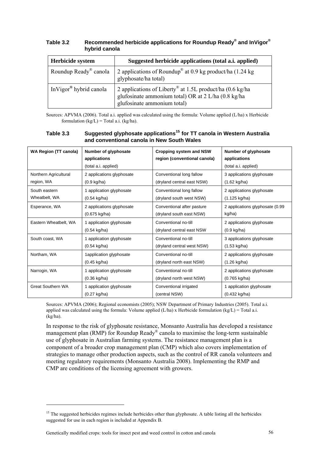| Herbicide system                   | Suggested herbicide applications (total a.i. applied)                                                                                          |
|------------------------------------|------------------------------------------------------------------------------------------------------------------------------------------------|
| Roundup Ready <sup>®</sup> canola  | 2 applications of Roundup <sup>®</sup> at 0.9 kg product/ha $(1.24 \text{ kg})$<br>glyphosate/ha total)                                        |
| InVigor <sup>®</sup> hybrid canola | 2 applications of Liberty® at 1.5L product/ha (0.6 kg/ha<br>glufosinate ammonium total) OR at 2 L/ha (0.8 kg/ha<br>glufosinate ammonium total) |

<span id="page-73-0"></span>**Table 3.2 Recommended herbicide applications for Roundup Ready® and InVigor® hybrid canola** 

Sources: APVMA (2006). Total a.i. applied was calculated using the formula: Volume applied (L/ha) x Herbicide formulation  $(kg/L)$  = Total a.i.  $(kg/ha)$ .

| Table 3.3 | Suggested glyphosate applications <sup>15</sup> for TT canola in Western Australia |
|-----------|------------------------------------------------------------------------------------|
|           | and conventional canola in New South Wales                                         |

| <b>WA Region (TT canola)</b> | Number of glyphosate<br>applications<br>(total a.i. applied) | <b>Cropping system and NSW</b><br>region (conventional canola) | Number of glyphosate<br>applications<br>(total a.i. applied) |
|------------------------------|--------------------------------------------------------------|----------------------------------------------------------------|--------------------------------------------------------------|
| Northern Agricultural        | 2 applications glyphosate                                    | Conventional long fallow                                       | 3 applications glyphosate                                    |
| region, WA                   | $(0.9 \text{ kg/ha})$                                        | (dryland central east NSW)                                     | $(1.62 \text{ kg/ha})$                                       |
| South eastern                | 1 application glyphosate                                     | Conventional long fallow                                       | 2 applications glyphosate                                    |
| Wheatbelt, WA                | $(0.54 \text{ kg/ha})$                                       | (dryland south west NSW)                                       | $(1.125 \text{ kg/ha})$                                      |
| Esperance, WA                | 2 applications glyphosate                                    | Conventional after pasture                                     | 2 applications glyphosate (0.99                              |
|                              | $(0.675 \text{ kg/ha})$                                      | (dryland south east NSW)                                       | kg/ha)                                                       |
| Eastern Wheatbelt, WA        | 1 application glyphosate                                     | Conventional no-till                                           | 2 applications glyphosate                                    |
|                              | $(0.54 \text{ kg/ha})$                                       | (dryland central east NSW                                      | $(0.9 \text{ kg/ha})$                                        |
| South coast, WA              | 1 application glyphosate                                     | Conventional no-till                                           | 3 applications glyphosate                                    |
|                              | $(0.54 \text{ kg/ha})$                                       | (dryland central west NSW)                                     | $(1.53 \text{ kg/ha})$                                       |
| Northam, WA                  | 1application glyphosate                                      | Conventional no-till                                           | 2 applications glyphosate                                    |
|                              | $(0.45 \text{ kg/ha})$                                       | (dryland north east NSW)                                       | $(1.26 \text{ kg/ha})$                                       |
| Narrogin, WA                 | 1 application glyphosate                                     | Conventional no-till                                           | 2 applications glyphosate                                    |
|                              | $(0.36 \text{ kg/ha})$                                       | (dryland north west NSW)                                       | $(0.765 \text{ kg/ha})$                                      |
| <b>Great Southern WA</b>     | 1 application glyphosate                                     | Conventional irrigated                                         | 1 application glyphosate                                     |
|                              | $(0.27$ kg/ha)                                               | (central NSW)                                                  | $(0.432$ kg/ha)                                              |

Sources: APVMA (2006); Regional economists (2005); NSW Department of Primary Industries (2005). Total a.i. applied was calculated using the formula: Volume applied  $(L/ha)$  x Herbicide formulation  $(kg/L) = Total a.i.$ (kg/ha).

In response to the risk of glyphosate resistance, Monsanto Australia has developed a resistance management plan (RMP) for Roundup Ready® canola to maximise the long-term sustainable use of glyphosate in Australian farming systems. The resistance management plan is a component of a broader crop management plan (CMP) which also covers implementation of strategies to manage other production aspects, such as the control of RR canola volunteers and meeting regulatory requirements (Monsanto Australia 2008). Implementing the RMP and CMP are conditions of the licensing agreement with growers.

<u>.</u>

<sup>&</sup>lt;sup>15</sup> The suggested herbicides regimes include herbicides other than glyphosate. A table listing all the herbicides suggested for use in each region is included at Appendix B.

Genetically modified crops: tools for insect pest and weed control in cotton and canola 56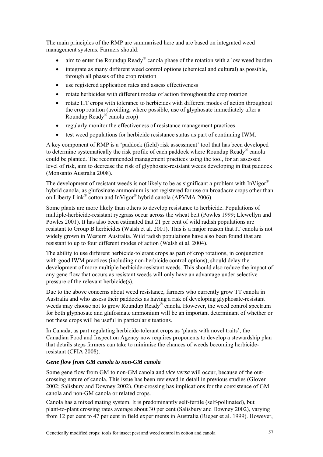The main principles of the RMP are summarised here and are based on integrated weed management systems. Farmers should:

- aim to enter the Roundup Ready<sup>®</sup> canola phase of the rotation with a low weed burden
- integrate as many different weed control options (chemical and cultural) as possible, through all phases of the crop rotation
- use registered application rates and assess effectiveness
- rotate herbicides with different modes of action throughout the crop rotation
- rotate HT crops with tolerance to herbicides with different modes of action throughout the crop rotation (avoiding, where possible, use of glyphosate immediately after a Roundup Ready® canola crop)
- regularly monitor the effectiveness of resistance management practices
- test weed populations for herbicide resistance status as part of continuing IWM.

A key component of RMP is a 'paddock (field) risk assessment' tool that has been developed to determine systematically the risk profile of each paddock where Roundup Ready® canola could be planted. The recommended management practices using the tool, for an assessed level of risk, aim to decrease the risk of glyphosate-resistant weeds developing in that paddock (Monsanto Australia 2008).

The development of resistant weeds is not likely to be as significant a problem with InVigor<sup>®</sup> hybrid canola, as glufosinate ammonium is not registered for use on broadacre crops other than on Liberty Link® cotton and InVigor® hybrid canola (APVMA 2006).

Some plants are more likely than others to develop resistance to herbicide. Populations of multiple-herbicide-resistant ryegrass occur across the wheat belt (Powles 1999; Llewellyn and Powles 2001). It has also been estimated that 21 per cent of wild radish populations are resistant to Group B herbicides (Walsh et al. 2001). This is a major reason that IT canola is not widely grown in Western Australia. Wild radish populations have also been found that are resistant to up to four different modes of action (Walsh et al. 2004).

The ability to use different herbicide-tolerant crops as part of crop rotations, in conjunction with good IWM practices (including non-herbicide control options), should delay the development of more multiple herbicide-resistant weeds. This should also reduce the impact of any gene flow that occurs as resistant weeds will only have an advantage under selective pressure of the relevant herbicide(s).

Due to the above concerns about weed resistance, farmers who currently grow TT canola in Australia and who assess their paddocks as having a risk of developing glyphosate-resistant weeds may choose not to grow Roundup Ready<sup>®</sup> canola. However, the weed control spectrum for both glyphosate and glufosinate ammonium will be an important determinant of whether or not these crops will be useful in particular situations.

In Canada, as part regulating herbicide-tolerant crops as 'plants with novel traits', the Canadian Food and Inspection Agency now requires proponents to develop a stewardship plan that details steps farmers can take to minimise the chances of weeds becoming herbicideresistant (CFIA 2008).

#### *Gene flow from GM canola to non-GM canola*

Some gene flow from GM to non-GM canola and *vice versa* will occur, because of the outcrossing nature of canola. This issue has been reviewed in detail in previous studies (Glover 2002; Salisbury and Downey 2002). Out-crossing has implications for the coexistence of GM canola and non-GM canola or related crops.

Canola has a mixed mating system. It is predominantly self-fertile (self-pollinated), but plant-to-plant crossing rates average about 30 per cent (Salisbury and Downey 2002), varying from 12 per cent to 47 per cent in field experiments in Australia (Rieger et al. 1999). However,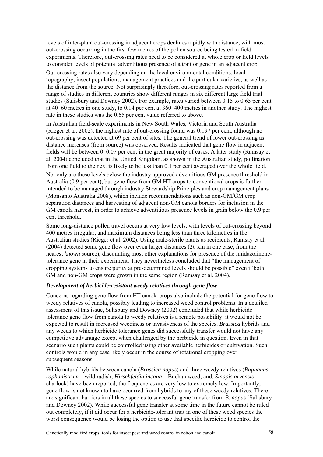levels of inter-plant out-crossing in adjacent crops declines rapidly with distance, with most out-crossing occurring in the first few metres of the pollen source being tested in field experiments. Therefore, out-crossing rates need to be considered at whole crop or field levels to consider levels of potential adventitious presence of a trait or gene in an adjacent crop.

Out-crossing rates also vary depending on the local environmental conditions, local topography, insect populations, management practices and the particular varieties, as well as the distance from the source. Not surprisingly therefore, out-crossing rates reported from a range of studies in different countries show different ranges in six different large field trial studies (Salisbury and Downey 2002). For example, rates varied between 0.15 to 0.65 per cent at 40–60 metres in one study, to 0.14 per cent at 360–400 metres in another study. The highest rate in these studies was the 0.65 per cent value referred to above.

In Australian field-scale experiments in New South Wales, Victoria and South Australia (Rieger et al. 2002), the highest rate of out-crossing found was 0.197 per cent, although no out-crossing was detected at 69 per cent of sites. The general trend of lower out-crossing as distance increases (from source) was observed. Results indicated that gene flow in adjacent fields will be between 0–0.07 per cent in the great majority of cases. A later study (Ramsay et al. 2004) concluded that in the United Kingdom, as shown in the Australian study, pollination from one field to the next is likely to be less than 0.1 per cent averaged over the whole field. Not only are these levels below the industry approved adventitious GM presence threshold in Australia (0.9 per cent), but gene flow from GM HT crops to conventional crops is further

intended to be managed through industry Stewardship Principles and crop management plans (Monsanto Australia 2008), which include recommendations such as non-GM/GM crop separation distances and harvesting of adjacent non-GM canola borders for inclusion in the GM canola harvest, in order to achieve adventitious presence levels in grain below the 0.9 per cent threshold.

Some long-distance pollen travel occurs at very low levels, with levels of out-crossing beyond 400 metres irregular, and maximum distances being less than three kilometres in the Australian studies (Rieger et al. 2002). Using male-sterile plants as recipients, Ramsay et al. (2004) detected some gene flow over even larger distances (26 km in one case, from the nearest *known* source), discounting most other explanations for presence of the imidazolinonetolerance gene in their experiment. They nevertheless concluded that "the management of cropping systems to ensure purity at pre-determined levels should be possible" even if both GM and non-GM crops were grown in the same region (Ramsay et al. 2004).

### *Development of herbicide-resistant weedy relatives through gene flow*

Concerns regarding gene flow from HT canola crops also include the potential for gene flow to weedy relatives of canola, possibly leading to increased weed control problems. In a detailed assessment of this issue, Salisbury and Downey (2002) concluded that while herbicide tolerance gene flow from canola to weedy relatives is a remote possibility, it would not be expected to result in increased weediness or invasiveness of the species. *Brassica* hybrids and any weeds to which herbicide tolerance genes did successfully transfer would not have any competitive advantage except when challenged by the herbicide in question. Even in that scenario such plants could be controlled using other available herbicides or cultivation. Such controls would in any case likely occur in the course of rotational cropping over subsequent seasons.

While natural hybrids between canola (*Brassica napus*) and three weedy relatives (*Raphanus raphanistrum*—wild radish; *Hirschfeldia incana*—Buchan weed; and, *Sinapis arvensis* charlock) have been reported, the frequencies are very low to extremely low. Importantly, gene flow is not known to have occurred from hybrids to any of these weedy relatives. There are significant barriers in all these species to successful gene transfer from *B. napus* (Salisbury and Downey 2002). While successful gene transfer at some time in the future cannot be ruled out completely, if it did occur for a herbicide-tolerant trait in one of these weed species the worst consequence would be losing the option to use that specific herbicide to control the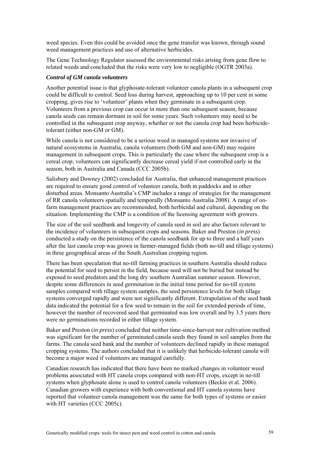weed species. Even this could be avoided once the gene transfer was known, through sound weed management practices and use of alternative herbicides.

The Gene Technology Regulator assessed the environmental risks arising from gene flow to related weeds and concluded that the risks were very low to negligible (OGTR 2003a).

#### *Control of GM canola volunteers*

Another potential issue is that glyphosate-tolerant volunteer canola plants in a subsequent crop could be difficult to control. Seed loss during harvest, approaching up to 10 per cent in some cropping, gives rise to 'volunteer' plants when they germinate in a subsequent crop. Volunteers from a previous crop can occur in more than one subsequent season, because canola seeds can remain dormant in soil for some years. Such volunteers may need to be controlled in the subsequent crop anyway, whether or not the canola crop had been herbicidetolerant (either non-GM or GM).

While canola is not considered to be a serious weed in managed systems nor invasive of natural ecosystems in Australia, canola volunteers (both GM and non-GM) may require management in subsequent crops. This is particularly the case where the subsequent crop is a cereal crop; volunteers can significantly decrease cereal yield if not controlled early in the season, both in Australia and Canada (CCC 2005b).

Salisbury and Downey (2002) concluded for Australia, that enhanced management practices are required to ensure good control of volunteer canola, both in paddocks and in other disturbed areas. Monsanto Australia's CMP includes a range of strategies for the management of RR canola volunteers spatially and temporally (Monsanto Australia 2008). A range of onfarm management practices are recommended, both herbicidal and cultural, depending on the situation. Implementing the CMP is a condition of the licensing agreement with growers.

The size of the soil seedbank and longevity of canola seed in soil are also factors relevant to the incidence of volunteers in subsequent crops and seasons. Baker and Preston (*in press*) conducted a study on the persistence of the canola seedbank for up to three and a half years after the last canola crop was grown in farmer-managed fields (both no-till and tillage systems) in three geographical areas of the South Australian cropping region.

There has been speculation that no-till farming practices in southern Australia should reduce the potential for seed to persist in the field, because seed will not be buried but instead be exposed to seed predators and the long dry southern Australian summer season. However, despite some differences in seed germination in the initial time period for no-till system samples compared with tillage system samples, the seed persistence levels for both tillage systems converged rapidly and were not significantly different. Extrapolation of the seed bank data indicated the potential for a few seed to remain in the soil for extended periods of time, however the number of recovered seed that germinated was low overall and by 3.5 years there were no germinations recorded in either tillage system.

Baker and Preston (*in press*) concluded that neither time-since-harvest nor cultivation method was significant for the number of germinated canola seeds they found in soil samples from the farms. The canola seed bank and the number of volunteers declined rapidly in these managed cropping systems. The authors concluded that it is unlikely that herbicide-tolerant canola will become a major weed if volunteers are managed carefully.

Canadian research has indicated that there have been no marked changes in volunteer weed problems associated with HT canola crops compared with non-HT crops, except in no-till systems when glyphosate alone is used to control canola volunteers (Beckie et al. 2006). Canadian growers with experience with both conventional and HT canola systems have reported that volunteer canola management was the same for both types of systems or easier with HT varieties (CCC 2005c).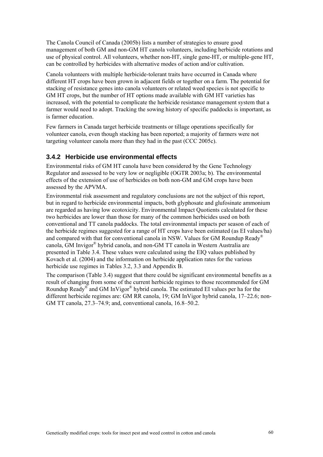The Canola Council of Canada (2005b) lists a number of strategies to ensure good management of both GM and non-GM HT canola volunteers, including herbicide rotations and use of physical control. All volunteers, whether non-HT, single gene-HT, or multiple-gene HT, can be controlled by herbicides with alternative modes of action and/or cultivation.

Canola volunteers with multiple herbicide-tolerant traits have occurred in Canada where different HT crops have been grown in adjacent fields or together on a farm. The potential for stacking of resistance genes into canola volunteers or related weed species is not specific to GM HT crops, but the number of HT options made available with GM HT varieties has increased, with the potential to complicate the herbicide resistance management system that a farmer would need to adopt. Tracking the sowing history of specific paddocks is important, as is farmer education.

Few farmers in Canada target herbicide treatments or tillage operations specifically for volunteer canola, even though stacking has been reported; a majority of farmers were not targeting volunteer canola more than they had in the past (CCC 2005c).

## **3.4.2 Herbicide use environmental effects**

Environmental risks of GM HT canola have been considered by the Gene Technology Regulator and assessed to be very low or negligible (OGTR 2003a; b). The environmental effects of the extension of use of herbicides on both non-GM and GM crops have been assessed by the APVMA.

Environmental risk assessment and regulatory conclusions are not the subject of this report, but in regard to herbicide environmental impacts, both glyphosate and glufosinate ammonium are regarded as having low ecotoxicity. Environmental Impact Quotients calculated for these two herbicides are lower than those for many of the common herbicides used on both conventional and TT canola paddocks. The total environmental impacts per season of each of the herbicide regimes suggested for a range of HT crops have been estimated (as EI values/ha) and compared with that for conventional canola in NSW. Values for GM Roundup Ready® canola, GM Invigor® hybrid canola, and non-GM TT canola in Western Australia are presented in Table 3.4. These values were calculated using the EIQ values published by Kovach et al. (2004) and the information on herbicide application rates for the various herbicide use regimes in Tables 3.2, 3.3 and Appendix B.

The comparison (Table 3.4) suggest that there could be significant environmental benefits as a result of changing from some of the current herbicide regimes to those recommended for GM Roundup Ready® and GM InVigor® hybrid canola. The estimated EI values per ha for the different herbicide regimes are: GM RR canola, 19; GM InVigor hybrid canola, 17–22.6; non-GM TT canola, 27.3–74.9; and, conventional canola, 16.8–50.2.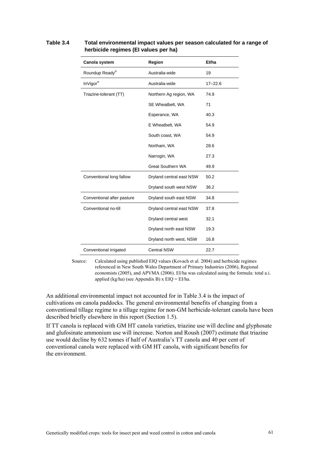| Canola system              | Region                   | El/ha       |
|----------------------------|--------------------------|-------------|
| Roundup Ready®             | Australia-wide           | 19          |
| InVigor®                   | Australia-wide           | $17 - 22.6$ |
| Triazine-tolerant (TT)     | Northern Ag region, WA   | 74.9        |
|                            | SE Wheatbelt, WA         | 71          |
|                            | Esperance, WA            | 40.3        |
|                            | E Wheatbelt, WA          | 54.9        |
|                            | South coast, WA          | 54.9        |
|                            | Northam, WA              | 28.6        |
|                            | Narrogin, WA             | 27.3        |
|                            | <b>Great Southern WA</b> | 49.9        |
| Conventional long fallow   | Dryland central east NSW | 50.2        |
|                            | Dryland south west NSW   | 36.2        |
| Conventional after pasture | Dryland south east NSW   | 34.8        |
| Conventional no-till       | Dryland central east NSW | 37.8        |
|                            | Dryland central west     | 32.1        |
|                            | Dryland north east NSW   | 19.3        |
|                            | Dryland north west, NSW  | 16.8        |
| Conventional irrigated     | <b>Central NSW</b>       | 22.7        |

## **Table 3.4 Total environmental impact values per season calculated for a range of herbicide regimes (EI values per ha)**

Source: Calculated using published EIQ values (Kovach et al. 2004) and herbicide regimes referenced in New South Wales Department of Primary Industries (2006), Regional economists (2005), and APVMA (2006). EI/ha was calculated using the formula: total a.i. applied (kg/ha) (see Appendix B) x EIQ = EI/ha.

An additional environmental impact not accounted for in Table 3.4 is the impact of cultivations on canola paddocks. The general environmental benefits of changing from a conventional tillage regime to a tillage regime for non-GM herbicide-tolerant canola have been described briefly elsewhere in this report (Section 1.5).

If TT canola is replaced with GM HT canola varieties, triazine use will decline and glyphosate and glufosinate ammonium use will increase. Norton and Roush (2007) estimate that triazine use would decline by 632 tonnes if half of Australia's TT canola and 40 per cent of conventional canola were replaced with GM HT canola, with significant benefits for the environment.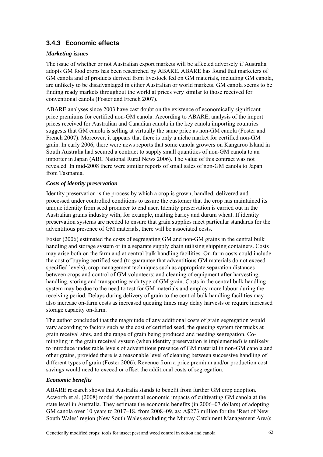## **3.4.3 Economic effects**

## *Marketing issues*

The issue of whether or not Australian export markets will be affected adversely if Australia adopts GM food crops has been researched by ABARE. ABARE has found that marketers of GM canola and of products derived from livestock fed on GM materials, including GM canola, are unlikely to be disadvantaged in either Australian or world markets. GM canola seems to be finding ready markets throughout the world at prices very similar to those received for conventional canola (Foster and French 2007).

ABARE analyses since 2003 have cast doubt on the existence of economically significant price premiums for certified non-GM canola. According to ABARE, analysis of the import prices received for Australian and Canadian canola in the key canola importing countries suggests that GM canola is selling at virtually the same price as non-GM canola (Foster and French 2007). Moreover, it appears that there is only a niche market for certified non-GM grain. In early 2006, there were news reports that some canola growers on Kangaroo Island in South Australia had secured a contract to supply small quantities of non-GM canola to an importer in Japan (ABC National Rural News 2006). The value of this contract was not revealed. In mid-2008 there were similar reports of small sales of non-GM canola to Japan from Tasmania.

### *Costs of identity preservation*

Identity preservation is the process by which a crop is grown, handled, delivered and processed under controlled conditions to assure the customer that the crop has maintained its unique identity from seed producer to end user. Identity preservation is carried out in the Australian grains industry with, for example, malting barley and durum wheat. If identity preservation systems are needed to ensure that grain supplies meet particular standards for the adventitious presence of GM materials, there will be associated costs.

Foster (2006) estimated the costs of segregating GM and non-GM grains in the central bulk handling and storage system or in a separate supply chain utilising shipping containers. Costs may arise both on the farm and at central bulk handling facilities. On-farm costs could include the cost of buying certified seed (to guarantee that adventitious GM materials do not exceed specified levels); crop management techniques such as appropriate separation distances between crops and control of GM volunteers; and cleaning of equipment after harvesting, handling, storing and transporting each type of GM grain. Costs in the central bulk handling system may be due to the need to test for GM materials and employ more labour during the receiving period. Delays during delivery of grain to the central bulk handling facilities may also increase on-farm costs as increased queuing times may delay harvests or require increased storage capacity on-farm.

The author concluded that the magnitude of any additional costs of grain segregation would vary according to factors such as the cost of certified seed, the queuing system for trucks at grain receival sites, and the range of grain being produced and needing segregation. Comingling in the grain receival system (when identity preservation is implemented) is unlikely to introduce undesirable levels of adventitious presence of GM material in non-GM canola and other grains, provided there is a reasonable level of cleaning between successive handling of different types of grain (Foster 2006). Revenue from a price premium and/or production cost savings would need to exceed or offset the additional costs of segregation.

#### *Economic benefits*

ABARE research shows that Australia stands to benefit from further GM crop adoption. Acworth et al. (2008) model the potential economic impacts of cultivating GM canola at the state level in Australia. They estimate the economic benefits (in 2006–07 dollars) of adopting GM canola over 10 years to 2017–18, from 2008–09, as: A\$273 million for the 'Rest of New South Wales' region (New South Wales excluding the Murray Catchment Management Area);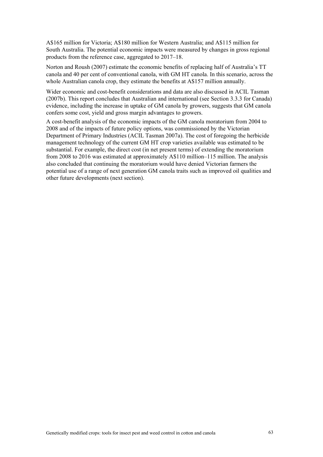A\$165 million for Victoria; A\$180 million for Western Australia; and A\$115 million for South Australia. The potential economic impacts were measured by changes in gross regional products from the reference case, aggregated to 2017–18.

Norton and Roush (2007) estimate the economic benefits of replacing half of Australia's TT canola and 40 per cent of conventional canola, with GM HT canola. In this scenario, across the whole Australian canola crop, they estimate the benefits at A\$157 million annually.

Wider economic and cost-benefit considerations and data are also discussed in ACIL Tasman (2007b). This report concludes that Australian and international (see Section 3.3.3 for Canada) evidence, including the increase in uptake of GM canola by growers, suggests that GM canola confers some cost, yield and gross margin advantages to growers.

A cost-benefit analysis of the economic impacts of the GM canola moratorium from 2004 to 2008 and of the impacts of future policy options, was commissioned by the Victorian Department of Primary Industries (ACIL Tasman 2007a). The cost of foregoing the herbicide management technology of the current GM HT crop varieties available was estimated to be substantial. For example, the direct cost (in net present terms) of extending the moratorium from 2008 to 2016 was estimated at approximately A\$110 million–115 million. The analysis also concluded that continuing the moratorium would have denied Victorian farmers the potential use of a range of next generation GM canola traits such as improved oil qualities and other future developments (next section).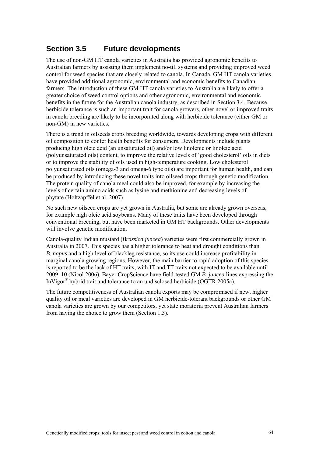## **Section 3.5 Future developments**

The use of non-GM HT canola varieties in Australia has provided agronomic benefits to Australian farmers by assisting them implement no-till systems and providing improved weed control for weed species that are closely related to canola. In Canada, GM HT canola varieties have provided additional agronomic, environmental and economic benefits to Canadian farmers. The introduction of these GM HT canola varieties to Australia are likely to offer a greater choice of weed control options and other agronomic, environmental and economic benefits in the future for the Australian canola industry, as described in Section 3.4. Because herbicide tolerance is such an important trait for canola growers, other novel or improved traits in canola breeding are likely to be incorporated along with herbicide tolerance (either GM or non-GM) in new varieties.

There is a trend in oilseeds crops breeding worldwide, towards developing crops with different oil composition to confer health benefits for consumers. Developments include plants producing high oleic acid (an unsaturated oil) and/or low linolenic or linoleic acid (polyunsaturated oils) content, to improve the relative levels of 'good cholesterol' oils in diets or to improve the stability of oils used in high-temperature cooking. Low cholesterol polyunsaturated oils (omega-3 and omega-6 type oils) are important for human health, and can be produced by introducing these novel traits into oilseed crops through genetic modification. The protein quality of canola meal could also be improved, for example by increasing the levels of certain amino acids such as lysine and methionine and decreasing levels of phytate (Holtzapffel et al. 2007).

No such new oilseed crops are yet grown in Australia, but some are already grown overseas, for example high oleic acid soybeans. Many of these traits have been developed through conventional breeding, but have been marketed in GM HT backgrounds. Other developments will involve genetic modification.

Canola-quality Indian mustard (*Brassica juncea*) varieties were first commercially grown in Australia in 2007. This species has a higher tolerance to heat and drought conditions than *B. napus* and a high level of blackleg resistance, so its use could increase profitability in marginal canola growing regions. However, the main barrier to rapid adoption of this species is reported to be the lack of HT traits, with IT and TT traits not expected to be available until 2009–10 (Nicol 2006). Bayer CropScience have field-tested GM *B. juncea* lines expressing the InVigor® hybrid trait and tolerance to an undisclosed herbicide (OGTR 2005a).

The future competitiveness of Australian canola exports may be compromised if new, higher quality oil or meal varieties are developed in GM herbicide-tolerant backgrounds or other GM canola varieties are grown by our competitors, yet state moratoria prevent Australian farmers from having the choice to grow them (Section 1.3).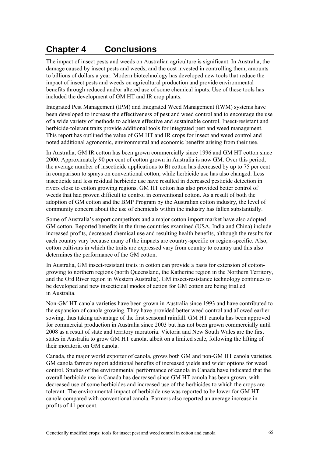## **Chapter 4 Conclusions**

The impact of insect pests and weeds on Australian agriculture is significant. In Australia, the damage caused by insect pests and weeds, and the cost invested in controlling them, amounts to billions of dollars a year. Modern biotechnology has developed new tools that reduce the impact of insect pests and weeds on agricultural production and provide environmental benefits through reduced and/or altered use of some chemical inputs. Use of these tools has included the development of GM HT and IR crop plants.

Integrated Pest Management (IPM) and Integrated Weed Management (IWM) systems have been developed to increase the effectiveness of pest and weed control and to encourage the use of a wide variety of methods to achieve effective and sustainable control. Insect-resistant and herbicide-tolerant traits provide additional tools for integrated pest and weed management. This report has outlined the value of GM HT and IR crops for insect and weed control and noted additional agronomic, environmental and economic benefits arising from their use.

In Australia, GM IR cotton has been grown commercially since 1996 and GM HT cotton since 2000. Approximately 90 per cent of cotton grown in Australia is now GM. Over this period, the average number of insecticide applications to Bt cotton has decreased by up to 75 per cent in comparison to sprays on conventional cotton, while herbicide use has also changed. Less insecticide and less residual herbicide use have resulted in decreased pesticide detection in rivers close to cotton growing regions. GM HT cotton has also provided better control of weeds that had proven difficult to control in conventional cotton. As a result of both the adoption of GM cotton and the BMP Program by the Australian cotton industry, the level of community concern about the use of chemicals within the industry has fallen substantially.

Some of Australia's export competitors and a major cotton import market have also adopted GM cotton. Reported benefits in the three countries examined (USA, India and China) include increased profits, decreased chemical use and resulting health benefits, although the results for each country vary because many of the impacts are country-specific or region-specific. Also, cotton cultivars in which the traits are expressed vary from country to country and this also determines the performance of the GM cotton.

In Australia, GM insect-resistant traits in cotton can provide a basis for extension of cottongrowing to northern regions (north Queensland, the Katherine region in the Northern Territory, and the Ord River region in Western Australia). GM insect-resistance technology continues to be developed and new insecticidal modes of action for GM cotton are being trialled in Australia.

Non-GM HT canola varieties have been grown in Australia since 1993 and have contributed to the expansion of canola growing. They have provided better weed control and allowed earlier sowing, thus taking advantage of the first seasonal rainfall. GM HT canola has been approved for commercial production in Australia since 2003 but has not been grown commercially until 2008 as a result of state and territory moratoria. Victoria and New South Wales are the first states in Australia to grow GM HT canola, albeit on a limited scale, following the lifting of their moratoria on GM canola.

Canada, the major world exporter of canola, grows both GM and non-GM HT canola varieties. GM canola farmers report additional benefits of increased yields and wider options for weed control. Studies of the environmental performance of canola in Canada have indicated that the overall herbicide use in Canada has decreased since GM HT canola has been grown, with decreased use of some herbicides and increased use of the herbicides to which the crops are tolerant. The environmental impact of herbicide use was reported to be lower for GM HT canola compared with conventional canola. Farmers also reported an average increase in profits of 41 per cent.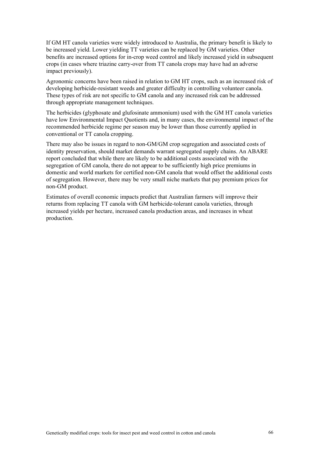If GM HT canola varieties were widely introduced to Australia, the primary benefit is likely to be increased yield. Lower yielding TT varieties can be replaced by GM varieties. Other benefits are increased options for in-crop weed control and likely increased yield in subsequent crops (in cases where triazine carry-over from TT canola crops may have had an adverse impact previously).

Agronomic concerns have been raised in relation to GM HT crops, such as an increased risk of developing herbicide-resistant weeds and greater difficulty in controlling volunteer canola. These types of risk are not specific to GM canola and any increased risk can be addressed through appropriate management techniques.

The herbicides (glyphosate and glufosinate ammonium) used with the GM HT canola varieties have low Environmental Impact Quotients and, in many cases, the environmental impact of the recommended herbicide regime per season may be lower than those currently applied in conventional or TT canola cropping.

There may also be issues in regard to non-GM/GM crop segregation and associated costs of identity preservation, should market demands warrant segregated supply chains. An ABARE report concluded that while there are likely to be additional costs associated with the segregation of GM canola, there do not appear to be sufficiently high price premiums in domestic and world markets for certified non-GM canola that would offset the additional costs of segregation. However, there may be very small niche markets that pay premium prices for non-GM product.

Estimates of overall economic impacts predict that Australian farmers will improve their returns from replacing TT canola with GM herbicide-tolerant canola varieties, through increased yields per hectare, increased canola production areas, and increases in wheat production.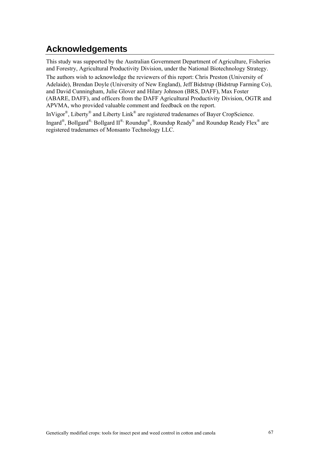## **Acknowledgements**

This study was supported by the Australian Government Department of Agriculture, Fisheries and Forestry, Agricultural Productivity Division, under the National Biotechnology Strategy.

The authors wish to acknowledge the reviewers of this report: Chris Preston (University of Adelaide), Brendan Doyle (University of New England), Jeff Bidstrup (Bidstrup Farming Co), and David Cunningham, Julie Glover and Hilary Johnson (BRS, DAFF), Max Foster (ABARE, DAFF), and officers from the DAFF Agricultural Productivity Division, OGTR and APVMA, who provided valuable comment and feedback on the report.

InVigor®, Liberty® and Liberty Link® are registered tradenames of Bayer CropScience.

Ingard®, Bollgard®, Bollgard II®, Roundup®, Roundup Ready® and Roundup Ready Flex® are registered tradenames of Monsanto Technology LLC.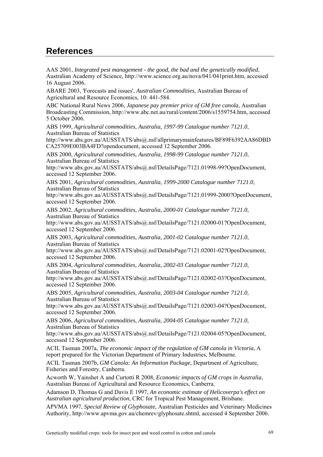## **References**

AAS 2001, *Integrated pest management - the good, the bad and the genetically modified*, Australian Academy of Science, http://www.science.org.au/nova/041/041print.htm, accessed 16 August 2006.

ABARE 2003, 'Forecasts and issues', *Australian Commodities*, Australian Bureau of Agricultural and Resource Economics, 10: 441-584.

ABC National Rural News 2006, *Japanese pay premier price of GM free canola*, Australian Broadcasting Commission, http://www.abc.net.au/rural/content/2006/s1559754.htm, accessed 5 October 2006.

ABS 1999, *Agricultural commodities, Australia, 1997-99 Catalogue number 7121.0*, Australian Bureau of Statistics

http://www.abs.gov.au/AUSSTATS/abs@.nsf/allprimarymainfeatures/BF89F6392AA86DBD CA25709E003BA4FD?opendocument, accessed 12 September 2006.

ABS 2000, *Agricultural commodities, Australia, 1998-99 Catalogue number 7121.0*, Australian Bureau of Statistics

http://www.abs.gov.au/AUSSTATS/abs@.nsf/DetailsPage/7121.01998-99?OpenDocument, accessed 12 September 2006.

ABS 2001, *Agricultural commodities, Australia, 1999-2000 Catalogue number 7121.0*, Australian Bureau of Statistics

http://www.abs.gov.au/AUSSTATS/abs@.nsf/DetailsPage/7121.01999-2000?OpenDocument, accessed 12 September 2006.

ABS 2002, *Agricultural commodities, Australia, 2000-01 Catalogue number 7121.0*, Australian Bureau of Statistics

http://www.abs.gov.au/AUSSTATS/abs@.nsf/DetailsPage/7121.02000-01?OpenDocument, accessed 12 September 2006.

ABS 2003, *Agricultural commodities, Australia, 2001-02 Catalogue number 7121.0*, Australian Bureau of Statistics

http://www.abs.gov.au/AUSSTATS/abs@.nsf/DetailsPage/7121.02001-02?OpenDocument, accessed 12 September 2006.

ABS 2004, *Agricultural commodities, Australia, 2002-03 Catalogue number 7121.0*, Australian Bureau of Statistics

http://www.abs.gov.au/AUSSTATS/abs@.nsf/DetailsPage/7121.02002-03?OpenDocument, accessed 12 September 2006.

ABS 2005, *Agricultural commodities, Australia, 2003-04 Catalogue number 7121.0*, Australian Bureau of Statistics

http://www.abs.gov.au/AUSSTATS/abs@.nsf/DetailsPage/7121.02003-04?OpenDocument, accessed 12 September 2006.

ABS 2006, *Agricultural commodities, Australia, 2004-05 Catalogue number 7121.0*, Australian Bureau of Statistics

http://www.abs.gov.au/AUSSTATS/abs@.nsf/DetailsPage/7121.02004-05?OpenDocument, accessed 12 September 2006.

ACIL Tasman 2007a, *The economic impact of the regulation of GM canola in Victoria*, A report prepared for the Victorian Department of Primary Industries, Melbourne.

ACIL Tasman 2007b, *GM Canola: An Information Package*, Department of Agriculture, Fisheries and Forestry, Canberra.

Acworth W, Yainshet A and Curtotti R 2008, *Economic impacts of GM crops in Australia*, Australian Bureau of Agricultural and Resource Economics, Canberra.

Adamson D, Thomas G and Davis E 1997, *An economic estimate of Helicoverpa's effect on Australian agricultural production*, CRC for Tropical Pest Management, Brisbane.

APVMA 1997, *Special Review of Glyphosate*, Australian Pesticides and Veterinary Medicines Authority, http://www.apvma.gov.au/chemrev/glyphosate.shtml, accessed 4 September 2006.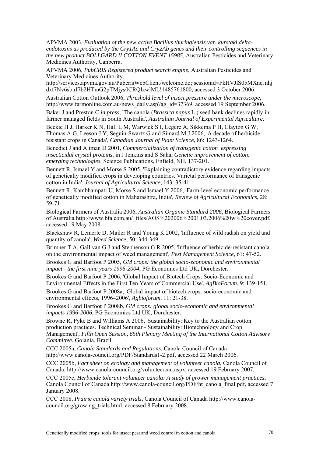APVMA 2003, *Evaluation of the new active Bacillus thuringiensis var. kurstaki deltaendotoxins as produced by the Cry1Ac and Cry2Ab genes and their controlling sequences in the new product BOLLGARD II COTTON EVENT 15985*, Australian Pesticides and Veterinary Medicines Authority, Canberra.

APVMA 2006, *PubCRIS Registered product search engine*, Australian Pesticides and Veterinary Medicines Authority,

http://services.apvma.gov.au/PubcrisWebClient/welcome.do;jsessionid=FkHVJlS05MXncJnhj dxt7Nv6sbnJ7b2HTmG2pTMjys0CRQlzwlML!1485761800, accessed 3 October 2006.

Australian Cotton Outlook 2006, *Threshold level of insect pressure under the microscope*, http://www.farmonline.com.au/news\_daily.asp?ag\_id=37369, accessed 19 September 2006.

Baker J and Preston C *in press*, 'The canola (*Brassica napus* L.) seed bank declines rapidly in farmer managed fields in South Australia', *Australian Journal of Experimental Agriculture*.

Beckie H J, Harker K N, Hall L M, Warwick S I, Legere A, Sikkema P H, Clayton G W, Thomas A G, Leeson J Y, Seguin-Swartz G and Simard M J 2006, 'A decade of herbicideresistant crops in Canada', *Canadian Journal of Plant Science*, 86: 1243-1264.

Benedict J and Altman D 2001, *Commercialization of transgenic cotton expressing insecticidal crystal proteins*, in J Jenkins and S Saha, *Genetic improvement of cotton: emerging technologies*, Science Publications, Enfield, NH, 137-201.

Bennett R, Ismael Y and Morse S 2005, 'Explaining contradictory evidence regarding impacts of genetically modified crops in developing countries. Varietal performance of transgenic cotton in India', *Journal of Agricultural Science*, 143: 35-41.

Bennett R, Kambhampati U, Morse S and Ismael Y 2006, 'Farm-level economic performance of genetically modified cotton in Maharashtra, India', *Review of Agricultural Economics*, 28: 59-71.

Biological Farmers of Australia 2006, *Australian Organic Standard 2006*, Biological Farmers of Australia http://www.bfa.com.au/\_files/AOS%202006%2001.03.2006%20w%20cover.pdf, accessed 19 May 2008.

Blackshaw R, Lemerle D, Mailer R and Young K 2002, 'Influence of wild radish on yield and quantity of canola', *Weed Science*, 50: 344-349.

Brimner T A, Gallivan G J and Stephenson G R 2005, 'Influence of herbicide-resistant canola on the environmental impact of weed management', *Pest Management Science*, 61: 47-52.

Brookes G and Barfoot P 2005, *GM crops: the global socio-economic and environmental impact - the first nine years 1996-2004*, PG Economics Ltd UK, Dorchester.

Brookes G and Barfoot P 2006, 'Global Impact of Biotech Crops: Socio-Economic and Environmental Effects in the First Ten Years of Commercial Use', *AgBioForum*, 9: 139-151.

Brookes G and Barfoot P 2008a, 'Global impact of biotech crops: socio-economic and environmental effects, 1996–2006', *Agbioforum*, 11: 21-38.

Brookes G and Barfoot P 2008b, *GM crops: global socio-economic and environmental impacts 1996-2006*, PG Economics Ltd UK, Dorchester.

Browne R, Pyke B and Williams A 2006, 'Sustainability: Key to the Australian cotton production practices. Technical Seminar - Sustainability: Biotechnology and Crop Management', *Fifth Open Session, 65th Plenary Meeting of the International Cotton Advisory Committee*, Goiania, Brazil.

CCC 2005a, *Canola Standards and Regulations*, Canola Council of Canada http://www.canola-council.org/PDF/Standards1-2.pdf, accessed 22 March 2006.

CCC 2005b, *Fact sheet on ecology and management of volunteer canola*, Canola Council of Canada, http://www.canola-council.org/volunteercan.aspx, accessed 19 February 2007.

CCC 2005c, *Herbicide tolerant volunteer canola: A study of grower management practices*, Canola Council of Canada http://www.canola-council.org/PDF/ht\_canola\_final.pdf, accessed 7 January 2008.

CCC 2008, *Prairie canola variety trials*, Canola Council of Canada http://www.canolacouncil.org/growing\_trials.html, accessed 8 February 2008.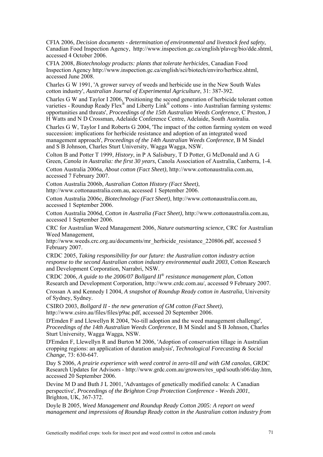CFIA 2006, *Decision documents - determination of environmental and livestock feed safety*, Canadian Food Inspection Agency, http://www.inspection.gc.ca/english/plaveg/bio/dde.shtml, accessed 4 October 2006.

CFIA 2008, *Biotechnology products: plants that tolerate herbicides*, Canadian Food Inspection Agency http://www.inspection.gc.ca/english/sci/biotech/enviro/herbice.shtml, accessed June 2008.

Charles G W 1991, 'A grower survey of weeds and herbicide use in the New South Wales cotton industry', *Australian Journal of Experimental Agriculture*, 31: 387-392.

Charles G W and Taylor I 2006, 'Positioning the second generation of herbicide tolerant cotton varieties - Roundup Ready Flex<sup>®</sup> and Liberty Link<sup>®</sup> cottons - into Australian farming systems: opportunities and threats', *Proceedings of the 15th Australian Weeds Conference*, C Preston, J H Watts and N D Crossman, Adelaide Conference Centre, Adelaide, South Australia.

Charles G W, Taylor I and Roberts G 2004, 'The impact of the cotton farming system on weed succession: implications for herbicide resistance and adoption of an integrated weed management approach', *Proceedings of the 14th Australian Weeds Conference*, B M Sindel and S B Johnson, Charles Sturt University, Wagga Wagga, NSW.

Colton B and Potter T 1999, *History*, in P A Salisbury, T D Potter, G McDonald and A G Green, *Canola in Australia: the first 30 years*, Canola Association of Australia, Canberra, 1-4.

Cotton Australia 2006a, *About cotton (Fact Sheet)*, http://www.cottonaustralia.com.au, accessed 7 February 2007.

Cotton Australia 2006b, *Australian Cotton History (Fact Sheet)*, http://www.cottonaustralia.com.au, accessed 1 September 2006.

Cotton Australia 2006c, *Biotechnology (Fact Sheet)*, http://www.cottonaustralia.com.au, accessed 1 September 2006.

Cotton Australia 2006d, *Cotton in Australia (Fact Sheet)*, http://www.cottonaustralia.com.au, accessed 1 September 2006.

CRC for Australian Weed Management 2006, *Nature outsmarting science*, CRC for Australian Weed Management,

http://www.weeds.crc.org.au/documents/mr\_herbicide\_resistance\_220806.pdf, accessed 5 February 2007.

CRDC 2005, *Taking responsibility for our future: the Australian cotton industry action response to the second Australian cotton industry environmental audit 2003*, Cotton Research and Development Corporation, Narrabri, NSW.

CRDC 2006, *A guide to the 2006/07 Bollgard II® resistance management plan*, Cotton Research and Development Corporation, http://www.crdc.com.au/, accessed 9 February 2007.

Crossan A and Kennedy I 2004, *A snapshot of Roundup Ready cotton in Australia*, University of Sydney, Sydney.

CSIRO 2003, *Bollgard II - the new generation of GM cotton (Fact Sheet)*, http://www.csiro.au/files/files/p9ac.pdf, accessed 20 September 2006.

D'Emden F and Llewellyn R 2004, 'No-till adoption and the weed management challenge', *Proceedings of the 14th Australian Weeds Conference*, B M Sindel and S B Johnson, Charles Sturt University, Wagga Wagga, NSW.

D'Emden F, Llewellyn R and Burton M 2006, 'Adoption of conservation tillage in Australian cropping regions: an application of duration analysis', *Technological Forecasting & Social Change*, 73: 630-647.

Day S 2006, *A prairie experience with weed control in zero-till and with GM canolas*, GRDC Research Updates for Advisors - http://www.grdc.com.au/growers/res\_upd/south/s06/day.htm, accessed 20 September 2006.

Devine M D and Buth J L 2001, 'Advantages of genetically modified canola: A Canadian perspective', *Proceedings of the Brighton Crop Protection Conference - Weeds 2001*, Brighton, UK, 367-372.

Doyle B 2005, *Weed Management and Roundup Ready Cotton 2005: A report on weed management and impressions of Roundup Ready cotton in the Australian cotton industry from*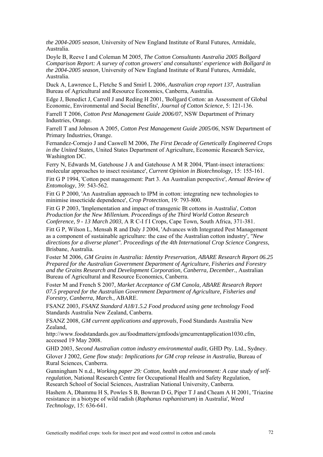*the 2004-2005 season*, University of New England Institute of Rural Futures, Armidale, Australia.

Doyle B, Reeve I and Coleman M 2005, *The Cotton Consultants Australia 2005 Bollgard Comparison Report: A survey of cotton growers' and consultants' experience with Bollgard in the 2004-2005 season*, University of New England Institute of Rural Futures, Armidale, Australia.

Duck A, Lawrence L, Fletche S and Smirl L 2006, *Australian crop report 137*, Australian Bureau of Agricultural and Resource Economics, Canberra, Australia.

Edge J, Benedict J, Carroll J and Reding H 2001, 'Bollgard Cotton: an Assessment of Global Economic, Environmental and Social Benefits', *Journal of Cotton Science*, 5: 121-136.

Farrell T 2006, *Cotton Pest Management Guide 2006/07*, NSW Department of Primary Industries, Orange.

Farrell T and Johnson A 2005, *Cotton Pest Management Guide 2005/06*, NSW Department of Primary Industries, Orange.

Fernandez-Cornejo J and Caswell M 2006, *The First Decade of Genetically Engineered Crops in the United States*, United States Department of Agriculture, Economic Research Service, Washington DC.

Ferry N, Edwards M, Gatehouse J A and Gatehouse A M R 2004, 'Plant-insect interactions: molecular approaches to insect resistance', *Current Opinion in Biotechnology*, 15: 155-161.

Fitt G P 1994, 'Cotton pest management: Part 3. An Australian perspective', *Annual Review of Entomology*, 39: 543-562.

Fitt G P 2000, 'An Australian approach to IPM in cotton: integrating new technologies to minimise insecticide dependence', *Crop Protection*, 19: 793-800.

Fitt G P 2003, 'Implementation and impact of transgenic Bt cottons in Australia', *Cotton Production for the New Millenium. Proceedings of the Third World Cotton Research Conference, 9 - 13 March 2003*, A R C-I f I Crops, Cape Town, South Africa, 371-381.

Fitt G P, Wilson L, Mensah R and Daly J 2004, 'Advances with Integrated Pest Management as a component of sustainable agriculture: the case of the Australian cotton industry', *"New directions for a diverse planet". Proceedings of the 4th International Crop Science Congress*, Brisbane, Australia.

Foster M 2006, *GM Grains in Australia: Identity Preservation, ABARE Research Report 06.25 Prepared for the Australian Government Department of Agriculture, Fisheries and Forestry and the Grains Research and Development Corporation, Canberra, December.*, Australian Bureau of Agricultural and Resource Economics, Canberra.

Foster M and French S 2007, *Market Acceptance of GM Canola, ABARE Research Report 07.5 prepared for the Australian Government Department of Agriculture, Fisheries and Forestry, Canberra, March.*, ABARE.

FSANZ 2003, *FSANZ Standard A18/1.5.2 Food produced using gene technology* Food Standards Australia New Zealand, Canberra.

FSANZ 2008, *GM current applications and approvals*, Food Standards Australia New Zealand,

http://www.foodstandards.gov.au/foodmatters/gmfoods/gmcurrentapplication1030.cfm, accessed 19 May 2008.

GHD 2003, *Second Australian cotton industry environmental audit*, GHD Pty. Ltd., Sydney.

Glover J 2002, *Gene flow study: Implications for GM crop release in Australia*, Bureau of Rural Sciences, Canberra.

Gunningham N n.d., *Working paper 29: Cotton, health and environment: A case study of selfregulation*, National Research Centre for Occupational Health and Safety Regulation, Research School of Social Sciences, Australian National University, Canberra.

Hashem A, Dhammu H S, Powles S B, Bowran D G, Piper T J and Cheam A H 2001, 'Triazine resistance in a biotype of wild radish (*Raphanus raphanistrum*) in Australia', *Weed Technology*, 15: 636-641.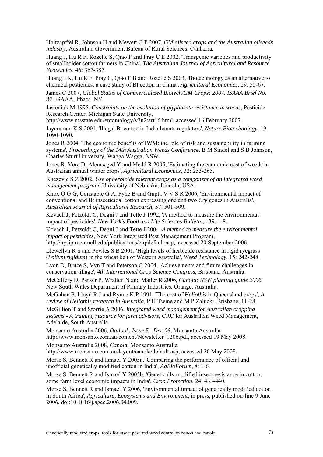Holtzapffel R, Johnson H and Mewett O P 2007, *GM oilseed crops and the Australian oilseeds industry*, Australian Government Bureau of Rural Sciences, Canberra.

Huang J, Hu R F, Rozelle S, Qiao F and Pray C E 2002, 'Transgenic varieties and productivity of smallholder cotton farmers in China', *The Australian Journal of Agricultural and Resource Economics*, 46: 367-387.

Huang J K, Hu R F, Pray C, Qiao F B and Rozelle S 2003, 'Biotechnology as an alternative to chemical pesticides: a case study of Bt cotton in China', *Agricultural Economics*, 29: 55-67.

James C 2007, *Global Status of Commercialized Biotech/GM Crops: 2007. ISAAA Brief No. 37*, ISAAA, Ithaca, NY.

Jasieniuk M 1995, *Constraints on the evolution of glyphosate resistance in weeds*, Pesticide Research Center, Michigan State University,

http://www.msstate.edu/entomology/v7n2/art16.html, accessed 16 February 2007.

Jayaraman K S 2001, 'Illegal Bt cotton in India haunts regulators', *Nature Biotechnology*, 19: 1090-1090.

Jones R 2004, 'The economic benefits of IWM: the role of risk and sustainability in farming systems', *Proceedings of the 14th Australian Weeds Conference*, B M Sindel and S B Johnson, Charles Sturt University, Wagga Wagga, NSW.

Jones R, Vere D, Alemseged Y and Medd R 2005, 'Estimating the economic cost of weeds in Australian annual winter crops', *Agricultural Economics*, 32: 253-265.

Knezevic S Z 2002, *Use of herbicide tolerant crops as a component of an integrated weed management program*, University of Nebraska, Lincoln, USA.

Knox O G G, Constable G A, Pyke B and Gupta V V S R 2006, 'Environmental impact of conventional and Bt insecticidal cotton expressing one and two *Cry* genes in Australia', *Australian Journal of Agricultural Research*, 57: 501-509.

Kovach J, Petzoldt C, Degni J and Tette J 1992, 'A method to measure the environmental impact of pesticides', *New York's Food and Life Sciences Bulletin*, 139: 1-8.

Kovach J, Petzoldt C, Degni J and Tette J 2004, *A method to measure the environmental impact of pesticides*, New York Integrated Pest Management Program,

http://nysipm.cornell.edu/publications/eiq/default.asp,, accessed 20 September 2006.

Llewellyn R S and Powles S B 2001, 'High levels of herbicide resistance in rigid ryegrass (*Lolium rigidum*) in the wheat belt of Western Australia', *Weed Technology*, 15: 242-248.

Lyon D, Bruce S, Vyn T and Peterson G 2004, 'Achievements and future challenges in conservation tillage', *4th International Crop Science Congress*, Brisbane, Australia.

McCaffery D, Parker P, Wratten N and Mailer R 2006, *Canola: NSW planting guide 2006*, New South Wales Department of Primary Industries, Orange, Australia.

McGahan P, Lloyd R J and Rynne K P 1991, 'The cost of *Heliothis* in Queensland crops', *A review of Heliothis research in Australia*, P H Twine and M P Zalucki, Brisbane, 11-28.

McGillion T and Storrie A 2006, *Integrated weed management for Australian cropping systems - A training resource for farm advisors*, CRC for Australian Weed Management, Adelaide, South Australia.

Monsanto Australia 2006, *Outlook, Issue 5 | Dec 06*, Monsanto Australia http://www.monsanto.com.au/content/Newsletter\_1206.pdf, accessed 19 May 2008.

Monsanto Australia 2008, *Canola*, Monsanto Australia

http://www.monsanto.com.au/layout/canola/default.asp, accessed 20 May 2008.

Morse S, Bennett R and Ismael Y 2005a, 'Comparing the performance of official and unofficial genetically modified cotton in India', *AgBioForum*, 8: 1-6.

Morse S, Bennett R and Ismael Y 2005b, 'Genetically modified insect resistance in cotton: some farm level economic impacts in India', *Crop Protection*, 24: 433-440.

Morse S, Bennett R and Ismael Y 2006, 'Environmental impact of genetically modified cotton in South Africa', *Agriculture, Ecosystems and Environment*, in press, published on-line 9 June 2006, doi:10.1016/j.agee.2006.04.009.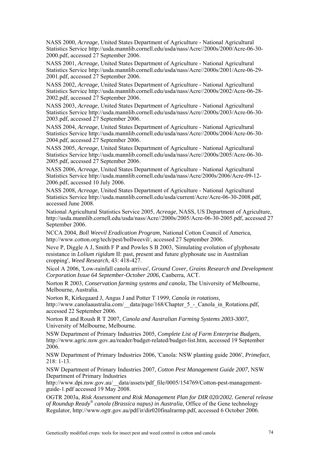NASS 2000, *Acreage*, United States Department of Agriculture - National Agricultural Statistics Service http://usda.mannlib.cornell.edu/usda/nass/Acre//2000s/2000/Acre-06-30- 2000.pdf, accessed 27 September 2006.

NASS 2001, *Acreage*, United States Department of Agriculture - National Agricultural Statistics Service http://usda.mannlib.cornell.edu/usda/nass/Acre//2000s/2001/Acre-06-29- 2001.pdf, accessed 27 September 2006.

NASS 2002, *Acreage*, United States Department of Agriculture - National Agricultural Statistics Service http://usda.mannlib.cornell.edu/usda/nass/Acre//2000s/2002/Acre-06-28- 2002.pdf, accessed 27 September 2006.

NASS 2003, *Acreage*, United States Department of Agriculture - National Agricultural Statistics Service http://usda.mannlib.cornell.edu/usda/nass/Acre//2000s/2003/Acre-06-30- 2003.pdf, accessed 27 September 2006.

NASS 2004, *Acreage*, United States Department of Agriculture - National Agricultural Statistics Service http://usda.mannlib.cornell.edu/usda/nass/Acre//2000s/2004/Acre-06-30- 2004.pdf, accessed 27 September 2006.

NASS 2005, *Acreage*, United States Department of Agriculture - National Agricultural Statistics Service http://usda.mannlib.cornell.edu/usda/nass/Acre//2000s/2005/Acre-06-30- 2005.pdf, accessed 27 September 2006.

NASS 2006, *Acreage*, United States Department of Agriculture - National Agricultural Statistics Service http://usda.mannlib.cornell.edu/usda/nass/Acre/2000s/2006/Acre-09-12- 2006.pdf, accessed 10 July 2006.

NASS 2008, *Acreage*, United States Department of Agriculture - National Agricultural Statistics Service http://usda.mannlib.cornell.edu/usda/current/Acre/Acre-06-30-2008.pdf, accessed June 2008.

National Agricultural Statistics Service 2005, *Acreage*, NASS, US Department of Agriculture, http://usda.mannlib.cornell.edu/usda/nass/Acre//2000s/2005/Acre-06-30-2005.pdf, accessed 27 September 2006.

NCCA 2004, *Boll Weevil Eradication Program*, National Cotton Council of America, http://www.cotton.org/tech/pest/bollweevil/, accessed 27 September 2006.

Neve P, Diggle A J, Smith F P and Powles S B 2003, 'Simulating evolution of glyphosate resistance in *Lolium rigidum* II: past, present and future glyphosate use in Australian cropping', *Weed Research*, 43: 418-427.

Nicol A 2006, 'Low-rainfall canola arrives', *Ground Cover, Grains Research and Development Corporation Issue 64 September-October 2006*, Canberra, ACT.

Norton R 2003, *Conservation farming systems and canola*, The University of Melbourne, Melbourne, Australia.

Norton R, Kirkegaard J, Angus J and Potter T 1999, *Canola in rotations*, http://www.canolaaustralia.com/\_\_data/page/168/Chapter\_5\_-\_Canola\_in\_Rotations.pdf, accessed 22 September 2006.

Norton R and Roush R T 2007, *Canola and Australian Farming Systems 2003-3007*, University of Melbourne, Melbourne.

NSW Department of Primary Industries 2005, *Complete List of Farm Enterprise Budgets*, http://www.agric.nsw.gov.au/reader/budget-related/budget-list.htm, accessed 19 September 2006.

NSW Department of Primary Industries 2006, 'Canola: NSW planting guide 2006', *Primefact*, 218: 1-13.

NSW Department of Primary Industries 2007, *Cotton Pest Management Guide 2007*, NSW Department of Primary Industries

http://www.dpi.nsw.gov.au/\_\_data/assets/pdf\_file/0005/154769/Cotton-pest-managementguide-1.pdf accessed 19 May 2008.

OGTR 2003a, *Risk Assessment and Risk Management Plan for DIR 020/2002. General release of Roundup Ready® canola (Brassica napus) in Australia*, Office of the Gene technology Regulator, http://www.ogtr.gov.au/pdf/ir/dir020finalrarmp.pdf, accessed 6 October 2006.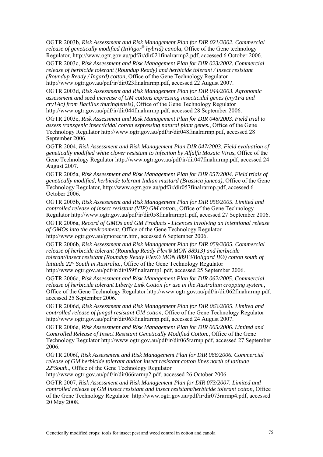OGTR 2003b, *Risk Assessment and Risk Management Plan for DIR 021/2002. Commercial release of genetically modified (InVigor® hybrid) canola*, Office of the Gene technology Regulator, http://www.ogtr.gov.au/pdf/ir/dir021finalrarmp2.pdf, accessed 6 October 2006.

OGTR 2003c, *Risk Assessment and Risk Management Plan for DIR 023/2002. Commercial release of herbicide tolerant (Roundup Ready) and herbicide tolerant / insect resistant (Roundup Ready / Ingard) cotton*, Office of the Gene Technology Regulator http://www.ogtr.gov.au/pdf/ir/dir023finalrarmp.pdf, accessed 22 August 2007.

OGTR 2003d, *Risk Assessment and Risk Management Plan for DIR 044/2003. Agronomic assessment and seed increase of GM cottons expressing insecticidal genes (cry1Fa and cry1Ac) from Bacillus thuringiensis)*, Office of the Gene Technology Regulator http://www.ogtr.gov.au/pdf/ir/dir044finalrarmp.pdf, accessed 28 September 2006.

OGTR 2003e, *Risk Assessment and Risk Management Plan for DIR 048/2003. Field trial to assess transgenic insecticidal cotton expressing natural plant genes.*, Office of the Gene Technology Regulator http://www.ogtr.gov.au/pdf/ir/dir048finalrarmp.pdf, accessed 28 September 2006.

OGTR 2004, *Risk Assessment and Risk Management Plan DIR 047/2003. Field evaluation of genetically modified white clover resistant to infection by Alfalfa Mosaic Virus*, Office of the Gene Technology Regulator http://www.ogtr.gov.au/pdf/ir/dir047finalrarmp.pdf, accessed 24 August 2007.

OGTR 2005a, *Risk Assessment and Risk Management Plan for DIR 057/2004. Field trials of genetically modified, herbicide tolerant Indian mustard (Brassica juncea)*, Office of the Gene Technology Regulator, http://www.ogtr.gov.au/pdf/ir/dir057finalrarmp.pdf, accessed 6 October 2006.

OGTR 2005b, *Risk Assessment and Risk Management Plan for DIR 058/2005. Limited and controlled release of insect resistant (VIP) GM cotton.*, Office of the Gene Technology Regulator http://www.ogtr.gov.au/pdf/ir/dir058finalrarmp1.pdf, accessed 27 September 2006.

OGTR 2006a, *Record of GMOs and GM Products - Licences involving an intentional release of GMOs into the environment*, Office of the Gene Technology Regulator http://www.ogtr.gov.au/gmorec/ir.htm, accessed 6 September 2006.

OGTR 2006b, *Risk Assessment and Risk Management Plan for DIR 059/2005. Commercial release of herbicide tolerant (Roundup Ready Flex® MON 88913) and herbicide tolerant/insect resistant (Roundup Ready Flex® MON 88913/Bollgard II®) cotton south of latitude 22° South in Australia.*, Office of the Gene Technology Regulator http://www.ogtr.gov.au/pdf/ir/dir059finalrarmp1.pdf, accessed 25 September 2006.

OGTR 2006c, *Risk Assessment and Risk Management Plan for DIR 062/2005. Commercial release of herbicide tolerant Liberty Link Cotton for use in the Australian cropping system.*, Office of the Gene Technology Regulator http://www.ogtr.gov.au/pdf/ir/dir062finalrarmp.pdf, accessed 25 September 2006.

OGTR 2006d, *Risk Assessment and Risk Management Plan for DIR 063/2005. Limited and controlled release of fungal resistant GM cotton*, Office of the Gene Technology Regulator http://www.ogtr.gov.au/pdf/ir/dir063finalrarmp.pdf, accessed 24 August 2007.

OGTR 2006e, *Risk Assessment and Risk Management Plan for DIR 065/2006. Limited and Controlled Release of Insect Resistant Genetically Modified Cotton.*, Office of the Gene Technology Regulator http://www.ogtr.gov.au/pdf/ir/dir065rarmp.pdf, accessed 27 September 2006.

OGTR 2006f, *Risk Assessment and Risk Management Plan for DIR 066/2006. Commercial release of GM herbicide tolerant and/or insect resistant cotton lines north of latitude 22ºSouth.*, Office of the Gene Technology Regulator

http://www.ogtr.gov.au/pdf/ir/dir066rarmp2.pdf, accessed 26 October 2006.

OGTR 2007, *Risk Assessment and Risk Management Plan for DIR 073/2007. Limited and controlled release of GM insect resistant and insect resistant/herbicide tolerant cotton*, Office of the Gene Technology Regulator http://www.ogtr.gov.au/pdf/ir/dir073rarmp4.pdf, accessed 20 May 2008.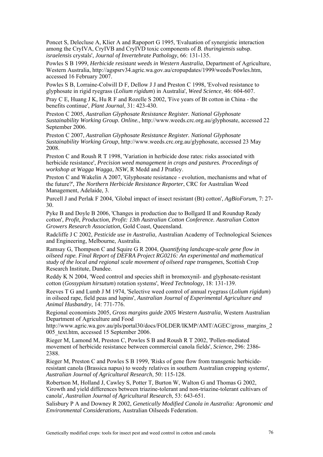Poncet S, Delecluse A, Klier A and Rapoport G 1995, 'Evaluation of synergistic interaction among the CryIVA, CryIVB and CryIVD toxic components of *B. thuringiensis* subsp. *israelensis* crystals', *Journal of Invertebrate Pathology*, 66: 131-135.

Powles S B 1999, *Herbicide resistant weeds in Western Australia*, Department of Agriculture, Western Australia, http://agspsrv34.agric.wa.gov.au/cropupdates/1999/weeds/Powles.htm, accessed 16 February 2007.

Powles S B, Lorraine-Colwill D F, Dellow J J and Preston C 1998, 'Evolved resistance to glyphosate in rigid ryegrass (*Lolium rigidum*) in Australia', *Weed Science*, 46: 604-607.

Pray C E, Huang J K, Hu R F and Rozelle S 2002, 'Five years of Bt cotton in China - the benefits continue', *Plant Journal*, 31: 423-430.

Preston C 2005, *Australian Glyphosate Resistance Register. National Glyphosate Sustainability Working Group. Online.*, http://www.weeds.crc.org.au/glyphosate, accessed 22 September 2006.

Preston C 2007, *Australian Glyphosate Resistance Register. National Glyphosate Sustainability Working Group*, http://www.weeds.crc.org.au/glyphosate, accessed 23 May 2008.

Preston C and Roush R T 1998, 'Variation in herbicide dose rates: risks associated with herbicide resistance', *Precision weed management in crops and pastures. Proceedings of workshop at Wagga Wagga, NSW*, R Medd and J Pratley.

Preston C and Wakelin A 2007, 'Glyphosate resistance - evolution, mechanisms and what of the future?', *The Northern Herbicide Resistance Reporter*, CRC for Australian Weed Management, Adelaide, 3.

Purcell J and Perlak F 2004, 'Global impact of insect resistant (Bt) cotton', *AgBioForum*, 7: 27- 30.

Pyke B and Doyle B 2006, 'Changes in production due to Bollgard II and Roundup Ready cotton', *Profit, Production, Profit: 13th Australian Cotton Conference. Australian Cotton Growers Research Association*, Gold Coast, Queensland.

Radcliffe J C 2002, *Pesticide use in Australia*, Australian Academy of Technological Sciences and Engineering, Melbourne, Australia.

Ramsay G, Thompson C and Squire G R 2004, *Quantifying landscape-scale gene flow in oilseed rape. Final Report of DEFRA Project RG0216: An experimental and mathematical study of the local and regional scale movement of oilseed rape transgenes*, Scottish Crop Research Institute, Dundee.

Reddy K N 2004, 'Weed control and species shift in bromoxynil- and glyphosate-resistant cotton (*Gossypium hirsutum*) rotation systems', *Weed Technology*, 18: 131-139.

Reeves T G and Lumb J M 1974, 'Selective weed control of annual ryegrass (*Lolium rigidum*) in oilseed rape, field peas and lupins', *Australian Journal of Experimental Agriculture and Animal Husbandry*, 14: 771-776.

Regional economists 2005, *Gross margins guide 2005 Western Australia*, Western Australian Department of Agriculture and Food

http://www.agric.wa.gov.au/pls/portal30/docs/FOLDER/IKMP/AMT/AGEC/gross\_margins\_2 005\_text.htm, accessed 15 September 2006.

Rieger M, Lamond M, Preston C, Powles S B and Roush R T 2002, 'Pollen-mediated movement of herbicide resistance between commercial canola fields', *Science*, 296: 2386- 2388.

Rieger M, Preston C and Powles S B 1999, 'Risks of gene flow from transgenic herbicideresistant canola (Brassica napus) to weedy relatives in southern Australian cropping systems', *Australian Journal of Agricultural Research*, 50: 115-128.

Robertson M, Holland J, Cawley S, Potter T, Burton W, Walton G and Thomas G 2002, 'Growth and yield differences between triazine-tolerant and non-triazine-tolerant cultivars of canola', *Australian Journal of Agricultural Research*, 53: 643-651.

Salisbury P A and Downey R 2002, *Genetically Modified Canola in Australia: Agronomic and Environmental Considerations*, Australian Oilseeds Federation.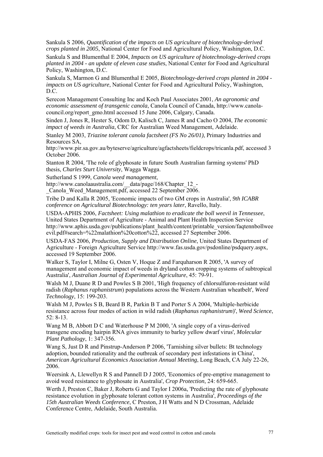Sankula S 2006, *Quantification of the impacts on US agriculture of biotechnology-derived crops planted in 2005*, National Center for Food and Agricultural Policy, Washington, D.C.

Sankula S and Blumenthal E 2004, *Impacts on US agriculture of biotechnology-derived crops planted in 2004 - an update of eleven case studies*, National Center for Food and Agricultural Policy, Washington, D.C.

Sankula S, Marmon G and Blumenthal E 2005, *Biotechnology-derived crops planted in 2004 impacts on US agriculture*, National Center for Food and Agricultural Policy, Washington, D.C.

Serecon Management Consulting Inc and Koch Paul Associates 2001, *An agronomic and economic assessment of transgenic canola*, Canola Council of Canada, http://www.canolacouncil.org/report\_gmo.html accessed 15 June 2006, Calgary, Canada.

Sinden J, Jones R, Hester S, Odom D, Kalisch C, James R and Cacho O 2004, *The economic impact of weeds in Australia*, CRC for Australian Weed Management, Adelaide.

Stanley M 2003, *Triazine tolerant canola factsheet (FS No 26/01)*, Primary Industries and Resources SA,

http://www.pir.sa.gov.au/byteserve/agriculture/agfactsheets/fieldcrops/tricanla.pdf, accessed 3 October 2006.

Stanton R 2004, 'The role of glyphosate in future South Australian farming systems' PhD thesis, *Charles Sturt University*, Wagga Wagga.

Sutherland S 1999, *Canola weed management*,

http://www.canolaaustralia.com/\_\_data/page/168/Chapter\_12\_-

Canola Weed Management.pdf, accessed 22 September 2006.

Tribe D and Kalla R 2005, 'Economic impacts of two GM crops in Australia', *9th ICABR conference on Agricultural Biotechnology: ten years later*, Ravello, Italy.

USDA-APHIS 2006, *Factsheet: Using malathion to eradicate the boll weevil in Tennessee*, United States Department of Agriculture - Animal and Plant Health Inspection Service http://www.aphis.usda.gov/publications/plant\_health/content/printable\_version/faqtennbollwee evil.pdf#search=%22malathion%20cotton%22, accessed 27 September 2006.

USDA-FAS 2006, *Production, Supply and Distribution Online*, United States Department of Agriculture - Foreign Agriculture Service http://www.fas.usda.gov/psdonline/psdquery.aspx, accessed 19 September 2006.

Walker S, Taylor I, Milne G, Osten V, Hoque Z and Farquharson R 2005, 'A survey of management and economic impact of weeds in dryland cotton cropping systems of subtropical Australia', *Australian Journal of Experimental Agriculture*, 45: 79-91.

Walsh M J, Duane R D and Powles S B 2001, 'High frequency of chlorsulfuron-resistant wild radish (*Raphanus raphanistrum*) populations across the Western Australian wheatbelt', *Weed Technology*, 15: 199-203.

Walsh M J, Powles S B, Beard B R, Parkin B T and Porter S A 2004, 'Multiple-herbicide resistance across four modes of action in wild radish (*Raphanus raphanistrum*)', *Weed Science*, 52: 8-13.

Wang M B, Abbott D C and Waterhouse P M 2000, 'A single copy of a virus-derived transgene encoding hairpin RNA gives immunity to barley yellow dwarf virus', *Molecular Plant Pathology*, 1: 347-356.

Wang S, Just D R and Pinstrup-Anderson P 2006, 'Tarnishing silver bullets: Bt technology adoption, bounded rationality and the outbreak of secondary pest infestations in China', *American Agricultural Economics Association Annual Meeting*, Long Beach, CA July 22-26, 2006.

Weersink A, Llewellyn R S and Pannell D J 2005, 'Economics of pre-emptive management to avoid weed resistance to glyphosate in Australia', *Crop Protection*, 24: 659-665.

Werth J, Preston C, Baker J, Roberts G and Taylor I 2006a, 'Predicting the rate of glyphosate resistance evolution in glyphosate tolerant cotton systems in Australia', *Proceedings of the 15th Australian Weeds Conference*, C Preston, J H Watts and N D Crossman, Adelaide Conference Centre, Adelaide, South Australia.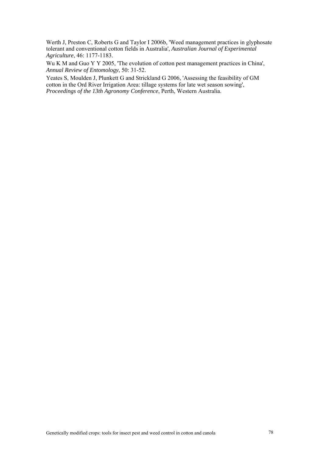Werth J, Preston C, Roberts G and Taylor I 2006b, 'Weed management practices in glyphosate tolerant and conventional cotton fields in Australia', *Australian Journal of Experimental Agriculture*, 46: 1177-1183.

Wu K M and Guo Y Y 2005, 'The evolution of cotton pest management practices in China', *Annual Review of Entomology*, 50: 31-52.

Yeates S, Moulden J, Plunkett G and Strickland G 2006, 'Assessing the feasibility of GM cotton in the Ord River Irrigation Area: tillage systems for late wet season sowing', *Proceedings of the 13th Agronomy Conference*, Perth, Western Australia.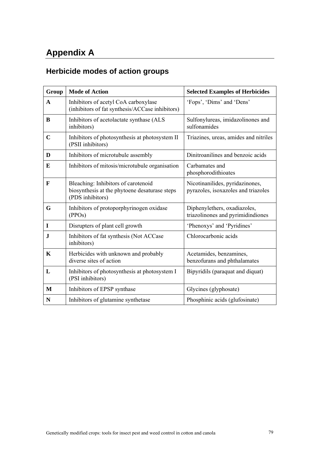# **Appendix A**

# **Herbicide modes of action groups**

| Group       | <b>Mode of Action</b>                                                                                    | <b>Selected Examples of Herbicides</b>                                 |
|-------------|----------------------------------------------------------------------------------------------------------|------------------------------------------------------------------------|
| A           | Inhibitors of acetyl CoA carboxylase<br>(inhibitors of fat synthesis/ACCase inhibitors)                  | 'Fops', 'Dims' and 'Dens'                                              |
| B           | Inhibitors of acetolactate synthase (ALS<br>inhibitors)                                                  | Sulfonylureas, imidazolinones and<br>sulfonamides                      |
| $\mathbf C$ | Inhibitors of photosynthesis at photosystem II<br>(PSII inhibitors)                                      | Triazines, ureas, amides and nitriles                                  |
| D           | Inhibitors of microtubule assembly                                                                       | Dinitroanilines and benzoic acids                                      |
| E           | Inhibitors of mitosis/microtubule organisation                                                           | Carbamates and<br>phosphorodithioates                                  |
| $\mathbf F$ | Bleaching: Inhibitors of carotenoid<br>biosynthesis at the phytoene desaturase steps<br>(PDS inhibitors) | Nicotinanilides, pyridazinones,<br>pyrazoles, isoxazoles and triazoles |
| G           | Inhibitors of protoporphyrinogen oxidase<br>(PPOs)                                                       | Diphenylethers, oxadiazoles,<br>triazolinones and pyrimidindiones      |
| $\mathbf I$ | Disrupters of plant cell growth                                                                          | 'Phenoxys' and 'Pyridines'                                             |
| ${\bf J}$   | Inhibitors of fat synthesis (Not ACCase<br>inhibitors)                                                   | Chlorocarbonic acids                                                   |
| K           | Herbicides with unknown and probably<br>diverse sites of action                                          | Acetamides, benzamines,<br>benzofurans and phthalamates                |
| L           | Inhibitors of photosynthesis at photosystem I<br>(PSI inhibitors)                                        | Bipyridils (paraquat and diquat)                                       |
| M           | Inhibitors of EPSP synthase                                                                              | Glycines (glyphosate)                                                  |
| N           | Inhibitors of glutamine synthetase                                                                       | Phosphinic acids (glufosinate)                                         |